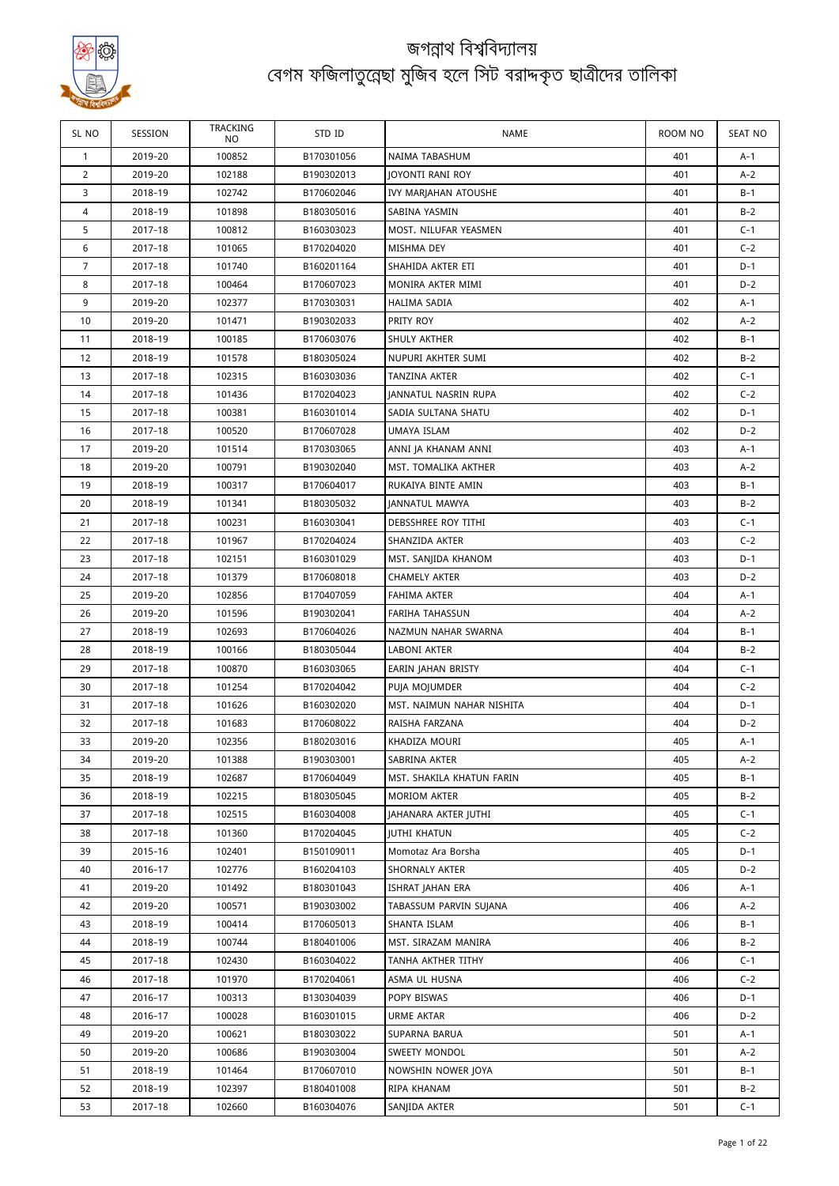

| SL NO          | SESSION            | TRACKING<br>NO.  | STD ID                   | NAME                         | ROOM NO    | <b>SEAT NO</b> |
|----------------|--------------------|------------------|--------------------------|------------------------------|------------|----------------|
| $\mathbf{1}$   | 2019-20            | 100852           | B170301056               | NAIMA TABASHUM               | 401        | $A-1$          |
| $\overline{2}$ | 2019-20            | 102188           | B190302013               | <b>JOYONTI RANI ROY</b>      | 401        | $A-2$          |
| 3              | 2018-19            | 102742           | B170602046               | IVY MARJAHAN ATOUSHE         | 401        | $B-1$          |
| 4              | 2018-19            | 101898           | B180305016               | SABINA YASMIN                | 401        | $B-2$          |
| 5              | 2017-18            | 100812           | B160303023               | MOST. NILUFAR YEASMEN        | 401        | $C-1$          |
| 6              | 2017-18            | 101065           | B170204020               | MISHMA DEY                   | 401        | $C-2$          |
| 7              | 2017-18            | 101740           | B160201164               | SHAHIDA AKTER ETI            | 401        | $D-1$          |
| 8              | 2017-18            | 100464           | B170607023               | MONIRA AKTER MIMI            | 401        | $D-2$          |
| 9              | 2019-20            | 102377           | B170303031               | <b>HALIMA SADIA</b>          | 402        | A-1            |
| 10             | 2019-20            | 101471           | B190302033               | PRITY ROY                    | 402        | A-2            |
| 11             | 2018-19            | 100185           | B170603076               | SHULY AKTHER                 | 402        | $B-1$          |
| 12             | 2018-19            | 101578           | B180305024               | NUPURI AKHTER SUMI           | 402        | $B-2$          |
| 13             | 2017-18            | 102315           | B160303036               | TANZINA AKTER                | 402        | $C-1$          |
| 14             | 2017-18            | 101436           | B170204023               | JANNATUL NASRIN RUPA         | 402        | $C-2$          |
| 15             | 2017-18            | 100381           | B160301014               | SADIA SULTANA SHATU          | 402        | $D-1$          |
| 16             | 2017-18            | 100520           | B170607028               | UMAYA ISLAM                  | 402        | $D-2$          |
| 17             | 2019-20            | 101514           | B170303065               | ANNI JA KHANAM ANNI          | 403        | A-1            |
| 18             | 2019-20            | 100791           | B190302040               | MST. TOMALIKA AKTHER         | 403        | $A-2$          |
| 19             | 2018-19            | 100317           | B170604017               | RUKAIYA BINTE AMIN           | 403        | B-1            |
| 20             | 2018-19            | 101341           | B180305032               | <b>JANNATUL MAWYA</b>        | 403        | $B-2$          |
| 21             | 2017-18            | 100231           | B160303041               | DEBSSHREE ROY TITHI          | 403        | $C-1$          |
| 22             | 2017-18            | 101967           | B170204024               | SHANZIDA AKTER               | 403        | $C-2$          |
| 23             | 2017-18            | 102151           | B160301029               | MST. SANJIDA KHANOM          | 403        | $D-1$          |
| 24             | 2017-18            | 101379           | B170608018               | <b>CHAMELY AKTER</b>         | 403        | $D-2$          |
| 25             | 2019-20            | 102856           | B170407059               | FAHIMA AKTER                 | 404        | $A-1$          |
| 26             | 2019-20            | 101596           | B190302041               | FARIHA TAHASSUN              | 404        | $A-2$          |
| 27             | 2018-19            | 102693           | B170604026               | NAZMUN NAHAR SWARNA          | 404        | B-1            |
| 28             | 2018-19            | 100166           | B180305044               | LABONI AKTER                 | 404        | $B-2$          |
| 29             | 2017-18            | 100870           | B160303065               | EARIN JAHAN BRISTY           | 404        | $C-1$          |
| 30             | 2017-18            | 101254           | B170204042               | PUJA MOJUMDER                | 404        | $C-2$          |
| 31             | 2017-18            | 101626           | B160302020               | MST. NAIMUN NAHAR NISHITA    | 404        | $D-1$          |
| 32             | 2017-18            | 101683           | B170608022               | RAISHA FARZANA               | 404        | $D-2$          |
| 33             | 2019-20            | 102356           | B180203016               | KHADIZA MOURI                | 405        | A-1            |
| 34             | 2019-20            | 101388           | B190303001               | SABRINA AKTER                | 405        | $A-2$          |
| 35             | 2018-19            | 102687           | B170604049               | MST. SHAKILA KHATUN FARIN    | 405        | B-1            |
| 36             | 2018-19            | 102215           | B180305045               | <b>MORIOM AKTER</b>          | 405        | $B-2$          |
| 37             | 2017-18            | 102515           | B160304008               | JAHANARA AKTER JUTHI         | 405        | $C-1$          |
| 38             | 2017-18            | 101360           | B170204045               | <b>JUTHI KHATUN</b>          | 405        | $C-2$          |
| 39             | 2015-16            | 102401           | B150109011               | Momotaz Ara Borsha           | 405        | $D-1$          |
| 40             | 2016-17            | 102776           | B160204103               | SHORNALY AKTER               | 405        | $D-2$          |
| 41             | 2019-20            | 101492           | B180301043               | ISHRAT JAHAN ERA             | 406        | A-1            |
| 42             | 2019-20            | 100571           | B190303002               | TABASSUM PARVIN SUJANA       | 406        | A-2            |
| 43             | 2018-19            | 100414           | B170605013               | SHANTA ISLAM                 | 406        | B-1            |
| 44             | 2018-19            | 100744           | B180401006               | MST. SIRAZAM MANIRA          | 406        | $B-2$          |
|                |                    |                  |                          |                              |            |                |
| 45<br>46       | 2017-18<br>2017-18 | 102430<br>101970 | B160304022<br>B170204061 | TANHA AKTHER TITHY           | 406<br>406 | $C-1$<br>$C-2$ |
| 47             |                    |                  |                          | ASMA UL HUSNA<br>POPY BISWAS | 406        | D-1            |
| 48             | 2016-17            | 100313           | B130304039               |                              | 406        | $D-2$          |
|                | 2016-17            | 100028           | B160301015               | URME AKTAR                   |            |                |
| 49             | 2019-20            | 100621           | B180303022               | SUPARNA BARUA                | 501        | A-1            |
| 50             | 2019-20            | 100686           | B190303004               | SWEETY MONDOL                | 501        | $A-2$<br>$B-1$ |
| 51             | 2018-19            | 101464           | B170607010               | NOWSHIN NOWER JOYA           | 501        |                |
| 52             | 2018-19            | 102397           | B180401008               | RIPA KHANAM                  | 501        | $B-2$          |
| 53             | 2017-18            | 102660           | B160304076               | SANJIDA AKTER                | 501        | $C-1$          |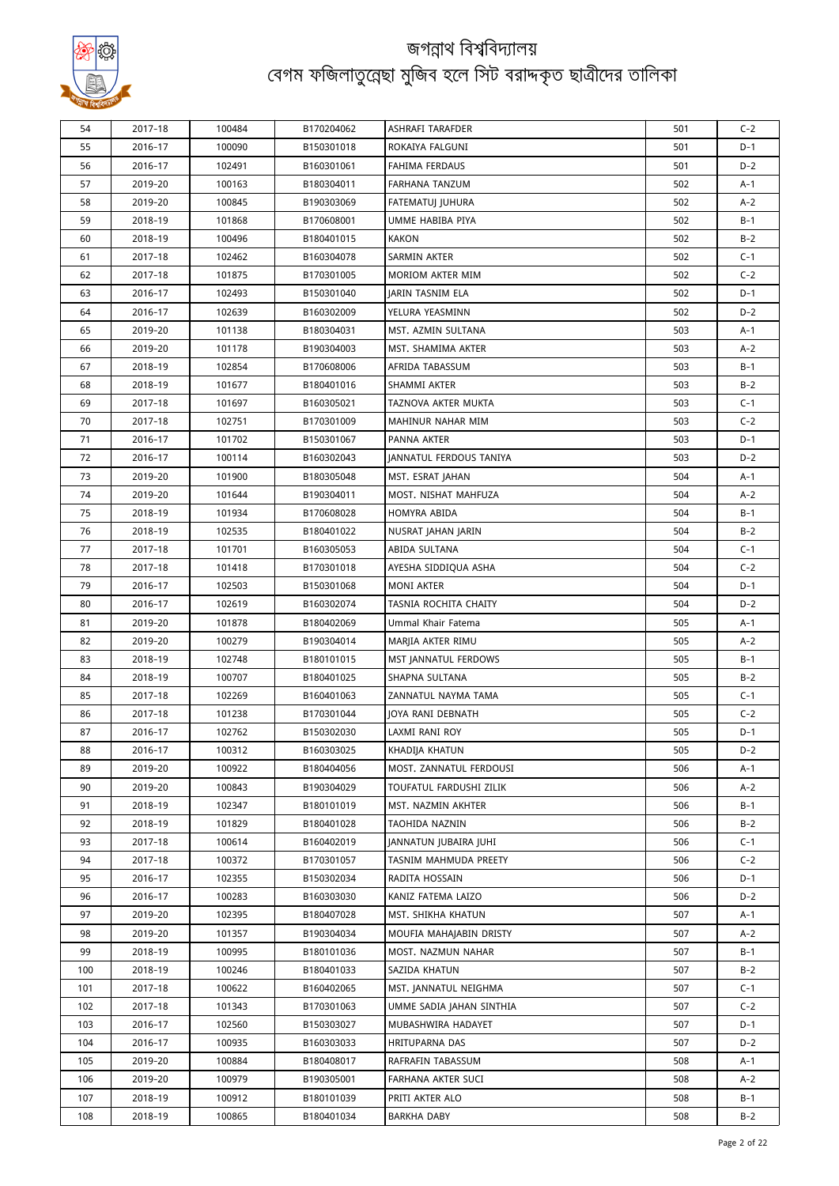

| 54  | 2017-18 | 100484 | B170204062 | ASHRAFI TARAFDER                       | 501        | $C-2$          |
|-----|---------|--------|------------|----------------------------------------|------------|----------------|
| 55  | 2016-17 | 100090 | B150301018 | ROKAIYA FALGUNI                        | 501        | $D-1$          |
| 56  | 2016-17 | 102491 | B160301061 | <b>FAHIMA FERDAUS</b>                  | 501        | $D-2$          |
| 57  | 2019-20 | 100163 | B180304011 | FARHANA TANZUM                         | 502        | A-1            |
| 58  | 2019-20 | 100845 | B190303069 | <b>FATEMATUI IUHURA</b>                | 502        | $A-2$          |
| 59  | 2018-19 | 101868 | B170608001 | UMME HABIBA PIYA                       | 502        | B-1            |
| 60  | 2018-19 | 100496 | B180401015 | <b>KAKON</b>                           | 502        | $B-2$          |
| 61  | 2017-18 | 102462 | B160304078 | SARMIN AKTER                           | 502        | $C-1$          |
| 62  | 2017-18 | 101875 | B170301005 | MORIOM AKTER MIM                       | 502        | $C-2$          |
| 63  | 2016-17 | 102493 | B150301040 | <b>JARIN TASNIM ELA</b>                | 502        | $D-1$          |
| 64  | 2016-17 | 102639 | B160302009 | YELURA YEASMINN                        | 502        | $D-2$          |
| 65  | 2019-20 | 101138 | B180304031 | MST. AZMIN SULTANA                     | 503        | A-1            |
| 66  | 2019-20 | 101178 | B190304003 | MST. SHAMIMA AKTER                     | 503        | $A-2$          |
| 67  | 2018-19 | 102854 | B170608006 | AFRIDA TABASSUM                        | 503        | $B-1$          |
| 68  | 2018-19 | 101677 | B180401016 | SHAMMI AKTER                           | 503        | $B-2$          |
| 69  | 2017-18 | 101697 | B160305021 | TAZNOVA AKTER MUKTA                    | 503        | $C-1$          |
| 70  | 2017-18 | 102751 | B170301009 | MAHINUR NAHAR MIM                      | 503        | $C-2$          |
| 71  | 2016-17 | 101702 | B150301067 | PANNA AKTER                            | 503        | $D-1$          |
| 72  | 2016-17 | 100114 | B160302043 | <b>IANNATUL FERDOUS TANIYA</b>         | 503        | $D-2$          |
| 73  | 2019-20 | 101900 | B180305048 | MST. ESRAT JAHAN                       | 504        | A-1            |
| 74  | 2019-20 | 101644 | B190304011 | MOST. NISHAT MAHFUZA                   | 504        | A-2            |
| 75  | 2018-19 | 101934 | B170608028 | HOMYRA ABIDA                           | 504        | $B-1$          |
| 76  | 2018-19 | 102535 | B180401022 |                                        | 504        | $B-2$          |
| 77  | 2017-18 | 101701 | B160305053 | NUSRAT JAHAN JARIN<br>ABIDA SULTANA    | 504        | $C-1$          |
| 78  | 2017-18 | 101418 | B170301018 | AYESHA SIDDIQUA ASHA                   | 504        | $C-2$          |
|     |         |        |            |                                        |            |                |
| 79  | 2016-17 | 102503 | B150301068 | <b>MONI AKTER</b>                      | 504<br>504 | $D-1$<br>$D-2$ |
| 80  | 2016-17 | 102619 | B160302074 | TASNIA ROCHITA CHAITY                  |            |                |
| 81  | 2019-20 | 101878 | B180402069 | Ummal Khair Fatema                     | 505        | A-1            |
| 82  | 2019-20 | 100279 | B190304014 | MARJIA AKTER RIMU                      | 505        | $A-2$          |
| 83  | 2018-19 | 102748 | B180101015 | MST JANNATUL FERDOWS<br>SHAPNA SULTANA | 505        | $B-1$          |
| 84  | 2018-19 | 100707 | B180401025 |                                        | 505        | $B-2$          |
| 85  | 2017-18 | 102269 | B160401063 | ZANNATUL NAYMA TAMA                    | 505        | $C-1$          |
| 86  | 2017-18 | 101238 | B170301044 | JOYA RANI DEBNATH                      | 505        | $C-2$          |
| 87  | 2016-17 | 102762 | B150302030 | LAXMI RANI ROY                         | 505        | $D-1$          |
| 88  | 2016-17 | 100312 | B160303025 | KHADIJA KHATUN                         | 505        | D-2            |
| 89  | 2019-20 | 100922 | B180404056 | MOST. ZANNATUL FERDOUSI                | 506        | A-1            |
| 90  | 2019-20 | 100843 | B190304029 | TOUFATUL FARDUSHI ZILIK                | 506        | $A-2$          |
| 91  | 2018-19 | 102347 | B180101019 | MST. NAZMIN AKHTER                     | 506        | B-1            |
| 92  | 2018-19 | 101829 | B180401028 | TAOHIDA NAZNIN                         | 506        | $B-2$          |
| 93  | 2017-18 | 100614 | B160402019 | JANNATUN JUBAIRA JUHI                  | 506        | C-1            |
| 94  | 2017-18 | 100372 | B170301057 | TASNIM MAHMUDA PREETY                  | 506        | $C-2$          |
| 95  | 2016-17 | 102355 | B150302034 | RADITA HOSSAIN                         | 506        | $D-1$          |
| 96  | 2016-17 | 100283 | B160303030 | KANIZ FATEMA LAIZO                     | 506        | $D-2$          |
| 97  | 2019-20 | 102395 | B180407028 | MST. SHIKHA KHATUN                     | 507        | A-1            |
| 98  | 2019-20 | 101357 | B190304034 | MOUFIA MAHAJABIN DRISTY                | 507        | A-2            |
| 99  | 2018-19 | 100995 | B180101036 | MOST. NAZMUN NAHAR                     | 507        | B-1            |
| 100 | 2018-19 | 100246 | B180401033 | SAZIDA KHATUN                          | 507        | $B-2$          |
| 101 | 2017-18 | 100622 | B160402065 | MST. JANNATUL NEIGHMA                  | 507        | $C-1$          |
| 102 | 2017-18 | 101343 | B170301063 | UMME SADIA JAHAN SINTHIA               | 507        | $C-2$          |
| 103 | 2016-17 | 102560 | B150303027 | MUBASHWIRA HADAYET                     | 507        | D-1            |
| 104 | 2016-17 | 100935 | B160303033 | HRITUPARNA DAS                         | 507        | $D-2$          |
| 105 | 2019-20 | 100884 | B180408017 | RAFRAFIN TABASSUM                      | 508        | A-1            |
| 106 | 2019-20 | 100979 | B190305001 | FARHANA AKTER SUCI                     | 508        | $A-2$          |
| 107 | 2018-19 | 100912 | B180101039 | PRITI AKTER ALO                        | 508        | B-1            |
| 108 | 2018-19 | 100865 | B180401034 | BARKHA DABY                            | 508        | $B-2$          |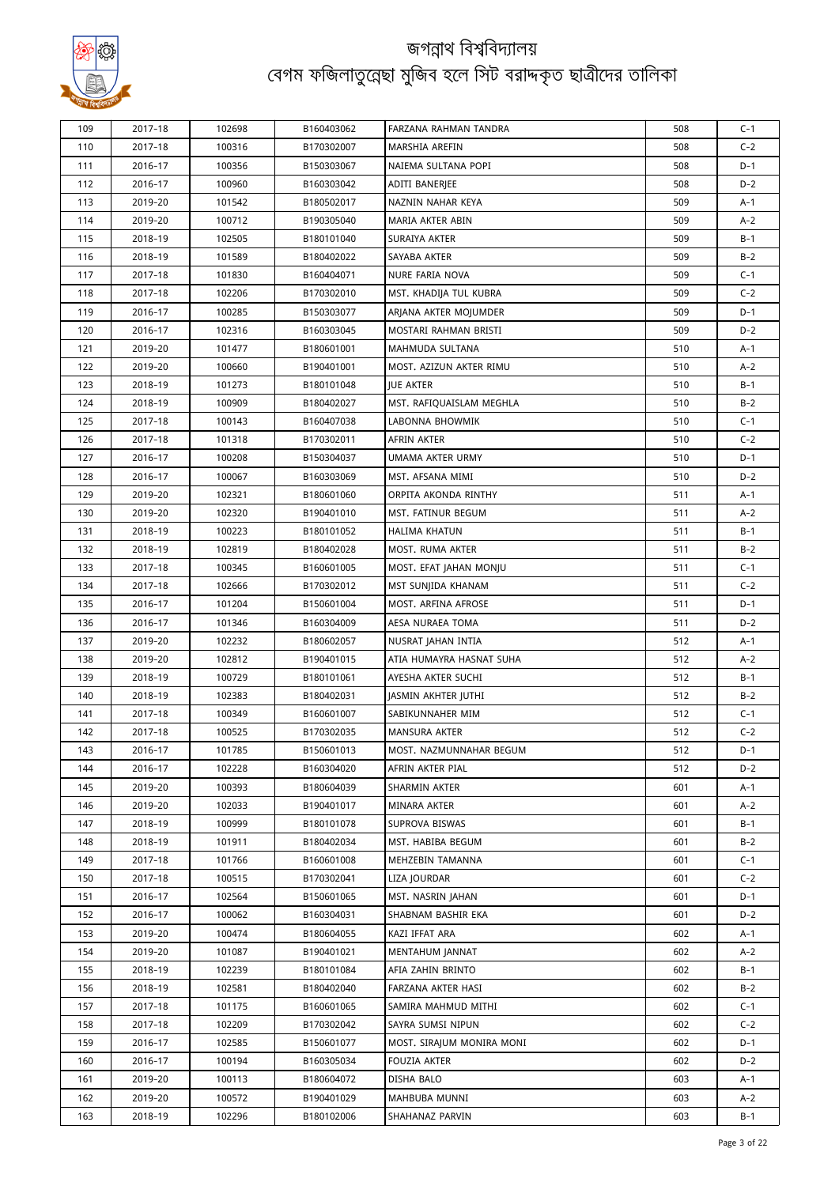

| 109 | 2017-18 | 102698 | B160403062 | FARZANA RAHMAN TANDRA                      | 508 | $C-1$ |
|-----|---------|--------|------------|--------------------------------------------|-----|-------|
| 110 | 2017-18 | 100316 | B170302007 | MARSHIA AREFIN                             | 508 | $C-2$ |
| 111 | 2016-17 | 100356 | B150303067 | NAIEMA SULTANA POPI                        | 508 | $D-1$ |
| 112 | 2016-17 | 100960 | B160303042 | ADITI BANERJEE                             | 508 | $D-2$ |
| 113 | 2019-20 | 101542 | B180502017 | NAZNIN NAHAR KEYA                          | 509 | A-1   |
| 114 | 2019-20 | 100712 | B190305040 | MARIA AKTER ABIN                           | 509 | $A-2$ |
| 115 | 2018-19 | 102505 | B180101040 | SURAIYA AKTER                              | 509 | B-1   |
| 116 | 2018-19 | 101589 | B180402022 | SAYABA AKTER                               | 509 | $B-2$ |
| 117 | 2017-18 | 101830 | B160404071 | NURE FARIA NOVA                            | 509 | $C-1$ |
| 118 | 2017-18 | 102206 | B170302010 | MST. KHADIJA TUL KUBRA                     | 509 | $C-2$ |
| 119 | 2016-17 | 100285 | B150303077 | ARJANA AKTER MOJUMDER                      | 509 | $D-1$ |
| 120 | 2016-17 | 102316 | B160303045 | MOSTARI RAHMAN BRISTI                      | 509 | D-2   |
| 121 | 2019-20 | 101477 | B180601001 | MAHMUDA SULTANA                            | 510 | A-1   |
| 122 | 2019-20 | 100660 | B190401001 | MOST. AZIZUN AKTER RIMU                    | 510 | $A-2$ |
| 123 | 2018-19 | 101273 | B180101048 | JUE AKTER                                  | 510 | B-1   |
| 124 | 2018-19 | 100909 | B180402027 | MST. RAFIQUAISLAM MEGHLA                   | 510 | $B-2$ |
| 125 | 2017-18 | 100143 | B160407038 | LABONNA BHOWMIK                            | 510 | $C-1$ |
| 126 | 2017-18 | 101318 | B170302011 | AFRIN AKTER                                | 510 | $C-2$ |
| 127 | 2016-17 | 100208 | B150304037 | UMAMA AKTER URMY                           | 510 | D-1   |
| 128 | 2016-17 | 100067 | B160303069 | MST. AFSANA MIMI                           | 510 | $D-2$ |
|     |         |        | B180601060 |                                            |     |       |
| 129 | 2019-20 | 102321 |            | ORPITA AKONDA RINTHY<br>MST. FATINUR BEGUM | 511 | A-1   |
| 130 | 2019-20 | 102320 | B190401010 |                                            | 511 | $A-2$ |
| 131 | 2018-19 | 100223 | B180101052 | HALIMA KHATUN                              | 511 | B-1   |
| 132 | 2018-19 | 102819 | B180402028 | MOST. RUMA AKTER                           | 511 | $B-2$ |
| 133 | 2017-18 | 100345 | B160601005 | MOST. EFAT JAHAN MONJU                     | 511 | $C-1$ |
| 134 | 2017-18 | 102666 | B170302012 | MST SUNJIDA KHANAM                         | 511 | $C-2$ |
| 135 | 2016-17 | 101204 | B150601004 | MOST. ARFINA AFROSE                        | 511 | D-1   |
| 136 | 2016-17 | 101346 | B160304009 | AESA NURAEA TOMA                           | 511 | $D-2$ |
| 137 | 2019-20 | 102232 | B180602057 | NUSRAT JAHAN INTIA                         | 512 | A-1   |
| 138 | 2019-20 | 102812 | B190401015 | ATIA HUMAYRA HASNAT SUHA                   | 512 | $A-2$ |
| 139 | 2018-19 | 100729 | B180101061 | AYESHA AKTER SUCHI                         | 512 | B-1   |
| 140 | 2018-19 | 102383 | B180402031 | JASMIN AKHTER JUTHI                        | 512 | $B-2$ |
| 141 | 2017-18 | 100349 | B160601007 | SABIKUNNAHER MIM                           | 512 | $C-1$ |
| 142 | 2017-18 | 100525 | B170302035 | <b>MANSURA AKTER</b>                       | 512 | $C-2$ |
| 143 | 2016-17 | 101785 | B150601013 | MOST. NAZMUNNAHAR BEGUM                    | 512 | $D-1$ |
| 144 | 2016-17 | 102228 | B160304020 | AFRIN AKTER PIAL                           | 512 | $D-2$ |
| 145 | 2019-20 | 100393 | B180604039 | SHARMIN AKTER                              | 601 | A-1   |
| 146 | 2019-20 | 102033 | B190401017 | MINARA AKTER                               | 601 | A-2   |
| 147 | 2018-19 | 100999 | B180101078 | SUPROVA BISWAS                             | 601 | B-1   |
| 148 | 2018-19 | 101911 | B180402034 | MST. HABIBA BEGUM                          | 601 | $B-2$ |
| 149 | 2017-18 | 101766 | B160601008 | MEHZEBIN TAMANNA                           | 601 | $C-1$ |
| 150 | 2017-18 | 100515 | B170302041 | LIZA JOURDAR                               | 601 | $C-2$ |
| 151 | 2016-17 | 102564 | B150601065 | MST. NASRIN JAHAN                          | 601 | $D-1$ |
| 152 | 2016-17 | 100062 | B160304031 | SHABNAM BASHIR EKA                         | 601 | $D-2$ |
| 153 | 2019-20 | 100474 | B180604055 | KAZI IFFAT ARA                             | 602 | A-1   |
| 154 | 2019-20 | 101087 | B190401021 | MENTAHUM JANNAT                            | 602 | A-2   |
| 155 | 2018-19 | 102239 | B180101084 | AFIA ZAHIN BRINTO                          | 602 | B-1   |
| 156 | 2018–19 | 102581 | B180402040 | FARZANA AKTER HASI                         | 602 | $B-2$ |
| 157 | 2017-18 | 101175 | B160601065 | SAMIRA MAHMUD MITHI                        | 602 | $C-1$ |
| 158 | 2017-18 | 102209 | B170302042 | SAYRA SUMSI NIPUN                          | 602 | $C-2$ |
| 159 | 2016-17 | 102585 | B150601077 | MOST. SIRAJUM MONIRA MONI                  | 602 | D-1   |
| 160 | 2016-17 | 100194 | B160305034 | FOUZIA AKTER                               | 602 | $D-2$ |
| 161 | 2019-20 | 100113 | B180604072 | DISHA BALO                                 | 603 | A-1   |
| 162 | 2019-20 | 100572 | B190401029 | MAHBUBA MUNNI                              | 603 | A-2   |
| 163 | 2018-19 | 102296 | B180102006 | SHAHANAZ PARVIN                            | 603 | B-1   |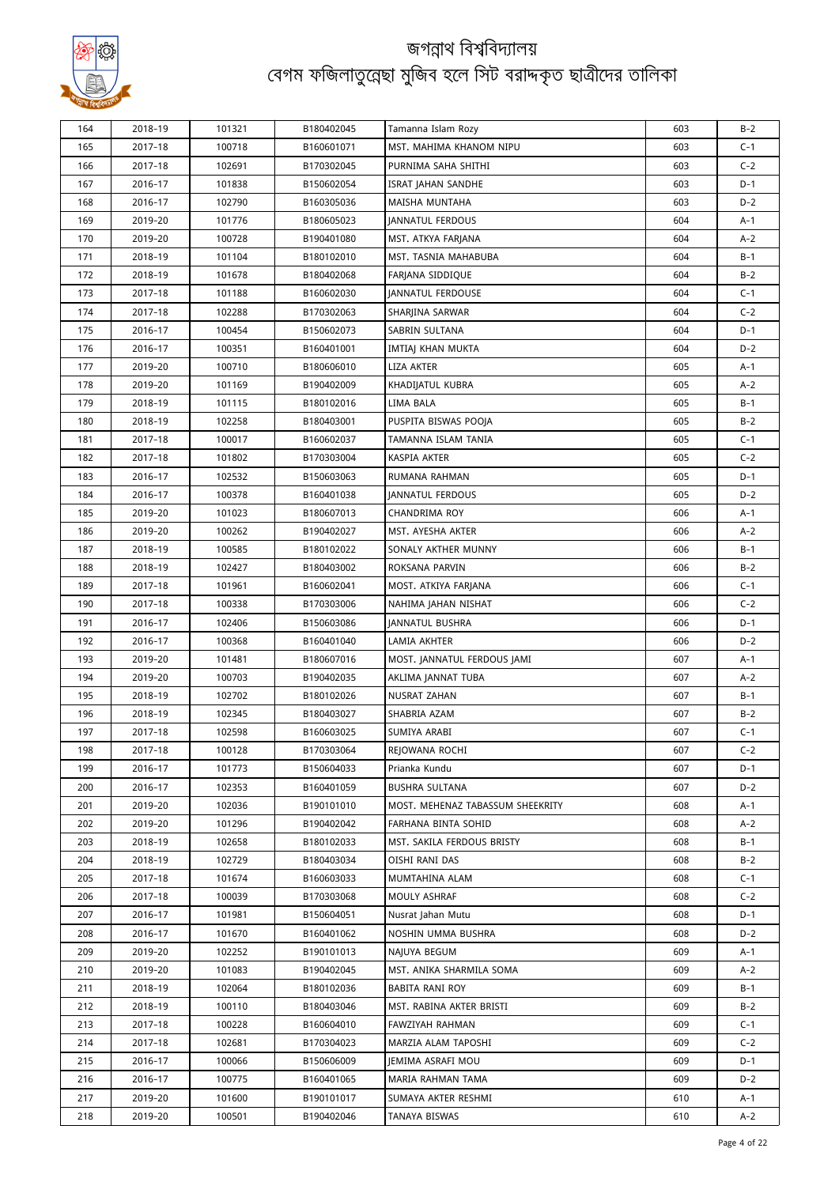

| 164        | 2018-19            | 101321           | B180402045               | Tamanna Islam Rozy                     | 603        | $B-2$          |
|------------|--------------------|------------------|--------------------------|----------------------------------------|------------|----------------|
| 165        | 2017-18            | 100718           | B160601071               | MST. MAHIMA KHANOM NIPU                | 603        | $C-1$          |
| 166        | 2017-18            | 102691           | B170302045               | PURNIMA SAHA SHITHI                    | 603        | $C-2$          |
| 167        | 2016-17            | 101838           | B150602054               | ISRAT JAHAN SANDHE                     | 603        | $D-1$          |
| 168        | 2016-17            | 102790           | B160305036               | <b>MAISHA MUNTAHA</b>                  | 603        | $D-2$          |
| 169        | 2019-20            | 101776           | B180605023               | JANNATUL FERDOUS                       | 604        | A-1            |
| 170        | 2019-20            | 100728           | B190401080               | MST. ATKYA FARJANA                     | 604        | $A-2$          |
| 171        | 2018-19            | 101104           | B180102010               | MST. TASNIA MAHABUBA                   | 604        | $B-1$          |
| 172        | 2018-19            | 101678           | B180402068               | FARJANA SIDDIQUE                       | 604        | $B-2$          |
| 173        | 2017-18            | 101188           | B160602030               | JANNATUL FERDOUSE                      | 604        | $C-1$          |
| 174        | 2017-18            | 102288           | B170302063               | SHARJINA SARWAR                        | 604        | $C-2$          |
| 175        | 2016-17            | 100454           | B150602073               | SABRIN SULTANA                         | 604        | $D-1$          |
| 176        | 2016-17            | 100351           | B160401001               | IMTIAJ KHAN MUKTA                      | 604        | $D-2$          |
| 177        | 2019-20            | 100710           | B180606010               | LIZA AKTER                             | 605        | A-1            |
| 178        | 2019-20            | 101169           | B190402009               | KHADIJATUL KUBRA                       | 605        | $A-2$          |
| 179        | 2018-19            | 101115           | B180102016               | LIMA BALA                              | 605        | $B-1$          |
| 180        | 2018-19            | 102258           | B180403001               | PUSPITA BISWAS POOJA                   | 605        | $B-2$          |
| 181        | 2017-18            | 100017           | B160602037               | TAMANNA ISLAM TANIA                    | 605        | $C-1$          |
| 182        | 2017-18            | 101802           | B170303004               | KASPIA AKTER                           | 605        | $C-2$          |
| 183        | 2016-17            | 102532           | B150603063               | RUMANA RAHMAN                          | 605        | $D-1$          |
| 184        | 2016-17            | 100378           | B160401038               | JANNATUL FERDOUS                       | 605        | $D-2$          |
| 185        | 2019-20            | 101023           | B180607013               | CHANDRIMA ROY                          | 606        | A-1            |
| 186        | 2019-20            | 100262           | B190402027               | MST. AYESHA AKTER                      | 606        | $A-2$          |
| 187        | 2018-19            | 100585           | B180102022               | SONALY AKTHER MUNNY                    | 606        | B-1            |
| 188        | 2018-19            | 102427           | B180403002               | ROKSANA PARVIN                         | 606        | $B-2$          |
| 189        | 2017-18            | 101961           | B160602041               | MOST. ATKIYA FARJANA                   | 606        | $C-1$          |
| 190        | 2017-18            | 100338           | B170303006               | NAHIMA JAHAN NISHAT                    | 606        | $C-2$          |
| 191        | 2016-17            | 102406           | B150603086               | <b>JANNATUL BUSHRA</b>                 | 606        | $D-1$          |
| 192        | 2016-17            | 100368           | B160401040               | LAMIA AKHTER                           | 606        | $D-2$          |
| 193        | 2019-20            | 101481           | B180607016               | MOST. JANNATUL FERDOUS JAMI            | 607        | A-1            |
| 194        | 2019-20            | 100703           | B190402035               | AKLIMA JANNAT TUBA                     | 607        | $A-2$          |
| 195        | 2018-19            | 102702           | B180102026               | NUSRAT ZAHAN                           | 607        | B-1            |
| 196        | 2018-19            | 102345           | B180403027               | SHABRIA AZAM                           | 607        | $B-2$          |
| 197        | 2017-18            | 102598           | B160603025               | SUMIYA ARABI                           | 607        | $C-1$          |
| 198        | 2017-18            | 100128           | B170303064               | REJOWANA ROCHI                         | 607        | $C-2$          |
| 199        | 2016-17            | 101773           |                          |                                        | 607        | D-1            |
| 200        | 2016-17            | 102353           | B150604033<br>B160401059 | Prianka Kundu<br><b>BUSHRA SULTANA</b> | 607        | $D-2$          |
| 201        | 2019-20            | 102036           | B190101010               | MOST. MEHENAZ TABASSUM SHEEKRITY       | 608        | A-1            |
| 202        | 2019-20            | 101296           | B190402042               | FARHANA BINTA SOHID                    | 608        | A-2            |
| 203        | 2018-19            | 102658           | B180102033               | MST. SAKILA FERDOUS BRISTY             | 608        | B-1            |
| 204        | 2018-19            | 102729           | B180403034               | OISHI RANI DAS                         | 608        | $B-2$          |
|            |                    |                  | B160603033               |                                        | 608        |                |
| 205<br>206 | 2017-18<br>2017-18 | 101674<br>100039 | B170303068               | MUMTAHINA ALAM                         | 608        | $C-1$<br>$C-2$ |
| 207        | 2016-17            | 101981           | B150604051               | MOULY ASHRAF<br>Nusrat Jahan Mutu      | 608        | D-1            |
| 208        | 2016-17            | 101670           | B160401062               | NOSHIN UMMA BUSHRA                     | 608        | $D-2$          |
| 209        | 2019-20            | 102252           |                          |                                        | 609        |                |
|            |                    |                  | B190101013               | NAJUYA BEGUM                           |            | A-1            |
| 210        | 2019-20            | 101083           | B190402045<br>B180102036 | MST. ANIKA SHARMILA SOMA               | 609<br>609 | A-2            |
| 211        | 2018–19            | 102064           |                          | BABITA RANI ROY                        |            | B-1            |
| 212        | 2018–19            | 100110           | B180403046               | MST. RABINA AKTER BRISTI               | 609<br>609 | $B-2$          |
| 213        | 2017-18            | 100228           | B160604010               | FAWZIYAH RAHMAN                        |            | $C-1$          |
| 214        | 2017-18            | 102681           | B170304023               | MARZIA ALAM TAPOSHI                    | 609        | $C-2$          |
| 215        | 2016-17            | 100066           | B150606009               | JEMIMA ASRAFI MOU                      | 609        | $D-1$<br>$D-2$ |
| 216        | 2016-17            | 100775           | B160401065               | MARIA RAHMAN TAMA                      | 609        |                |
| 217        | 2019-20            | 101600           | B190101017               | SUMAYA AKTER RESHMI                    | 610        | A-1            |
| 218        | 2019-20            | 100501           | B190402046               | TANAYA BISWAS                          | 610        | A-2            |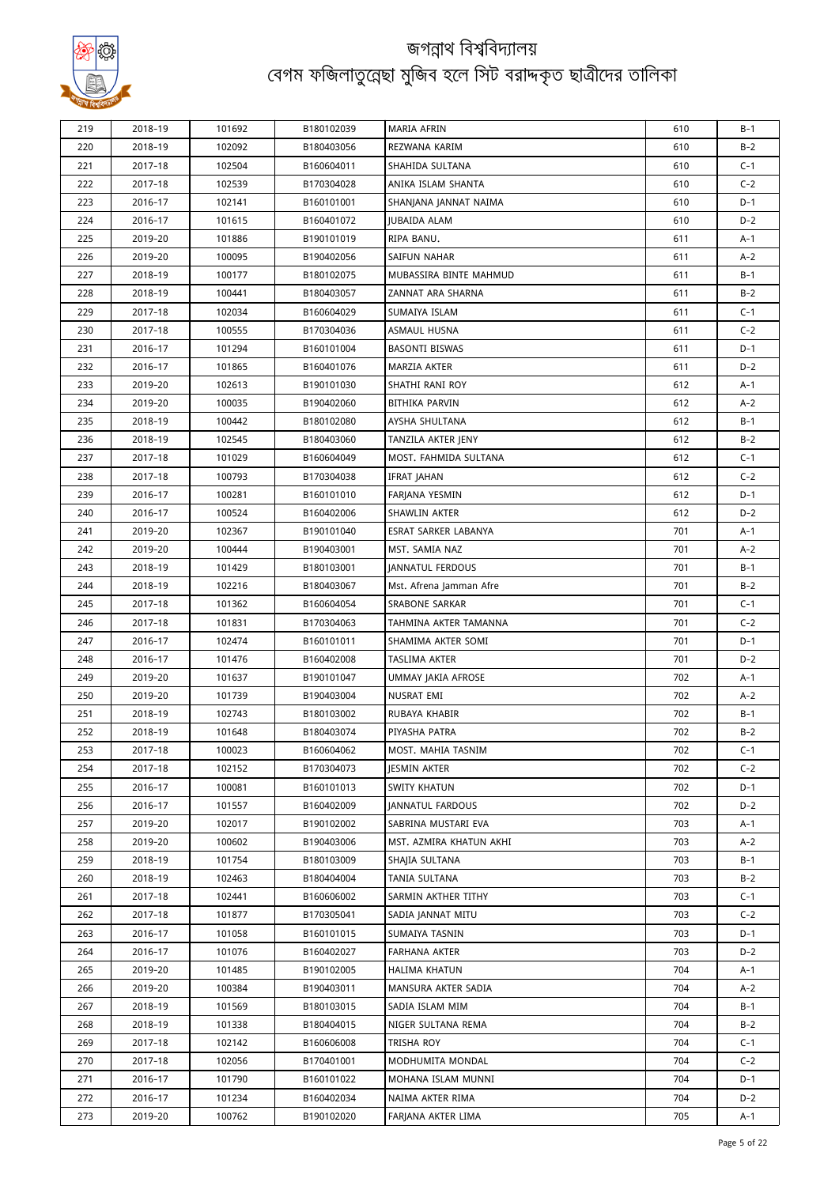

| 219        | 2018-19            | 101692 | B180102039               | <b>MARIA AFRIN</b>        | 610 | $B-1$      |
|------------|--------------------|--------|--------------------------|---------------------------|-----|------------|
| 220        | 2018-19            | 102092 | B180403056               | REZWANA KARIM             | 610 | $B-2$      |
| 221        | 2017-18            | 102504 | B160604011               | SHAHIDA SULTANA           | 610 | $C-1$      |
| 222        | 2017-18            | 102539 | B170304028               | ANIKA ISLAM SHANTA        | 610 | $C-2$      |
| 223        | 2016-17            | 102141 | B160101001               | SHANJANA JANNAT NAIMA     | 610 | $D-1$      |
| 224        | 2016-17            | 101615 | B160401072               | <b>JUBAIDA ALAM</b>       | 610 | $D-2$      |
| 225        | 2019-20            | 101886 | B190101019               | RIPA BANU.                | 611 | A-1        |
| 226        | 2019-20            | 100095 | B190402056               | SAIFUN NAHAR              | 611 | $A-2$      |
| 227        | 2018-19            | 100177 | B180102075               | MUBASSIRA BINTE MAHMUD    | 611 | $B-1$      |
| 228        | 2018-19            | 100441 | B180403057               | ZANNAT ARA SHARNA         | 611 | $B-2$      |
| 229        | 2017-18            | 102034 | B160604029               | SUMAIYA ISLAM             | 611 | $C-1$      |
| 230        | 2017-18            | 100555 | B170304036               | ASMAUL HUSNA              | 611 | $C-2$      |
| 231        | 2016-17            | 101294 | B160101004               | BASONTI BISWAS            | 611 | $D-1$      |
| 232        | 2016-17            | 101865 | B160401076               | MARZIA AKTER              | 611 | $D-2$      |
| 233        | 2019-20            | 102613 | B190101030               | SHATHI RANI ROY           | 612 | A-1        |
| 234        | 2019-20            | 100035 | B190402060               | BITHIKA PARVIN            | 612 | $A-2$      |
| 235        | 2018-19            | 100442 | B180102080               | AYSHA SHULTANA            | 612 | B-1        |
| 236        | 2018-19            | 102545 | B180403060               | TANZILA AKTER JENY        | 612 | $B-2$      |
| 237        | 2017-18            | 101029 | B160604049               | MOST. FAHMIDA SULTANA     | 612 | $C-1$      |
| 238        | 2017-18            | 100793 | B170304038               | IFRAT JAHAN               | 612 | $C-2$      |
| 239        | 2016-17            | 100281 | B160101010               | FARJANA YESMIN            | 612 | $D-1$      |
| 240        | 2016-17            | 100524 | B160402006               | SHAWLIN AKTER             | 612 | $D-2$      |
| 241        | 2019-20            | 102367 | B190101040               | ESRAT SARKER LABANYA      | 701 | A-1        |
| 242        | 2019-20            | 100444 | B190403001               | MST. SAMIA NAZ            | 701 | A-2        |
| 243        | 2018-19            | 101429 | B180103001               | <b>JANNATUL FERDOUS</b>   | 701 | $B-1$      |
| 244        | 2018-19            | 102216 | B180403067               | Mst. Afrena Jamman Afre   | 701 | $B-2$      |
| 245        | 2017-18            | 101362 | B160604054               | SRABONE SARKAR            | 701 | $C-1$      |
| 246        | 2017-18            | 101831 | B170304063               | TAHMINA AKTER TAMANNA     | 701 | $C-2$      |
| 247        | 2016-17            | 102474 | B160101011               | SHAMIMA AKTER SOMI        | 701 | D-1        |
| 248        | 2016-17            | 101476 | B160402008               | TASLIMA AKTER             | 701 | $D-2$      |
| 249        | 2019-20            | 101637 | B190101047               | <b>UMMAY JAKIA AFROSE</b> | 702 | A-1        |
| 250        | 2019-20            | 101739 | B190403004               | NUSRAT EMI                | 702 | A-2        |
| 251        | 2018-19            | 102743 | B180103002               | RUBAYA KHABIR             | 702 | B-1        |
| 252        | 2018-19            | 101648 | B180403074               | PIYASHA PATRA             | 702 | $B-2$      |
| 253        | 2017-18            | 100023 | B160604062               | MOST. MAHIA TASNIM        | 702 | C-1        |
| 254        | 2017-18            | 102152 | B170304073               | <b>IESMIN AKTER</b>       | 702 | $C-2$      |
| 255        | 2016-17            | 100081 | B160101013               | SWITY KHATUN              | 702 | D-1        |
| 256        | 2016-17            | 101557 | B160402009               | <b>IANNATUL FARDOUS</b>   | 702 | $D-2$      |
| 257        | 2019-20            | 102017 | B190102002               | SABRINA MUSTARI EVA       | 703 | A-1        |
| 258        | 2019-20            | 100602 | B190403006               | MST. AZMIRA KHATUN AKHI   | 703 | $A-2$      |
| 259        | 2018-19            | 101754 | B180103009               | SHAJIA SULTANA            | 703 | B-1        |
| 260        | 2018-19            | 102463 | B180404004               | TANIA SULTANA             | 703 | $B-2$      |
| 261        | 2017-18            | 102441 | B160606002               | SARMIN AKTHER TITHY       | 703 | $C-1$      |
| 262        | 2017-18            | 101877 | B170305041               | SADIA JANNAT MITU         | 703 | $C-2$      |
| 263        | 2016-17            | 101058 | B160101015               | SUMAIYA TASNIN            | 703 | D-1        |
| 264        | 2016-17            | 101076 | B160402027               | FARHANA AKTER             | 703 | $D-2$      |
|            |                    | 101485 |                          | <b>HALIMA KHATUN</b>      | 704 |            |
| 265<br>266 | 2019-20<br>2019-20 | 100384 | B190102005<br>B190403011 | MANSURA AKTER SADIA       | 704 | A-1<br>A-2 |
| 267        | 2018-19            | 101569 | B180103015               | SADIA ISLAM MIM           | 704 | B-1        |
| 268        | 2018-19            | 101338 | B180404015               | NIGER SULTANA REMA        | 704 | $B-2$      |
| 269        | 2017-18            | 102142 | B160606008               | TRISHA ROY                | 704 | $C-1$      |
| 270        | 2017-18            | 102056 | B170401001               | MODHUMITA MONDAL          | 704 | $C-2$      |
| 271        | 2016-17            | 101790 | B160101022               | MOHANA ISLAM MUNNI        | 704 | D-1        |
| 272        | 2016-17            | 101234 | B160402034               | NAIMA AKTER RIMA          | 704 | D-2        |
| 273        | 2019-20            | 100762 | B190102020               | FARJANA AKTER LIMA        | 705 |            |
|            |                    |        |                          |                           |     | A-1        |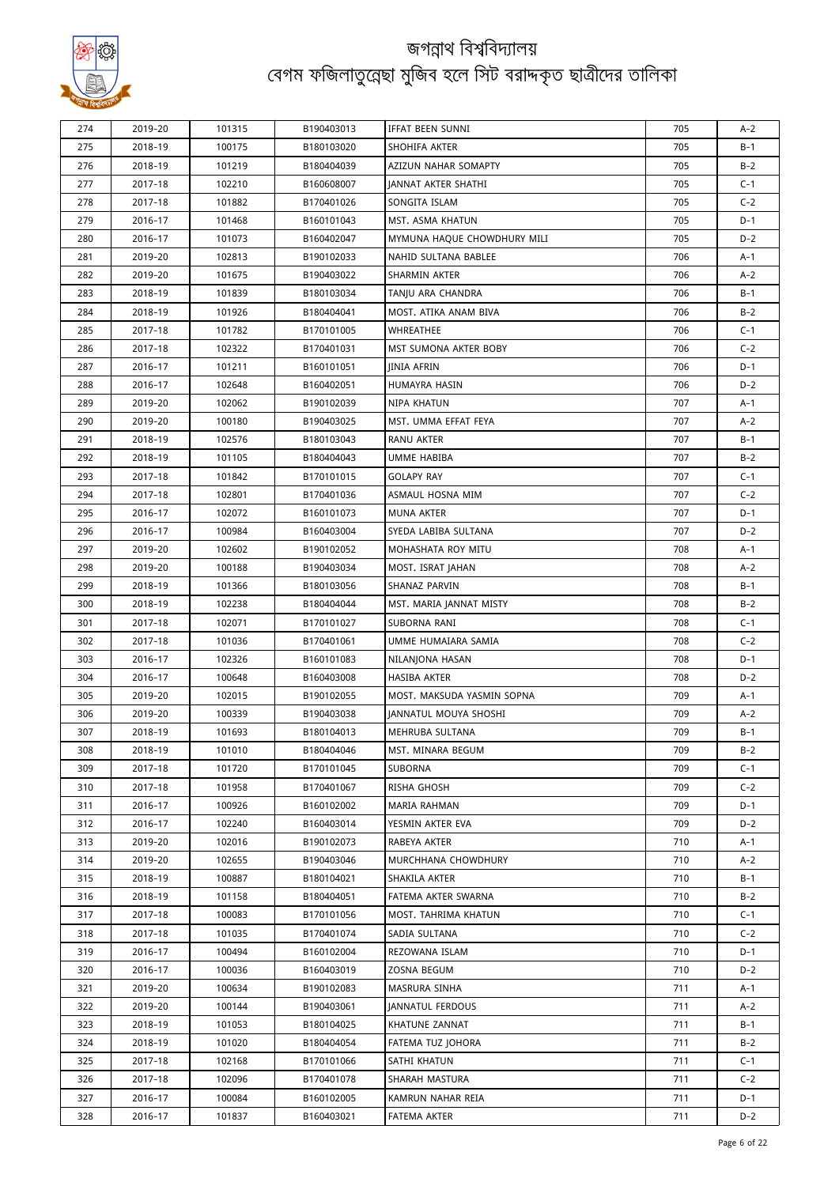

| 274 | 2019-20 | 101315 | B190403013 | IFFAT BEEN SUNNI            | 705 | $A-2$ |
|-----|---------|--------|------------|-----------------------------|-----|-------|
| 275 | 2018-19 | 100175 | B180103020 | SHOHIFA AKTER               | 705 | $B-1$ |
| 276 | 2018-19 | 101219 | B180404039 | AZIZUN NAHAR SOMAPTY        | 705 | $B-2$ |
| 277 | 2017-18 | 102210 | B160608007 | JANNAT AKTER SHATHI         | 705 | $C-1$ |
| 278 | 2017-18 | 101882 | B170401026 | SONGITA ISLAM               | 705 | $C-2$ |
| 279 | 2016-17 | 101468 | B160101043 | MST. ASMA KHATUN            | 705 | $D-1$ |
| 280 | 2016-17 | 101073 | B160402047 | MYMUNA HAQUE CHOWDHURY MILI | 705 | D-2   |
| 281 | 2019-20 | 102813 | B190102033 | NAHID SULTANA BABLEE        | 706 | A-1   |
| 282 | 2019-20 | 101675 | B190403022 | SHARMIN AKTER               | 706 | $A-2$ |
| 283 | 2018-19 | 101839 | B180103034 | TANJU ARA CHANDRA           | 706 | $B-1$ |
| 284 | 2018-19 | 101926 | B180404041 | MOST. ATIKA ANAM BIVA       | 706 | $B-2$ |
| 285 | 2017-18 | 101782 | B170101005 | WHREATHEE                   | 706 | $C-1$ |
| 286 | 2017-18 | 102322 | B170401031 | MST SUMONA AKTER BOBY       | 706 | $C-2$ |
| 287 | 2016-17 | 101211 | B160101051 | <b>IINIA AFRIN</b>          | 706 | $D-1$ |
| 288 | 2016-17 | 102648 | B160402051 | HUMAYRA HASIN               | 706 | $D-2$ |
| 289 | 2019-20 | 102062 | B190102039 | NIPA KHATUN                 | 707 | A-1   |
| 290 | 2019-20 | 100180 | B190403025 | MST. UMMA EFFAT FEYA        | 707 | $A-2$ |
| 291 | 2018-19 | 102576 | B180103043 | RANU AKTER                  | 707 | B-1   |
| 292 | 2018-19 | 101105 | B180404043 | UMME HABIBA                 | 707 | $B-2$ |
| 293 | 2017-18 | 101842 | B170101015 | <b>GOLAPY RAY</b>           | 707 | $C-1$ |
| 294 | 2017-18 | 102801 | B170401036 | ASMAUL HOSNA MIM            | 707 | $C-2$ |
| 295 | 2016-17 | 102072 | B160101073 | <b>MUNA AKTER</b>           | 707 | $D-1$ |
| 296 | 2016-17 | 100984 | B160403004 | SYEDA LABIBA SULTANA        | 707 | $D-2$ |
| 297 | 2019-20 | 102602 | B190102052 | MOHASHATA ROY MITU          | 708 | A-1   |
| 298 | 2019-20 | 100188 | B190403034 | MOST. ISRAT JAHAN           | 708 | A-2   |
| 299 | 2018-19 | 101366 | B180103056 | SHANAZ PARVIN               | 708 | B-1   |
| 300 | 2018-19 | 102238 | B180404044 | MST. MARIA JANNAT MISTY     | 708 | $B-2$ |
| 301 | 2017-18 | 102071 | B170101027 | SUBORNA RANI                | 708 | $C-1$ |
| 302 | 2017-18 | 101036 | B170401061 | UMME HUMAIARA SAMIA         | 708 | $C-2$ |
| 303 | 2016-17 | 102326 | B160101083 | NILANJONA HASAN             | 708 | D-1   |
| 304 | 2016-17 | 100648 | B160403008 | <b>HASIBA AKTER</b>         | 708 | $D-2$ |
| 305 | 2019-20 | 102015 | B190102055 | MOST. MAKSUDA YASMIN SOPNA  | 709 | A-1   |
| 306 | 2019-20 | 100339 | B190403038 | JANNATUL MOUYA SHOSHI       | 709 | A-2   |
| 307 | 2018-19 | 101693 | B180104013 | MEHRUBA SULTANA             | 709 | B-1   |
| 308 | 2018-19 | 101010 | B180404046 | MST. MINARA BEGUM           | 709 | B-2   |
| 309 | 2017-18 | 101720 | B170101045 | SUBORNA                     | 709 | $C-1$ |
| 310 | 2017-18 | 101958 | B170401067 | RISHA GHOSH                 | 709 | $C-2$ |
| 311 | 2016-17 | 100926 | B160102002 | MARIA RAHMAN                | 709 | D-1   |
| 312 | 2016-17 | 102240 | B160403014 | YESMIN AKTER EVA            | 709 | $D-2$ |
| 313 | 2019-20 | 102016 | B190102073 | RABEYA AKTER                | 710 | A-1   |
| 314 | 2019-20 | 102655 | B190403046 | MURCHHANA CHOWDHURY         | 710 | $A-2$ |
| 315 | 2018-19 | 100887 | B180104021 | SHAKILA AKTER               | 710 | B-1   |
| 316 | 2018-19 | 101158 | B180404051 | FATEMA AKTER SWARNA         | 710 | $B-2$ |
| 317 | 2017-18 | 100083 | B170101056 | MOST. TAHRIMA KHATUN        | 710 | $C-1$ |
| 318 | 2017-18 | 101035 | B170401074 | SADIA SULTANA               | 710 | $C-2$ |
| 319 | 2016-17 | 100494 | B160102004 | REZOWANA ISLAM              | 710 | $D-1$ |
| 320 | 2016-17 | 100036 | B160403019 | ZOSNA BEGUM                 | 710 | $D-2$ |
| 321 | 2019-20 | 100634 | B190102083 | MASRURA SINHA               | 711 | A-1   |
| 322 | 2019-20 | 100144 | B190403061 | <b>JANNATUL FERDOUS</b>     | 711 | $A-2$ |
| 323 | 2018-19 | 101053 | B180104025 | KHATUNE ZANNAT              | 711 | B-1   |
| 324 | 2018-19 | 101020 | B180404054 | FATEMA TUZ JOHORA           | 711 | $B-2$ |
| 325 | 2017-18 | 102168 | B170101066 | SATHI KHATUN                | 711 | $C-1$ |
| 326 | 2017-18 | 102096 | B170401078 | SHARAH MASTURA              | 711 | $C-2$ |
| 327 | 2016-17 | 100084 | B160102005 | KAMRUN NAHAR REIA           | 711 | D-1   |
| 328 | 2016-17 | 101837 | B160403021 | FATEMA AKTER                | 711 | $D-2$ |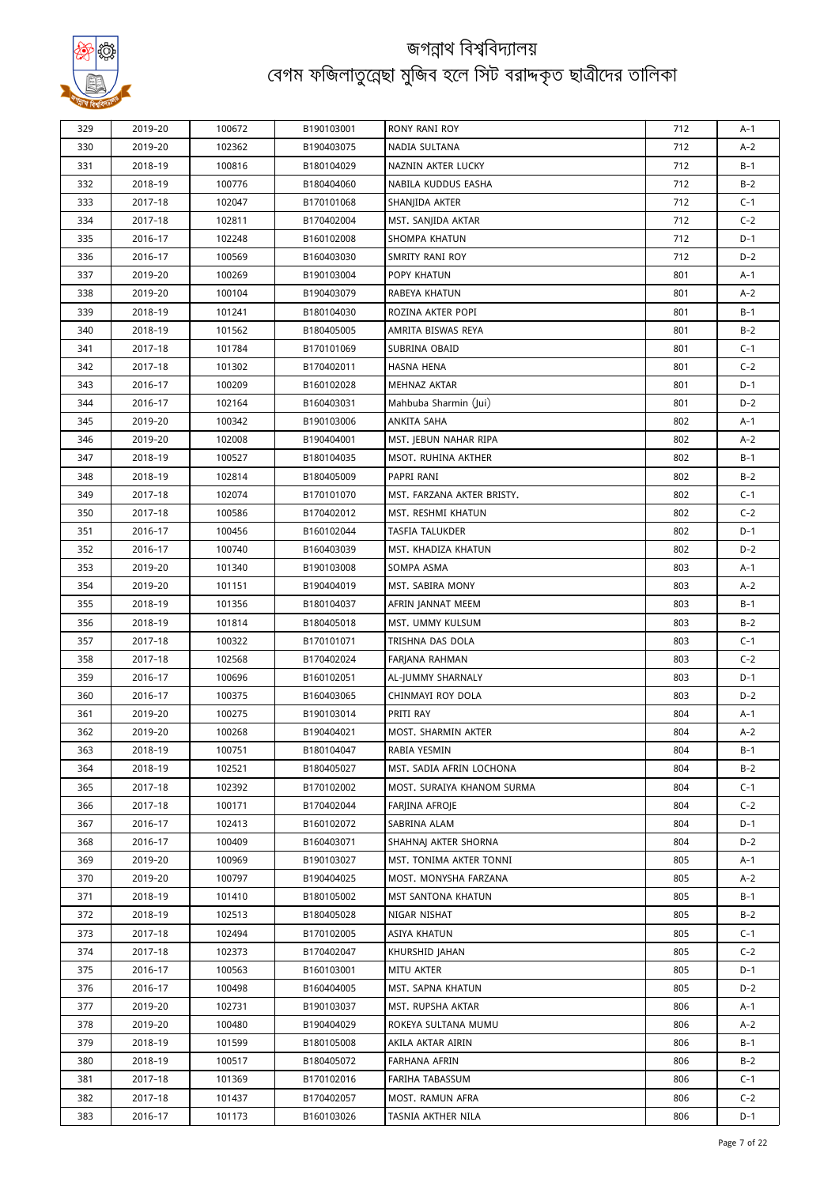

| 329        | 2019-20 | 100672 | B190103001 | RONY RANI ROY              | 712 | A-1            |
|------------|---------|--------|------------|----------------------------|-----|----------------|
| 330        | 2019-20 | 102362 | B190403075 | NADIA SULTANA              | 712 | $A-2$          |
| 331        | 2018-19 | 100816 | B180104029 | NAZNIN AKTER LUCKY         | 712 | $B-1$          |
| 332        | 2018-19 | 100776 | B180404060 | NABILA KUDDUS EASHA        | 712 | $B-2$          |
| 333        | 2017-18 | 102047 | B170101068 | SHANJIDA AKTER             | 712 | $C-1$          |
| 334        | 2017-18 | 102811 | B170402004 | MST. SANJIDA AKTAR         | 712 | $C-2$          |
| 335        | 2016-17 | 102248 | B160102008 | SHOMPA KHATUN              | 712 | D-1            |
| 336        | 2016-17 | 100569 | B160403030 | SMRITY RANI ROY            | 712 | $D-2$          |
| 337        | 2019-20 | 100269 | B190103004 | POPY KHATUN                | 801 | A-1            |
| 338        | 2019-20 | 100104 | B190403079 | RABEYA KHATUN              | 801 | $A-2$          |
| 339        | 2018-19 | 101241 | B180104030 | ROZINA AKTER POPI          | 801 | B-1            |
| 340        | 2018-19 | 101562 | B180405005 | AMRITA BISWAS REYA         | 801 | $B-2$          |
| 341        | 2017-18 | 101784 | B170101069 | SUBRINA OBAID              | 801 | $C-1$          |
| 342        | 2017-18 | 101302 | B170402011 | HASNA HENA                 | 801 | $C-2$          |
| 343        | 2016-17 | 100209 | B160102028 | MEHNAZ AKTAR               | 801 | D-1            |
| 344        | 2016-17 | 102164 | B160403031 | Mahbuba Sharmin (Jui)      | 801 | $D-2$          |
| 345        | 2019-20 | 100342 | B190103006 | ANKITA SAHA                | 802 | A-1            |
| 346        | 2019-20 | 102008 | B190404001 | MST. JEBUN NAHAR RIPA      | 802 | A-2            |
| 347        | 2018-19 | 100527 | B180104035 | MSOT. RUHINA AKTHER        | 802 | B-1            |
| 348        | 2018-19 | 102814 | B180405009 | PAPRI RANI                 | 802 | $B-2$          |
|            |         | 102074 | B170101070 |                            | 802 |                |
| 349<br>350 | 2017-18 |        |            | MST. FARZANA AKTER BRISTY. | 802 | $C-1$<br>$C-2$ |
|            | 2017-18 | 100586 | B170402012 | MST. RESHMI KHATUN         |     |                |
| 351        | 2016-17 | 100456 | B160102044 | <b>TASFIA TALUKDER</b>     | 802 | $D-1$          |
| 352        | 2016-17 | 100740 | B160403039 | MST. KHADIZA KHATUN        | 802 | D-2            |
| 353        | 2019-20 | 101340 | B190103008 | SOMPA ASMA                 | 803 | A-1            |
| 354        | 2019-20 | 101151 | B190404019 | MST. SABIRA MONY           | 803 | A-2            |
| 355        | 2018-19 | 101356 | B180104037 | AFRIN JANNAT MEEM          | 803 | B-1            |
| 356        | 2018-19 | 101814 | B180405018 | MST. UMMY KULSUM           | 803 | $B-2$          |
| 357        | 2017-18 | 100322 | B170101071 | TRISHNA DAS DOLA           | 803 | $C-1$          |
| 358        | 2017-18 | 102568 | B170402024 | FARJANA RAHMAN             | 803 | $C-2$          |
| 359        | 2016-17 | 100696 | B160102051 | AL-JUMMY SHARNALY          | 803 | $D-1$          |
| 360        | 2016-17 | 100375 | B160403065 | CHINMAYI ROY DOLA          | 803 | $D-2$          |
| 361        | 2019-20 | 100275 | B190103014 | PRITI RAY                  | 804 | A-1            |
| 362        | 2019-20 | 100268 | B190404021 | MOST. SHARMIN AKTER        | 804 | A-2            |
| 363        | 2018-19 | 100751 | B180104047 | RABIA YESMIN               | 804 | $B-1$          |
| 364        | 2018-19 | 102521 | B180405027 | MST. SADIA AFRIN LOCHONA   | 804 | $B-2$          |
| 365        | 2017-18 | 102392 | B170102002 | MOST. SURAIYA KHANOM SURMA | 804 | $C-1$          |
| 366        | 2017-18 | 100171 | B170402044 | FARJINA AFROJE             | 804 | $C-2$          |
| 367        | 2016-17 | 102413 | B160102072 | SABRINA ALAM               | 804 | D-1            |
| 368        | 2016-17 | 100409 | B160403071 | SHAHNAJ AKTER SHORNA       | 804 | $D-2$          |
| 369        | 2019-20 | 100969 | B190103027 | MST. TONIMA AKTER TONNI    | 805 | A-1            |
| 370        | 2019-20 | 100797 | B190404025 | MOST. MONYSHA FARZANA      | 805 | $A-2$          |
| 371        | 2018-19 | 101410 | B180105002 | MST SANTONA KHATUN         | 805 | B-1            |
| 372        | 2018-19 | 102513 | B180405028 | NIGAR NISHAT               | 805 | $B-2$          |
| 373        | 2017-18 | 102494 | B170102005 | ASIYA KHATUN               | 805 | $C-1$          |
| 374        | 2017-18 | 102373 | B170402047 | KHURSHID JAHAN             | 805 | $C-2$          |
| 375        | 2016-17 | 100563 | B160103001 | MITU AKTER                 | 805 | D-1            |
| 376        | 2016-17 | 100498 | B160404005 | MST. SAPNA KHATUN          | 805 | D-2            |
| 377        | 2019-20 | 102731 | B190103037 | MST. RUPSHA AKTAR          | 806 | A-1            |
| 378        | 2019-20 | 100480 | B190404029 | ROKEYA SULTANA MUMU        | 806 | $A-2$          |
| 379        | 2018-19 | 101599 | B180105008 | AKILA AKTAR AIRIN          | 806 | B-1            |
| 380        | 2018-19 | 100517 | B180405072 | FARHANA AFRIN              | 806 | $B-2$          |
| 381        | 2017-18 | 101369 | B170102016 | FARIHA TABASSUM            | 806 | $C-1$          |
| 382        | 2017-18 | 101437 | B170402057 | MOST. RAMUN AFRA           | 806 | $C-2$          |
| 383        | 2016-17 | 101173 | B160103026 | TASNIA AKTHER NILA         | 806 | D-1            |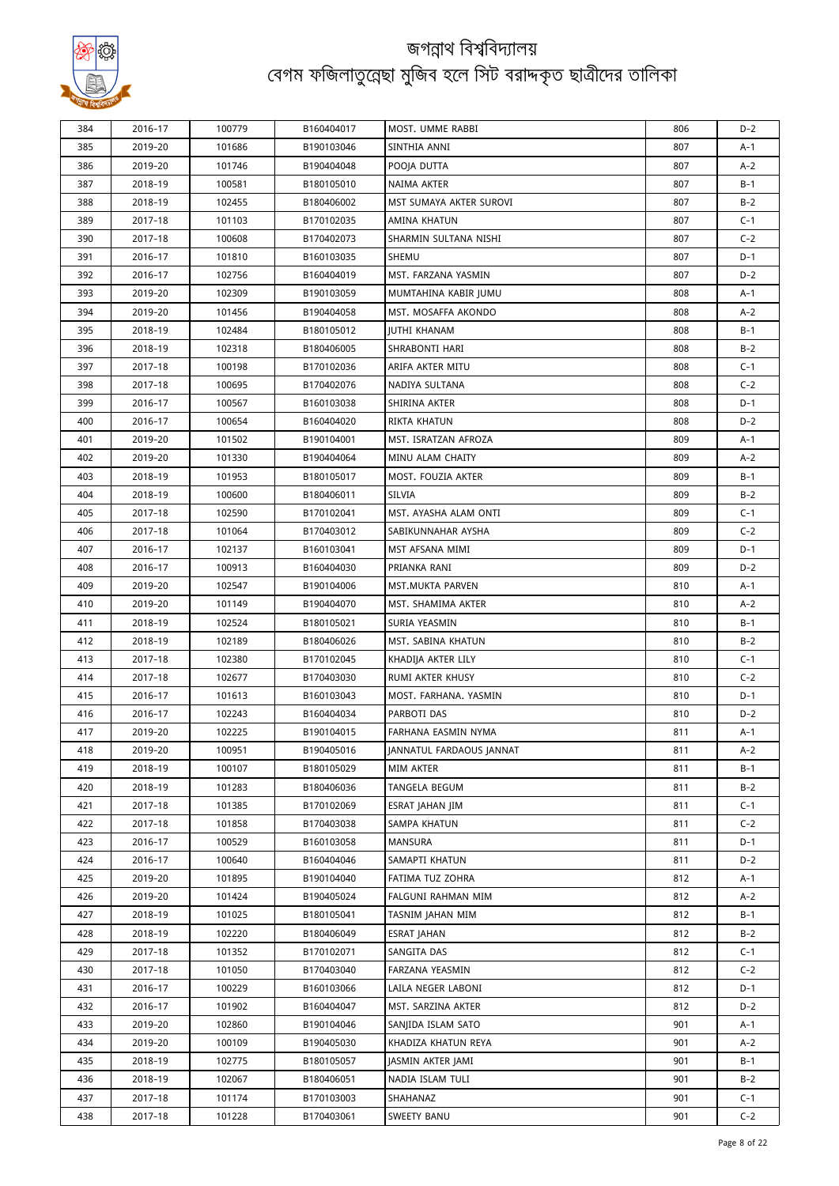

| 384        | 2016-17 | 100779 | B160404017 | MOST. UMME RABBI         | 806        | $D-2$ |
|------------|---------|--------|------------|--------------------------|------------|-------|
| 385        | 2019-20 | 101686 | B190103046 | SINTHIA ANNI             | 807        | A-1   |
| 386        | 2019-20 | 101746 | B190404048 | POOJA DUTTA              | 807        | $A-2$ |
| 387        | 2018-19 | 100581 | B180105010 | NAIMA AKTER              | 807        | B-1   |
| 388        | 2018-19 | 102455 | B180406002 | MST SUMAYA AKTER SUROVI  | 807        | $B-2$ |
| 389        | 2017-18 | 101103 | B170102035 | AMINA KHATUN             | 807        | $C-1$ |
| 390        | 2017-18 | 100608 | B170402073 | SHARMIN SULTANA NISHI    | 807        | $C-2$ |
| 391        | 2016-17 | 101810 | B160103035 | SHEMU                    | 807        | D-1   |
| 392        | 2016-17 | 102756 | B160404019 | MST. FARZANA YASMIN      | 807        | $D-2$ |
| 393        | 2019-20 | 102309 | B190103059 | MUMTAHINA KABIR JUMU     | 808        | A-1   |
| 394        | 2019-20 | 101456 | B190404058 | MST. MOSAFFA AKONDO      | 808        | A-2   |
| 395        | 2018-19 | 102484 | B180105012 | <b>JUTHI KHANAM</b>      | 808        | $B-1$ |
| 396        | 2018-19 | 102318 | B180406005 | SHRABONTI HARI           | 808        | $B-2$ |
| 397        | 2017-18 | 100198 | B170102036 | ARIFA AKTER MITU         | 808        | $C-1$ |
| 398        | 2017-18 | 100695 | B170402076 | NADIYA SULTANA           | 808        | $C-2$ |
| 399        | 2016-17 | 100567 | B160103038 | SHIRINA AKTER            | 808        | $D-1$ |
| 400        | 2016-17 | 100654 | B160404020 | RIKTA KHATUN             | 808        | D-2   |
| 401        | 2019-20 | 101502 | B190104001 | MST. ISRATZAN AFROZA     | 809        | A-1   |
| 402        | 2019-20 | 101330 | B190404064 | MINU ALAM CHAITY         | 809        | $A-2$ |
| 403        | 2018-19 | 101953 | B180105017 | MOST. FOUZIA AKTER       | 809        | B-1   |
| 404        | 2018-19 | 100600 | B180406011 | SILVIA                   | 809        | $B-2$ |
| 405        | 2017-18 | 102590 | B170102041 | MST. AYASHA ALAM ONTI    | 809        | $C-1$ |
| 406        | 2017-18 | 101064 | B170403012 | SABIKUNNAHAR AYSHA       | 809        | $C-2$ |
| 407        | 2016-17 | 102137 | B160103041 | MST AFSANA MIMI          | 809        | $D-1$ |
| 408        | 2016-17 | 100913 | B160404030 | PRIANKA RANI             | 809        | D-2   |
|            |         |        |            |                          |            |       |
| 409<br>410 | 2019-20 | 102547 | B190104006 | MST.MUKTA PARVEN         | 810<br>810 | A-1   |
|            | 2019-20 | 101149 | B190404070 | MST. SHAMIMA AKTER       |            | A-2   |
| 411        | 2018-19 | 102524 | B180105021 | SURIA YEASMIN            | 810        | B-1   |
| 412        | 2018-19 | 102189 | B180406026 | MST. SABINA KHATUN       | 810        | $B-2$ |
| 413        | 2017-18 | 102380 | B170102045 | KHADIJA AKTER LILY       | 810        | $C-1$ |
| 414        | 2017-18 | 102677 | B170403030 | RUMI AKTER KHUSY         | 810        | $C-2$ |
| 415        | 2016-17 | 101613 | B160103043 | MOST. FARHANA. YASMIN    | 810        | $D-1$ |
| 416        | 2016-17 | 102243 | B160404034 | PARBOTI DAS              | 810        | $D-2$ |
| 417        | 2019-20 | 102225 | B190104015 | FARHANA EASMIN NYMA      | 811        | A-1   |
| 418        | 2019-20 | 100951 | B190405016 | JANNATUL FARDAOUS JANNAT | 811        | A-2   |
| 419        | 2018-19 | 100107 | B180105029 | MIM AKTER                | 811        | B-1   |
| 420        | 2018-19 | 101283 | B180406036 | TANGELA BEGUM            | 811        | $B-2$ |
| 421        | 2017-18 | 101385 | B170102069 | ESRAT JAHAN JIM          | 811        | $C-1$ |
| 422        | 2017-18 | 101858 | B170403038 | SAMPA KHATUN             | 811        | $C-2$ |
| 423        | 2016-17 | 100529 | B160103058 | MANSURA                  | 811        | $D-1$ |
| 424        | 2016-17 | 100640 | B160404046 | SAMAPTI KHATUN           | 811        | D-2   |
| 425        | 2019-20 | 101895 | B190104040 | FATIMA TUZ ZOHRA         | 812        | A-1   |
| 426        | 2019-20 | 101424 | B190405024 | FALGUNI RAHMAN MIM       | 812        | $A-2$ |
| 427        | 2018-19 | 101025 | B180105041 | TASNIM JAHAN MIM         | 812        | B-1   |
| 428        | 2018-19 | 102220 | B180406049 | ESRAT JAHAN              | 812        | $B-2$ |
| 429        | 2017-18 | 101352 | B170102071 | SANGITA DAS              | 812        | $C-1$ |
| 430        | 2017-18 | 101050 | B170403040 | FARZANA YEASMIN          | 812        | $C-2$ |
| 431        | 2016-17 | 100229 | B160103066 | LAILA NEGER LABONI       | 812        | D-1   |
| 432        | 2016-17 | 101902 | B160404047 | MST. SARZINA AKTER       | 812        | $D-2$ |
| 433        | 2019-20 | 102860 | B190104046 | SANJIDA ISLAM SATO       | 901        | A-1   |
| 434        | 2019-20 | 100109 | B190405030 | KHADIZA KHATUN REYA      | 901        | A-2   |
| 435        | 2018-19 | 102775 | B180105057 | JASMIN AKTER JAMI        | 901        | $B-1$ |
| 436        | 2018-19 | 102067 | B180406051 | NADIA ISLAM TULI         | 901        | $B-2$ |
| 437        | 2017-18 | 101174 | B170103003 | SHAHANAZ                 | 901        | $C-1$ |
| 438        | 2017-18 | 101228 | B170403061 | SWEETY BANU              | 901        | $C-2$ |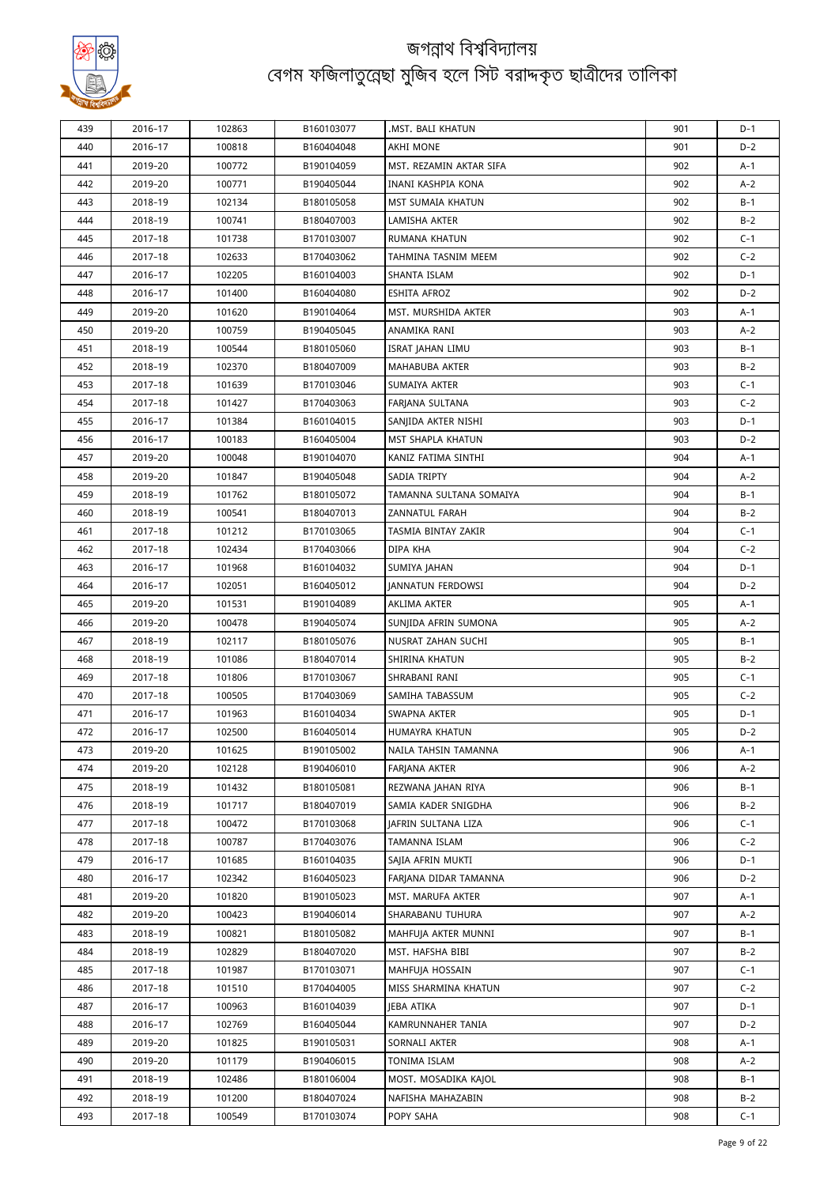

| 439 | 2016-17 | 102863 | B160103077 | .MST. BALI KHATUN          | 901 | D-1   |
|-----|---------|--------|------------|----------------------------|-----|-------|
| 440 | 2016-17 | 100818 | B160404048 | AKHI MONE                  | 901 | $D-2$ |
| 441 | 2019-20 | 100772 | B190104059 | MST. REZAMIN AKTAR SIFA    | 902 | A-1   |
| 442 | 2019-20 | 100771 | B190405044 | INANI KASHPIA KONA         | 902 | $A-2$ |
| 443 | 2018-19 | 102134 | B180105058 | MST SUMAIA KHATUN          | 902 | B-1   |
| 444 | 2018-19 | 100741 | B180407003 | LAMISHA AKTER              | 902 | $B-2$ |
| 445 | 2017-18 | 101738 | B170103007 | RUMANA KHATUN              | 902 | $C-1$ |
| 446 | 2017-18 | 102633 | B170403062 | TAHMINA TASNIM MEEM        | 902 | $C-2$ |
| 447 | 2016-17 | 102205 | B160104003 | SHANTA ISLAM               | 902 | $D-1$ |
| 448 | 2016-17 | 101400 | B160404080 | ESHITA AFROZ               | 902 | $D-2$ |
| 449 | 2019-20 | 101620 | B190104064 | MST. MURSHIDA AKTER        | 903 | A-1   |
| 450 | 2019-20 | 100759 | B190405045 | ANAMIKA RANI               | 903 | A-2   |
| 451 | 2018-19 | 100544 | B180105060 | ISRAT JAHAN LIMU           | 903 | $B-1$ |
| 452 | 2018-19 | 102370 | B180407009 | MAHABUBA AKTER             | 903 | $B-2$ |
| 453 | 2017-18 | 101639 | B170103046 | SUMAIYA AKTER              | 903 | $C-1$ |
| 454 | 2017-18 | 101427 | B170403063 | FARJANA SULTANA            | 903 | $C-2$ |
| 455 | 2016-17 | 101384 | B160104015 | SANJIDA AKTER NISHI        | 903 | $D-1$ |
| 456 | 2016-17 | 100183 | B160405004 | MST SHAPLA KHATUN          | 903 | $D-2$ |
| 457 | 2019-20 | 100048 | B190104070 | KANIZ FATIMA SINTHI        | 904 | A-1   |
| 458 | 2019-20 | 101847 | B190405048 | SADIA TRIPTY               | 904 | $A-2$ |
| 459 | 2018-19 | 101762 | B180105072 | TAMANNA SULTANA SOMAIYA    | 904 | $B-1$ |
| 460 | 2018-19 | 100541 | B180407013 | ZANNATUL FARAH             | 904 | $B-2$ |
| 461 | 2017-18 | 101212 | B170103065 | TASMIA BINTAY ZAKIR        | 904 | $C-1$ |
| 462 | 2017-18 | 102434 | B170403066 | DIPA KHA                   | 904 | $C-2$ |
| 463 | 2016-17 | 101968 | B160104032 | SUMIYA JAHAN               | 904 | $D-1$ |
| 464 | 2016-17 | 102051 | B160405012 | <b>JANNATUN FERDOWSI</b>   | 904 | $D-2$ |
| 465 | 2019-20 | 101531 | B190104089 | AKLIMA AKTER               | 905 | A-1   |
| 466 | 2019-20 | 100478 | B190405074 | SUNJIDA AFRIN SUMONA       | 905 | $A-2$ |
| 467 | 2018-19 | 102117 | B180105076 | NUSRAT ZAHAN SUCHI         | 905 | B-1   |
| 468 | 2018-19 | 101086 | B180407014 | SHIRINA KHATUN             | 905 | $B-2$ |
| 469 | 2017-18 | 101806 | B170103067 | SHRABANI RANI              | 905 | $C-1$ |
| 470 | 2017-18 | 100505 | B170403069 | SAMIHA TABASSUM            | 905 | $C-2$ |
| 471 | 2016-17 | 101963 | B160104034 | SWAPNA AKTER               | 905 | $D-1$ |
| 472 | 2016-17 | 102500 | B160405014 | HUMAYRA KHATUN             | 905 | $D-2$ |
| 473 | 2019-20 | 101625 | B190105002 | NAILA TAHSIN TAMANNA       | 906 | A-1   |
| 474 | 2019-20 | 102128 | B190406010 | <b>FARJANA AKTER</b>       | 906 | $A-2$ |
| 475 | 2018-19 | 101432 | B180105081 | REZWANA JAHAN RIYA         | 906 | B-1   |
| 476 | 2018-19 | 101717 | B180407019 | SAMIA KADER SNIGDHA        | 906 | $B-2$ |
| 477 | 2017-18 | 100472 | B170103068 | <b>JAFRIN SULTANA LIZA</b> | 906 | $C-1$ |
| 478 | 2017-18 | 100787 | B170403076 | TAMANNA ISLAM              | 906 | $C-2$ |
| 479 | 2016-17 | 101685 | B160104035 | SAJIA AFRIN MUKTI          | 906 | D-1   |
| 480 | 2016-17 | 102342 | B160405023 | FARJANA DIDAR TAMANNA      | 906 | D-2   |
| 481 | 2019-20 | 101820 | B190105023 | MST. MARUFA AKTER          | 907 | A-1   |
| 482 | 2019-20 | 100423 | B190406014 | SHARABANU TUHURA           | 907 | A-2   |
| 483 | 2018-19 | 100821 | B180105082 | MAHFUJA AKTER MUNNI        | 907 | B-1   |
| 484 | 2018-19 | 102829 | B180407020 | MST. HAFSHA BIBI           | 907 | $B-2$ |
| 485 | 2017-18 | 101987 | B170103071 | MAHFUJA HOSSAIN            | 907 | $C-1$ |
| 486 | 2017-18 | 101510 | B170404005 | MISS SHARMINA KHATUN       | 907 | $C-2$ |
| 487 | 2016-17 | 100963 | B160104039 | JEBA ATIKA                 | 907 | D-1   |
| 488 | 2016-17 | 102769 | B160405044 | KAMRUNNAHER TANIA          | 907 | D-2   |
| 489 | 2019-20 | 101825 | B190105031 | SORNALI AKTER              | 908 | A-1   |
| 490 | 2019-20 | 101179 | B190406015 | TONIMA ISLAM               | 908 | A-2   |
| 491 | 2018-19 | 102486 | B180106004 | MOST. MOSADIKA KAJOL       | 908 | B-1   |
| 492 | 2018-19 | 101200 | B180407024 | NAFISHA MAHAZABIN          | 908 | $B-2$ |
| 493 | 2017-18 | 100549 | B170103074 | POPY SAHA                  | 908 | $C-1$ |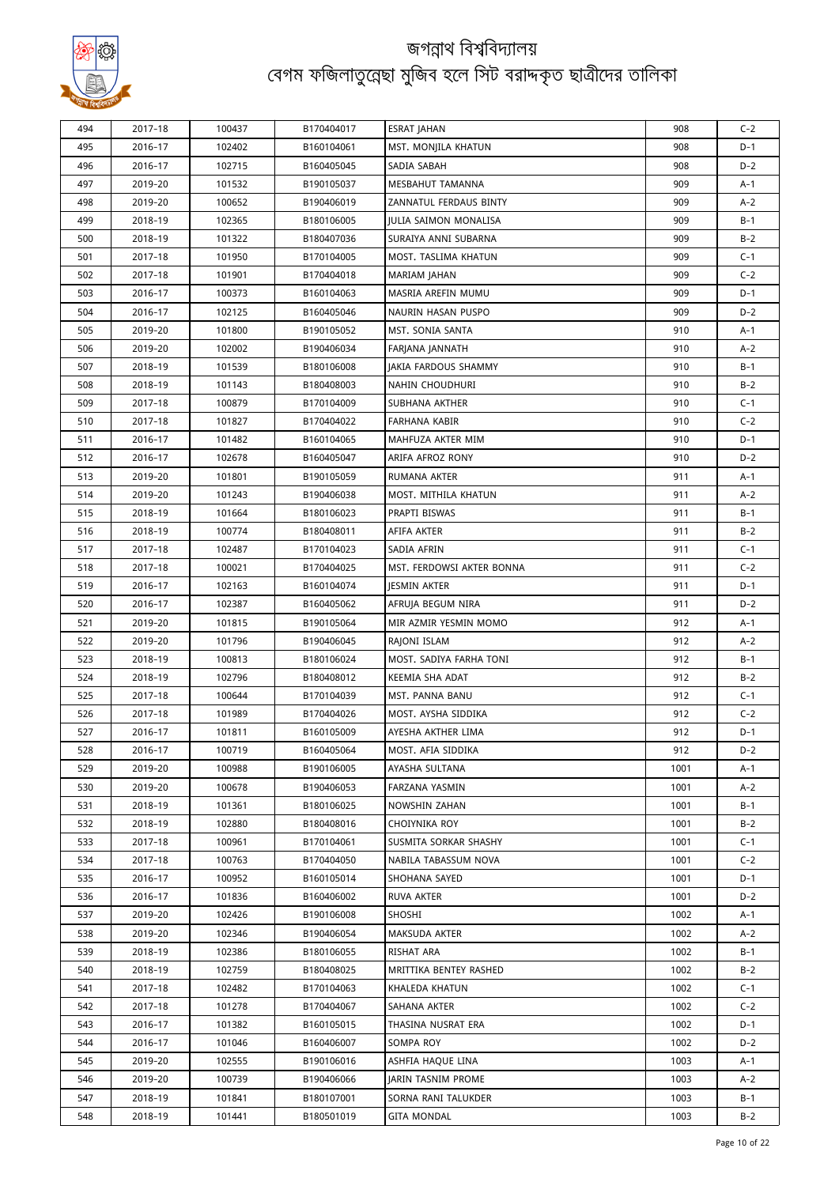

| 494 | 2017-18 | 100437 | B170404017 | <b>ESRAT JAHAN</b>        | 908  | $C-2$ |
|-----|---------|--------|------------|---------------------------|------|-------|
| 495 | 2016-17 | 102402 | B160104061 | MST. MONJILA KHATUN       | 908  | D-1   |
| 496 | 2016-17 | 102715 | B160405045 | SADIA SABAH               | 908  | $D-2$ |
| 497 | 2019-20 | 101532 | B190105037 | MESBAHUT TAMANNA          | 909  | A-1   |
| 498 | 2019-20 | 100652 | B190406019 | ZANNATUL FERDAUS BINTY    | 909  | A-2   |
| 499 | 2018-19 | 102365 | B180106005 | JULIA SAIMON MONALISA     | 909  | B-1   |
| 500 | 2018-19 | 101322 | B180407036 | SURAIYA ANNI SUBARNA      | 909  | $B-2$ |
| 501 | 2017-18 | 101950 | B170104005 | MOST. TASLIMA KHATUN      | 909  | $C-1$ |
| 502 | 2017-18 | 101901 | B170404018 | <b>MARIAM JAHAN</b>       | 909  | $C-2$ |
| 503 | 2016-17 | 100373 | B160104063 | MASRIA AREFIN MUMU        | 909  | $D-1$ |
| 504 | 2016-17 | 102125 | B160405046 | NAURIN HASAN PUSPO        | 909  | D-2   |
| 505 | 2019-20 | 101800 | B190105052 | MST. SONIA SANTA          | 910  | A-1   |
| 506 | 2019-20 | 102002 | B190406034 | FARJANA JANNATH           | 910  | A-2   |
| 507 | 2018-19 | 101539 | B180106008 | JAKIA FARDOUS SHAMMY      | 910  | B-1   |
| 508 | 2018-19 | 101143 | B180408003 | NAHIN CHOUDHURI           | 910  | $B-2$ |
| 509 | 2017-18 | 100879 | B170104009 | SUBHANA AKTHER            | 910  | $C-1$ |
| 510 | 2017-18 | 101827 | B170404022 | FARHANA KABIR             | 910  | $C-2$ |
| 511 | 2016-17 | 101482 | B160104065 | MAHFUZA AKTER MIM         | 910  | $D-1$ |
| 512 | 2016-17 | 102678 | B160405047 | ARIFA AFROZ RONY          | 910  | $D-2$ |
| 513 | 2019-20 | 101801 | B190105059 | RUMANA AKTER              | 911  | A-1   |
| 514 | 2019-20 | 101243 | B190406038 | MOST. MITHILA KHATUN      | 911  | $A-2$ |
| 515 | 2018-19 | 101664 | B180106023 | PRAPTI BISWAS             | 911  | B-1   |
| 516 | 2018-19 | 100774 | B180408011 | AFIFA AKTER               | 911  | $B-2$ |
| 517 | 2017-18 | 102487 | B170104023 | SADIA AFRIN               | 911  | $C-1$ |
| 518 | 2017-18 | 100021 | B170404025 | MST. FERDOWSI AKTER BONNA | 911  | $C-2$ |
| 519 | 2016-17 | 102163 | B160104074 | JESMIN AKTER              | 911  | $D-1$ |
| 520 | 2016-17 | 102387 | B160405062 | AFRUJA BEGUM NIRA         | 911  | $D-2$ |
| 521 | 2019-20 | 101815 | B190105064 | MIR AZMIR YESMIN MOMO     | 912  | A-1   |
| 522 | 2019-20 | 101796 | B190406045 | RAJONI ISLAM              | 912  | $A-2$ |
| 523 | 2018-19 | 100813 | B180106024 | MOST. SADIYA FARHA TONI   | 912  | B-1   |
| 524 | 2018-19 | 102796 | B180408012 | KEEMIA SHA ADAT           | 912  | $B-2$ |
| 525 | 2017-18 | 100644 | B170104039 | MST. PANNA BANU           | 912  | $C-1$ |
| 526 | 2017-18 | 101989 | B170404026 | MOST. AYSHA SIDDIKA       | 912  | $C-2$ |
| 527 | 2016-17 | 101811 | B160105009 | AYESHA AKTHER LIMA        | 912  | $D-1$ |
| 528 | 2016-17 | 100719 | B160405064 | MOST. AFIA SIDDIKA        | 912  | $D-2$ |
| 529 | 2019-20 | 100988 | B190106005 | AYASHA SULTANA            | 1001 | A-1   |
| 530 | 2019-20 | 100678 | B190406053 | FARZANA YASMIN            | 1001 | $A-2$ |
| 531 | 2018-19 | 101361 | B180106025 | NOWSHIN ZAHAN             | 1001 | B-1   |
| 532 | 2018-19 | 102880 | B180408016 | CHOIYNIKA ROY             | 1001 | $B-2$ |
| 533 | 2017-18 | 100961 | B170104061 | SUSMITA SORKAR SHASHY     | 1001 | $C-1$ |
| 534 | 2017-18 | 100763 | B170404050 | NABILA TABASSUM NOVA      | 1001 | $C-2$ |
| 535 | 2016-17 | 100952 | B160105014 | SHOHANA SAYED             | 1001 | D-1   |
| 536 | 2016-17 | 101836 | B160406002 | RUVA AKTER                | 1001 | D-2   |
| 537 | 2019-20 | 102426 | B190106008 | SHOSHI                    | 1002 | A-1   |
| 538 | 2019-20 | 102346 | B190406054 | MAKSUDA AKTER             | 1002 | A-2   |
| 539 | 2018-19 | 102386 | B180106055 | RISHAT ARA                | 1002 | B-1   |
| 540 | 2018–19 | 102759 | B180408025 | MRITTIKA BENTEY RASHED    | 1002 | $B-2$ |
| 541 | 2017-18 | 102482 | B170104063 | KHALEDA KHATUN            | 1002 | $C-1$ |
| 542 | 2017-18 | 101278 | B170404067 | SAHANA AKTER              | 1002 | $C-2$ |
| 543 | 2016-17 | 101382 | B160105015 | THASINA NUSRAT ERA        | 1002 | D-1   |
| 544 | 2016-17 | 101046 | B160406007 | SOMPA ROY                 | 1002 | $D-2$ |
| 545 | 2019-20 | 102555 | B190106016 | ASHFIA HAQUE LINA         | 1003 | A-1   |
| 546 | 2019-20 | 100739 | B190406066 | <b>JARIN TASNIM PROME</b> | 1003 | $A-2$ |
| 547 | 2018-19 | 101841 | B180107001 | SORNA RANI TALUKDER       | 1003 | B-1   |
| 548 | 2018-19 | 101441 | B180501019 | GITA MONDAL               | 1003 | $B-2$ |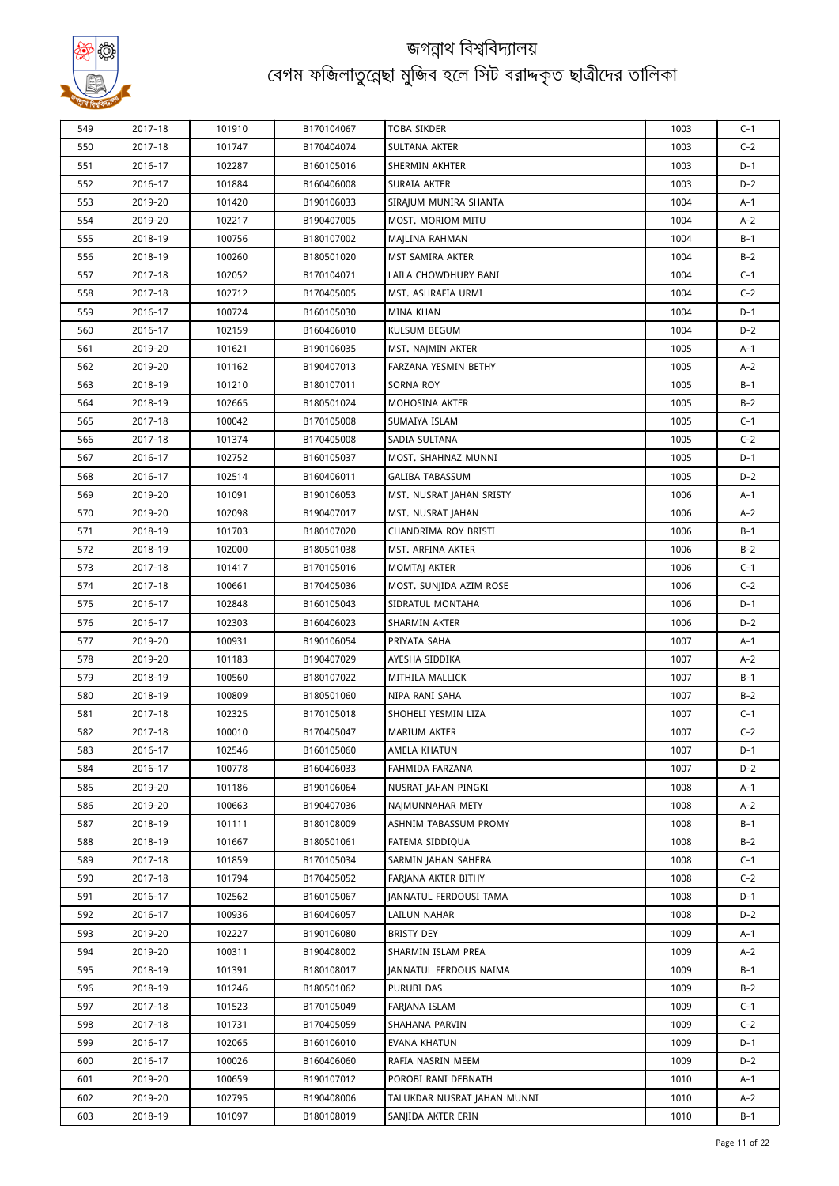

| 549 | 2017-18 | 101910 | B170104067 | <b>TOBA SIKDER</b>          | 1003 | $C-1$ |
|-----|---------|--------|------------|-----------------------------|------|-------|
| 550 | 2017-18 | 101747 | B170404074 | SULTANA AKTER               | 1003 | $C-2$ |
| 551 | 2016-17 | 102287 | B160105016 | SHERMIN AKHTER              | 1003 | $D-1$ |
| 552 | 2016-17 | 101884 | B160406008 | SURAIA AKTER                | 1003 | $D-2$ |
| 553 | 2019-20 | 101420 | B190106033 | SIRAJUM MUNIRA SHANTA       | 1004 | A-1   |
| 554 | 2019-20 | 102217 | B190407005 | MOST. MORIOM MITU           | 1004 | $A-2$ |
| 555 | 2018-19 | 100756 | B180107002 | MAJLINA RAHMAN              | 1004 | $B-1$ |
| 556 | 2018-19 | 100260 | B180501020 | MST SAMIRA AKTER            | 1004 | $B-2$ |
| 557 | 2017-18 | 102052 | B170104071 | LAILA CHOWDHURY BANI        | 1004 | $C-1$ |
| 558 | 2017-18 | 102712 | B170405005 | MST. ASHRAFIA URMI          | 1004 | $C-2$ |
| 559 | 2016-17 | 100724 | B160105030 | <b>MINA KHAN</b>            | 1004 | D-1   |
| 560 | 2016-17 | 102159 | B160406010 | KULSUM BEGUM                | 1004 | $D-2$ |
| 561 | 2019-20 | 101621 | B190106035 | MST. NAJMIN AKTER           | 1005 | A-1   |
| 562 | 2019-20 | 101162 | B190407013 | FARZANA YESMIN BETHY        | 1005 | $A-2$ |
| 563 | 2018-19 | 101210 | B180107011 | <b>SORNA ROY</b>            | 1005 | B-1   |
| 564 | 2018-19 | 102665 | B180501024 | MOHOSINA AKTER              | 1005 | $B-2$ |
| 565 | 2017-18 | 100042 | B170105008 | SUMAIYA ISLAM               | 1005 | $C-1$ |
| 566 | 2017-18 | 101374 | B170405008 | SADIA SULTANA               | 1005 | $C-2$ |
| 567 | 2016-17 | 102752 | B160105037 | MOST. SHAHNAZ MUNNI         | 1005 | $D-1$ |
| 568 | 2016-17 | 102514 | B160406011 | <b>GALIBA TABASSUM</b>      | 1005 | $D-2$ |
| 569 | 2019-20 | 101091 | B190106053 | MST. NUSRAT JAHAN SRISTY    | 1006 | A-1   |
| 570 | 2019-20 | 102098 | B190407017 | MST. NUSRAT JAHAN           | 1006 | $A-2$ |
| 571 | 2018-19 | 101703 | B180107020 | CHANDRIMA ROY BRISTI        | 1006 | B-1   |
| 572 | 2018-19 | 102000 | B180501038 | MST. ARFINA AKTER           | 1006 | $B-2$ |
| 573 | 2017-18 | 101417 | B170105016 | MOMTAJ AKTER                | 1006 | $C-1$ |
| 574 | 2017-18 | 100661 | B170405036 | MOST. SUNJIDA AZIM ROSE     | 1006 | $C-2$ |
| 575 | 2016-17 | 102848 | B160105043 | SIDRATUL MONTAHA            | 1006 | $D-1$ |
| 576 | 2016-17 | 102303 | B160406023 | SHARMIN AKTER               | 1006 | $D-2$ |
| 577 | 2019-20 | 100931 | B190106054 | PRIYATA SAHA                | 1007 | A-1   |
| 578 | 2019-20 | 101183 | B190407029 | AYESHA SIDDIKA              | 1007 | $A-2$ |
| 579 | 2018-19 | 100560 | B180107022 | MITHILA MALLICK             | 1007 | $B-1$ |
| 580 | 2018-19 | 100809 | B180501060 | NIPA RANI SAHA              | 1007 | $B-2$ |
| 581 | 2017-18 | 102325 | B170105018 | SHOHELI YESMIN LIZA         | 1007 | $C-1$ |
| 582 | 2017-18 | 100010 | B170405047 | <b>MARIUM AKTER</b>         | 1007 | $C-2$ |
| 583 | 2016-17 | 102546 | B160105060 | AMELA KHATUN                | 1007 | D-1   |
| 584 | 2016-17 | 100778 | B160406033 | FAHMIDA FARZANA             | 1007 | D-2   |
| 585 | 2019-20 | 101186 | B190106064 | NUSRAT JAHAN PINGKI         | 1008 | A-1   |
| 586 | 2019-20 | 100663 | B190407036 | NAIMUNNAHAR METY            | 1008 | A-2   |
| 587 | 2018-19 | 101111 | B180108009 | ASHNIM TABASSUM PROMY       | 1008 | B-1   |
| 588 | 2018-19 | 101667 | B180501061 | FATEMA SIDDIQUA             | 1008 | $B-2$ |
| 589 | 2017-18 | 101859 | B170105034 | SARMIN JAHAN SAHERA         | 1008 | $C-1$ |
| 590 | 2017-18 | 101794 | B170405052 | FARJANA AKTER BITHY         | 1008 | $C-2$ |
| 591 | 2016-17 | 102562 | B160105067 | JANNATUL FERDOUSI TAMA      | 1008 | $D-1$ |
| 592 | 2016-17 | 100936 | B160406057 | LAILUN NAHAR                | 1008 | $D-2$ |
| 593 | 2019-20 | 102227 | B190106080 | BRISTY DEY                  | 1009 | A-1   |
| 594 | 2019-20 | 100311 | B190408002 | SHARMIN ISLAM PREA          | 1009 | A-2   |
| 595 | 2018-19 | 101391 | B180108017 | JANNATUL FERDOUS NAIMA      | 1009 | B-1   |
| 596 | 2018–19 | 101246 | B180501062 | PURUBI DAS                  | 1009 | $B-2$ |
| 597 | 2017-18 | 101523 | B170105049 | FARJANA ISLAM               | 1009 | $C-1$ |
| 598 | 2017-18 | 101731 | B170405059 | SHAHANA PARVIN              | 1009 | $C-2$ |
| 599 | 2016-17 | 102065 | B160106010 | EVANA KHATUN                | 1009 | D-1   |
| 600 | 2016-17 | 100026 | B160406060 | RAFIA NASRIN MEEM           | 1009 | $D-2$ |
| 601 | 2019-20 | 100659 | B190107012 | POROBI RANI DEBNATH         | 1010 | A-1   |
| 602 | 2019-20 | 102795 | B190408006 | TALUKDAR NUSRAT JAHAN MUNNI | 1010 | A-2   |
| 603 | 2018-19 | 101097 | B180108019 | SANJIDA AKTER ERIN          | 1010 | B-1   |
|     |         |        |            |                             |      |       |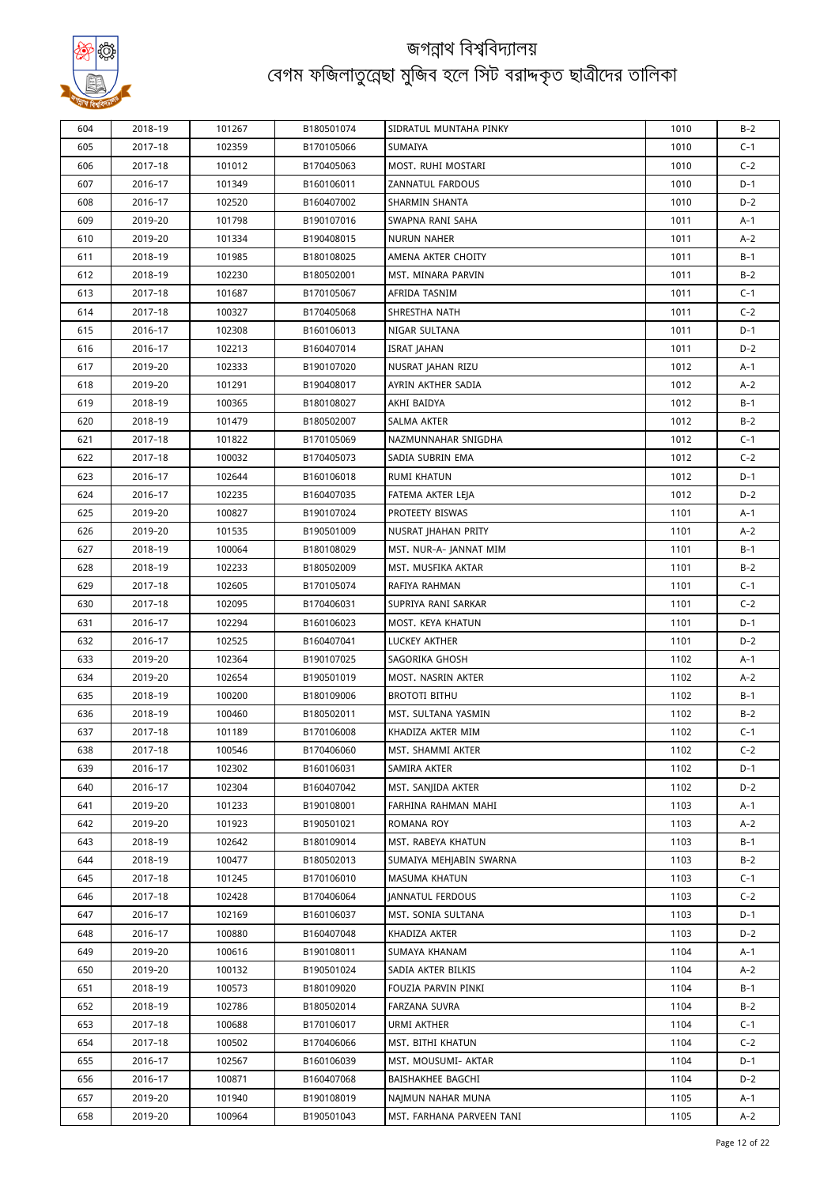

| 604 | 2018-19 | 101267 | B180501074 | SIDRATUL MUNTAHA PINKY    | 1010 | $B-2$ |
|-----|---------|--------|------------|---------------------------|------|-------|
| 605 | 2017-18 | 102359 | B170105066 | SUMAIYA                   | 1010 | $C-1$ |
| 606 | 2017-18 | 101012 | B170405063 | MOST. RUHI MOSTARI        | 1010 | $C-2$ |
| 607 | 2016-17 | 101349 | B160106011 | ZANNATUL FARDOUS          | 1010 | D-1   |
| 608 | 2016-17 | 102520 | B160407002 | SHARMIN SHANTA            | 1010 | D-2   |
| 609 | 2019-20 | 101798 | B190107016 | SWAPNA RANI SAHA          | 1011 | A-1   |
| 610 | 2019-20 | 101334 | B190408015 | NURUN NAHER               | 1011 | A-2   |
| 611 | 2018-19 | 101985 | B180108025 | AMENA AKTER CHOITY        | 1011 | $B-1$ |
| 612 | 2018-19 | 102230 | B180502001 | MST. MINARA PARVIN        | 1011 | $B-2$ |
| 613 | 2017-18 | 101687 | B170105067 | AFRIDA TASNIM             | 1011 | $C-1$ |
| 614 | 2017-18 | 100327 | B170405068 | SHRESTHA NATH             | 1011 | $C-2$ |
| 615 | 2016-17 | 102308 | B160106013 | NIGAR SULTANA             | 1011 | $D-1$ |
| 616 | 2016-17 | 102213 | B160407014 | <b>ISRAT JAHAN</b>        | 1011 | $D-2$ |
| 617 | 2019-20 | 102333 | B190107020 | NUSRAT JAHAN RIZU         | 1012 | A-1   |
| 618 | 2019-20 | 101291 | B190408017 | AYRIN AKTHER SADIA        | 1012 | A-2   |
| 619 | 2018-19 | 100365 | B180108027 | AKHI BAIDYA               | 1012 | $B-1$ |
| 620 | 2018-19 | 101479 | B180502007 | SALMA AKTER               | 1012 | $B-2$ |
| 621 | 2017-18 | 101822 | B170105069 | NAZMUNNAHAR SNIGDHA       | 1012 | $C-1$ |
| 622 | 2017-18 | 100032 | B170405073 | SADIA SUBRIN EMA          | 1012 | $C-2$ |
| 623 | 2016-17 | 102644 | B160106018 | RUMI KHATUN               | 1012 | $D-1$ |
| 624 | 2016-17 | 102235 | B160407035 | FATEMA AKTER LEJA         | 1012 | $D-2$ |
| 625 | 2019-20 | 100827 | B190107024 | PROTEETY BISWAS           | 1101 | A-1   |
| 626 | 2019-20 | 101535 | B190501009 | NUSRAT JHAHAN PRITY       | 1101 | A-2   |
| 627 | 2018-19 | 100064 | B180108029 | MST. NUR-A- JANNAT MIM    | 1101 | B-1   |
| 628 | 2018-19 | 102233 | B180502009 | MST. MUSFIKA AKTAR        | 1101 | $B-2$ |
| 629 | 2017-18 | 102605 | B170105074 | RAFIYA RAHMAN             | 1101 | $C-1$ |
| 630 | 2017-18 | 102095 | B170406031 | SUPRIYA RANI SARKAR       | 1101 | $C-2$ |
| 631 | 2016-17 | 102294 | B160106023 | MOST. KEYA KHATUN         | 1101 | $D-1$ |
| 632 | 2016-17 | 102525 | B160407041 | LUCKEY AKTHER             | 1101 | $D-2$ |
| 633 | 2019-20 | 102364 | B190107025 | SAGORIKA GHOSH            | 1102 | A-1   |
| 634 | 2019-20 | 102654 | B190501019 | MOST. NASRIN AKTER        | 1102 | $A-2$ |
| 635 | 2018-19 | 100200 | B180109006 | <b>BROTOTI BITHU</b>      | 1102 | B-1   |
| 636 | 2018-19 | 100460 | B180502011 | MST. SULTANA YASMIN       | 1102 | $B-2$ |
| 637 | 2017-18 | 101189 | B170106008 | KHADIZA AKTER MIM         | 1102 | $C-1$ |
| 638 | 2017-18 | 100546 | B170406060 | MST. SHAMMI AKTER         | 1102 | $C-2$ |
| 639 | 2016–17 | 102302 | B160106031 | SAMIRA AKTER              | 1102 | D-1   |
| 640 | 2016-17 | 102304 | B160407042 | MST. SANJIDA AKTER        | 1102 | $D-2$ |
| 641 | 2019-20 | 101233 | B190108001 | FARHINA RAHMAN MAHI       | 1103 | A-1   |
| 642 | 2019-20 | 101923 | B190501021 | ROMANA ROY                | 1103 | A-2   |
| 643 | 2018-19 | 102642 | B180109014 | MST. RABEYA KHATUN        | 1103 | B-1   |
| 644 | 2018-19 | 100477 | B180502013 | SUMAIYA MEHJABIN SWARNA   | 1103 | $B-2$ |
| 645 | 2017-18 | 101245 | B170106010 | <b>MASUMA KHATUN</b>      | 1103 | $C-1$ |
| 646 | 2017-18 | 102428 | B170406064 | <b>JANNATUL FERDOUS</b>   | 1103 | $C-2$ |
| 647 | 2016-17 | 102169 | B160106037 | MST. SONIA SULTANA        | 1103 | D-1   |
| 648 | 2016-17 | 100880 | B160407048 | KHADIZA AKTER             | 1103 | $D-2$ |
| 649 | 2019-20 | 100616 | B190108011 | SUMAYA KHANAM             | 1104 | A-1   |
| 650 | 2019-20 | 100132 | B190501024 | SADIA AKTER BILKIS        | 1104 | $A-2$ |
| 651 | 2018–19 | 100573 | B180109020 | FOUZIA PARVIN PINKI       | 1104 | B-1   |
| 652 | 2018-19 | 102786 | B180502014 | FARZANA SUVRA             | 1104 | $B-2$ |
| 653 | 2017-18 | 100688 | B170106017 | URMI AKTHER               | 1104 | $C-1$ |
| 654 | 2017-18 | 100502 | B170406066 | MST. BITHI KHATUN         | 1104 | $C-2$ |
| 655 | 2016-17 | 102567 | B160106039 | MST. MOUSUMI- AKTAR       | 1104 | $D-1$ |
| 656 | 2016-17 | 100871 | B160407068 | BAISHAKHEE BAGCHI         | 1104 | $D-2$ |
| 657 | 2019-20 | 101940 | B190108019 | NAJMUN NAHAR MUNA         | 1105 | A-1   |
| 658 | 2019-20 | 100964 | B190501043 | MST. FARHANA PARVEEN TANI | 1105 | $A-2$ |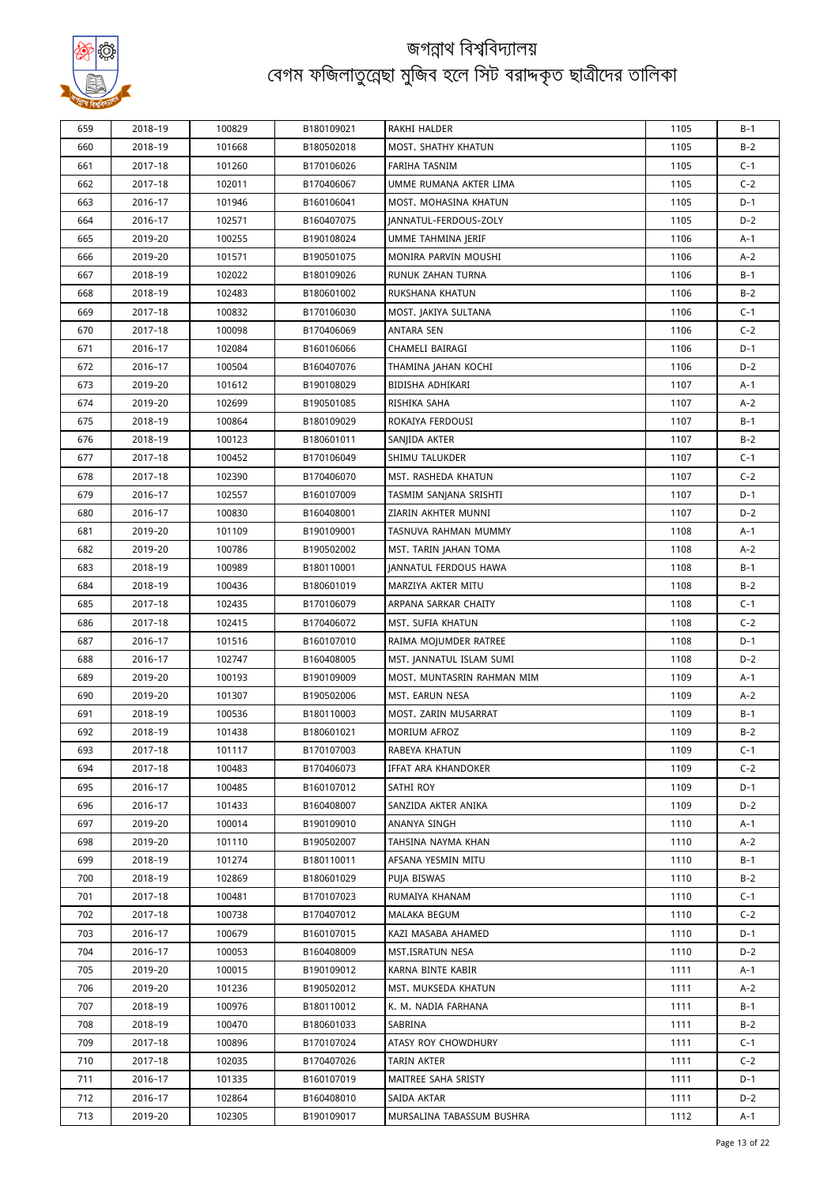

| 659 | 2018-19            | 100829           | B180109021 | RAKHI HALDER                 | 1105 | $B-1$ |
|-----|--------------------|------------------|------------|------------------------------|------|-------|
| 660 | 2018-19            | 101668           | B180502018 | MOST. SHATHY KHATUN          | 1105 | $B-2$ |
| 661 | 2017-18            | 101260           | B170106026 | <b>FARIHA TASNIM</b>         | 1105 | $C-1$ |
| 662 | 2017-18            | 102011           | B170406067 | UMME RUMANA AKTER LIMA       | 1105 | $C-2$ |
| 663 | 2016-17            | 101946           | B160106041 | MOST. MOHASINA KHATUN        | 1105 | $D-1$ |
| 664 | 2016-17            | 102571           | B160407075 | JANNATUL-FERDOUS-ZOLY        | 1105 | $D-2$ |
| 665 | 2019-20            | 100255           | B190108024 | UMME TAHMINA JERIF           | 1106 | $A-1$ |
| 666 | 2019-20            | 101571           | B190501075 | MONIRA PARVIN MOUSHI         | 1106 | $A-2$ |
| 667 | 2018-19            | 102022           | B180109026 | <b>RUNUK ZAHAN TURNA</b>     | 1106 | $B-1$ |
| 668 | 2018-19            | 102483           | B180601002 | RUKSHANA KHATUN              | 1106 | $B-2$ |
| 669 | 2017-18            | 100832           | B170106030 | MOST. JAKIYA SULTANA         | 1106 | $C-1$ |
| 670 | 2017-18            | 100098           | B170406069 | ANTARA SEN                   | 1106 | $C-2$ |
| 671 | 2016-17            | 102084           | B160106066 | CHAMELI BAIRAGI              | 1106 | $D-1$ |
| 672 | 2016-17            | 100504           | B160407076 | THAMINA JAHAN KOCHI          | 1106 | $D-2$ |
| 673 | 2019-20            | 101612           | B190108029 | BIDISHA ADHIKARI             | 1107 | $A-1$ |
| 674 | 2019-20            | 102699           | B190501085 | RISHIKA SAHA                 | 1107 | $A-2$ |
| 675 | 2018-19            | 100864           | B180109029 | ROKAIYA FERDOUSI             | 1107 | $B-1$ |
| 676 | 2018-19            | 100123           | B180601011 | SANJIDA AKTER                | 1107 | $B-2$ |
| 677 | 2017-18            | 100452           | B170106049 | SHIMU TALUKDER               | 1107 | $C-1$ |
| 678 | 2017-18            | 102390           | B170406070 | MST. RASHEDA KHATUN          | 1107 | $C-2$ |
| 679 |                    |                  | B160107009 | TASMIM SANJANA SRISHTI       | 1107 | $D-1$ |
| 680 | 2016-17<br>2016-17 | 102557<br>100830 | B160408001 | ZIARIN AKHTER MUNNI          | 1107 | $D-2$ |
|     |                    |                  |            |                              |      |       |
| 681 | 2019-20            | 101109           | B190109001 | TASNUVA RAHMAN MUMMY         | 1108 | $A-1$ |
| 682 | 2019-20            | 100786           | B190502002 | MST. TARIN JAHAN TOMA        | 1108 | $A-2$ |
| 683 | 2018-19            | 100989           | B180110001 | <b>JANNATUL FERDOUS HAWA</b> | 1108 | $B-1$ |
| 684 | 2018-19            | 100436           | B180601019 | MARZIYA AKTER MITU           | 1108 | $B-2$ |
| 685 | 2017-18            | 102435           | B170106079 | ARPANA SARKAR CHAITY         | 1108 | $C-1$ |
| 686 | 2017-18            | 102415           | B170406072 | MST. SUFIA KHATUN            | 1108 | $C-2$ |
| 687 | 2016-17            | 101516           | B160107010 | RAIMA MOJUMDER RATREE        | 1108 | $D-1$ |
| 688 | 2016-17            | 102747           | B160408005 | MST. JANNATUL ISLAM SUMI     | 1108 | $D-2$ |
| 689 | 2019-20            | 100193           | B190109009 | MOST. MUNTASRIN RAHMAN MIM   | 1109 | $A-1$ |
| 690 | 2019-20            | 101307           | B190502006 | MST. EARUN NESA              | 1109 | $A-2$ |
| 691 | 2018-19            | 100536           | B180110003 | MOST. ZARIN MUSARRAT         | 1109 | $B-1$ |
| 692 | 2018-19            | 101438           | B180601021 | <b>MORIUM AFROZ</b>          | 1109 | $B-2$ |
| 693 | 2017-18            | 101117           | B170107003 | RABEYA KHATUN                | 1109 | $C-1$ |
| 694 | 2017-18            | 100483           | B170406073 | IFFAT ARA KHANDOKER          | 1109 | $C-2$ |
| 695 | 2016-17            | 100485           | B160107012 | SATHI ROY                    | 1109 | $D-1$ |
| 696 | 2016-17            | 101433           | B160408007 | SANZIDA AKTER ANIKA          | 1109 | $D-2$ |
| 697 | 2019-20            | 100014           | B190109010 | ANANYA SINGH                 | 1110 | A-1   |
| 698 | 2019-20            | 101110           | B190502007 | TAHSINA NAYMA KHAN           | 1110 | $A-2$ |
| 699 | 2018-19            | 101274           | B180110011 | AFSANA YESMIN MITU           | 1110 | $B-1$ |
| 700 | 2018-19            | 102869           | B180601029 | PUJA BISWAS                  | 1110 | $B-2$ |
| 701 | 2017-18            | 100481           | B170107023 | RUMAIYA KHANAM               | 1110 | $C-1$ |
| 702 | 2017-18            | 100738           | B170407012 | MALAKA BEGUM                 | 1110 | $C-2$ |
| 703 | 2016-17            | 100679           | B160107015 | KAZI MASABA AHAMED           | 1110 | $D-1$ |
| 704 | 2016-17            | 100053           | B160408009 | MST.ISRATUN NESA             | 1110 | $D-2$ |
| 705 | 2019-20            | 100015           | B190109012 | KARNA BINTE KABIR            | 1111 | $A-1$ |
| 706 | 2019-20            | 101236           | B190502012 | MST. MUKSEDA KHATUN          | 1111 | $A-2$ |
| 707 | 2018-19            | 100976           | B180110012 | K. M. NADIA FARHANA          | 1111 | $B-1$ |
| 708 | 2018-19            | 100470           | B180601033 | SABRINA                      | 1111 | $B-2$ |
| 709 | 2017-18            | 100896           | B170107024 | ATASY ROY CHOWDHURY          | 1111 | $C-1$ |
| 710 | 2017-18            | 102035           | B170407026 | TARIN AKTER                  | 1111 | $C-2$ |
| 711 | 2016-17            | 101335           | B160107019 | MAITREE SAHA SRISTY          | 1111 | $D-1$ |
| 712 | 2016-17            | 102864           | B160408010 | SAIDA AKTAR                  | 1111 | $D-2$ |
| 713 | 2019-20            | 102305           | B190109017 | MURSALINA TABASSUM BUSHRA    | 1112 | A-1   |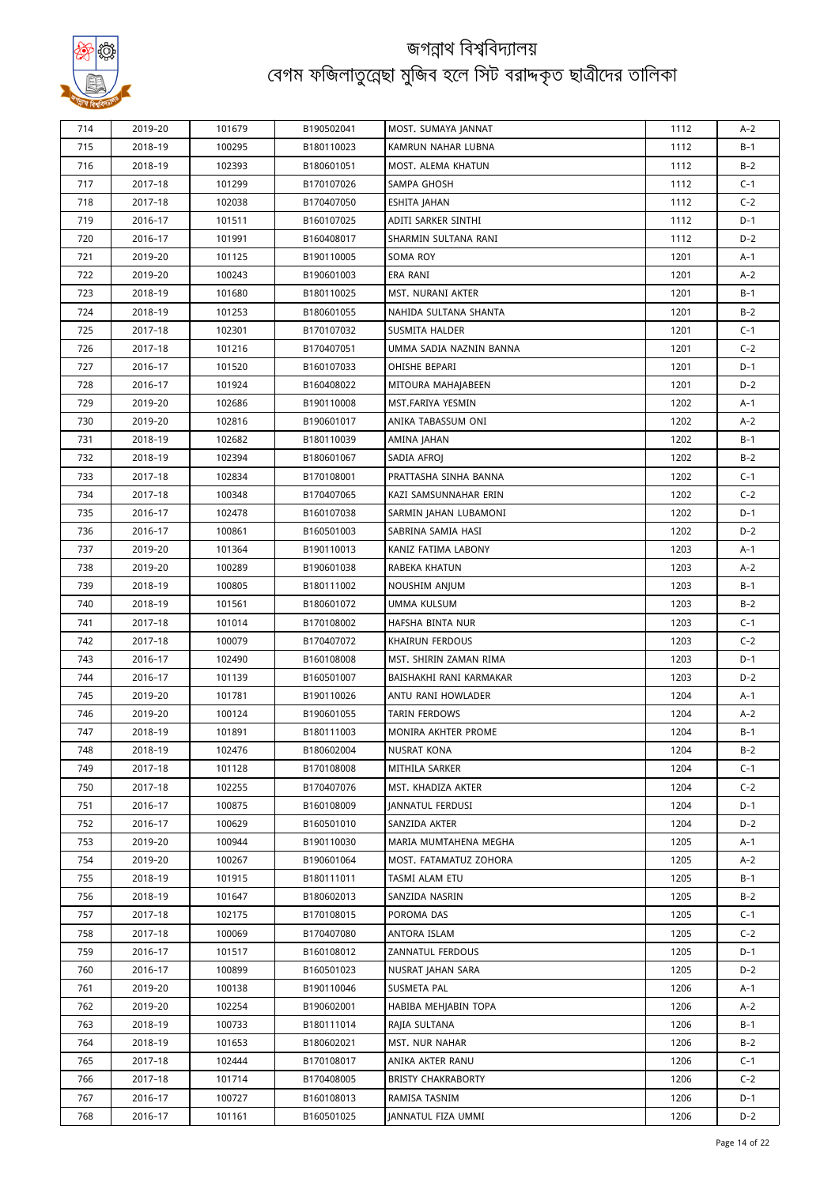

| 714 | 2019-20 | 101679 | B190502041 | MOST. SUMAYA JANNAT        | 1112 | $A-2$ |
|-----|---------|--------|------------|----------------------------|------|-------|
| 715 | 2018-19 | 100295 | B180110023 | KAMRUN NAHAR LUBNA         | 1112 | $B-1$ |
| 716 | 2018-19 | 102393 | B180601051 | MOST. ALEMA KHATUN         | 1112 | $B-2$ |
| 717 | 2017-18 | 101299 | B170107026 | SAMPA GHOSH                | 1112 | $C-1$ |
| 718 | 2017-18 | 102038 | B170407050 | ESHITA JAHAN               | 1112 | $C-2$ |
| 719 | 2016-17 | 101511 | B160107025 | ADITI SARKER SINTHI        | 1112 | $D-1$ |
| 720 | 2016-17 | 101991 | B160408017 | SHARMIN SULTANA RANI       | 1112 | $D-2$ |
| 721 | 2019-20 | 101125 | B190110005 | SOMA ROY                   | 1201 | $A-1$ |
| 722 | 2019-20 | 100243 | B190601003 | ERA RANI                   | 1201 | $A-2$ |
| 723 | 2018-19 | 101680 | B180110025 | MST. NURANI AKTER          | 1201 | $B-1$ |
| 724 | 2018-19 | 101253 | B180601055 | NAHIDA SULTANA SHANTA      | 1201 | $B-2$ |
| 725 | 2017-18 | 102301 | B170107032 | SUSMITA HALDER             | 1201 | $C-1$ |
| 726 | 2017-18 | 101216 | B170407051 | UMMA SADIA NAZNIN BANNA    | 1201 | $C-2$ |
| 727 | 2016-17 | 101520 | B160107033 | OHISHE BEPARI              | 1201 | $D-1$ |
| 728 | 2016-17 | 101924 | B160408022 | MITOURA MAHAJABEEN         | 1201 | $D-2$ |
| 729 | 2019-20 | 102686 | B190110008 | MST.FARIYA YESMIN          | 1202 | $A-1$ |
| 730 | 2019-20 | 102816 | B190601017 | ANIKA TABASSUM ONI         | 1202 | $A-2$ |
| 731 | 2018-19 | 102682 | B180110039 | AMINA JAHAN                | 1202 | B-1   |
| 732 | 2018-19 | 102394 | B180601067 | SADIA AFROJ                | 1202 | $B-2$ |
| 733 | 2017-18 | 102834 | B170108001 | PRATTASHA SINHA BANNA      | 1202 | $C-1$ |
| 734 | 2017-18 | 100348 | B170407065 | KAZI SAMSUNNAHAR ERIN      | 1202 | $C-2$ |
| 735 | 2016-17 | 102478 | B160107038 | SARMIN JAHAN LUBAMONI      | 1202 | $D-1$ |
| 736 | 2016-17 | 100861 | B160501003 | SABRINA SAMIA HASI         | 1202 | $D-2$ |
| 737 | 2019-20 | 101364 | B190110013 | KANIZ FATIMA LABONY        | 1203 | $A-1$ |
| 738 | 2019-20 | 100289 | B190601038 | RABEKA KHATUN              | 1203 | $A-2$ |
| 739 | 2018-19 | 100805 | B180111002 | NOUSHIM ANJUM              | 1203 | $B-1$ |
| 740 | 2018-19 | 101561 | B180601072 | UMMA KULSUM                | 1203 | $B-2$ |
| 741 | 2017-18 | 101014 | B170108002 | HAFSHA BINTA NUR           | 1203 | $C-1$ |
| 742 | 2017-18 | 100079 | B170407072 | <b>KHAIRUN FERDOUS</b>     | 1203 | $C-2$ |
| 743 | 2016-17 | 102490 | B160108008 | MST. SHIRIN ZAMAN RIMA     | 1203 | $D-1$ |
| 744 | 2016-17 | 101139 | B160501007 | BAISHAKHI RANI KARMAKAR    | 1203 | $D-2$ |
| 745 | 2019-20 | 101781 | B190110026 | ANTU RANI HOWLADER         | 1204 | $A-1$ |
| 746 | 2019-20 | 100124 | B190601055 | TARIN FERDOWS              | 1204 | $A-2$ |
| 747 | 2018-19 | 101891 | B180111003 | <b>MONIRA AKHTER PROME</b> | 1204 | B-1   |
| 748 | 2018-19 | 102476 | B180602004 | NUSRAT KONA                | 1204 | B-2   |
| 749 | 2017-18 | 101128 | B170108008 | MITHILA SARKER             | 1204 | $C-1$ |
| 750 | 2017-18 | 102255 | B170407076 | MST. KHADIZA AKTER         | 1204 | $C-2$ |
| 751 | 2016-17 | 100875 | B160108009 | <b>JANNATUL FERDUSI</b>    | 1204 | $D-1$ |
| 752 | 2016-17 | 100629 | B160501010 | SANZIDA AKTER              | 1204 | $D-2$ |
| 753 | 2019-20 | 100944 | B190110030 | MARIA MUMTAHENA MEGHA      | 1205 | $A-1$ |
| 754 | 2019-20 | 100267 | B190601064 | MOST. FATAMATUZ ZOHORA     | 1205 | $A-2$ |
| 755 | 2018-19 | 101915 | B180111011 | TASMI ALAM ETU             | 1205 | B-1   |
| 756 | 2018-19 | 101647 | B180602013 | SANZIDA NASRIN             | 1205 | $B-2$ |
| 757 | 2017-18 | 102175 | B170108015 | POROMA DAS                 | 1205 | $C-1$ |
| 758 | 2017-18 | 100069 | B170407080 | ANTORA ISLAM               | 1205 | $C-2$ |
| 759 | 2016-17 | 101517 | B160108012 | ZANNATUL FERDOUS           | 1205 | $D-1$ |
| 760 | 2016-17 | 100899 | B160501023 | NUSRAT JAHAN SARA          | 1205 | $D-2$ |
| 761 | 2019-20 | 100138 | B190110046 | SUSMETA PAL                | 1206 | A-1   |
| 762 | 2019-20 | 102254 | B190602001 | HABIBA MEHJABIN TOPA       | 1206 | $A-2$ |
| 763 | 2018-19 | 100733 | B180111014 | RAJIA SULTANA              | 1206 | B-1   |
| 764 | 2018-19 | 101653 | B180602021 | MST. NUR NAHAR             | 1206 | $B-2$ |
| 765 | 2017-18 | 102444 | B170108017 | ANIKA AKTER RANU           | 1206 | C-1   |
| 766 | 2017-18 | 101714 | B170408005 | <b>BRISTY CHAKRABORTY</b>  | 1206 | $C-2$ |
| 767 | 2016-17 | 100727 | B160108013 | RAMISA TASNIM              | 1206 | $D-1$ |
| 768 | 2016-17 | 101161 | B160501025 | JANNATUL FIZA UMMI         | 1206 | $D-2$ |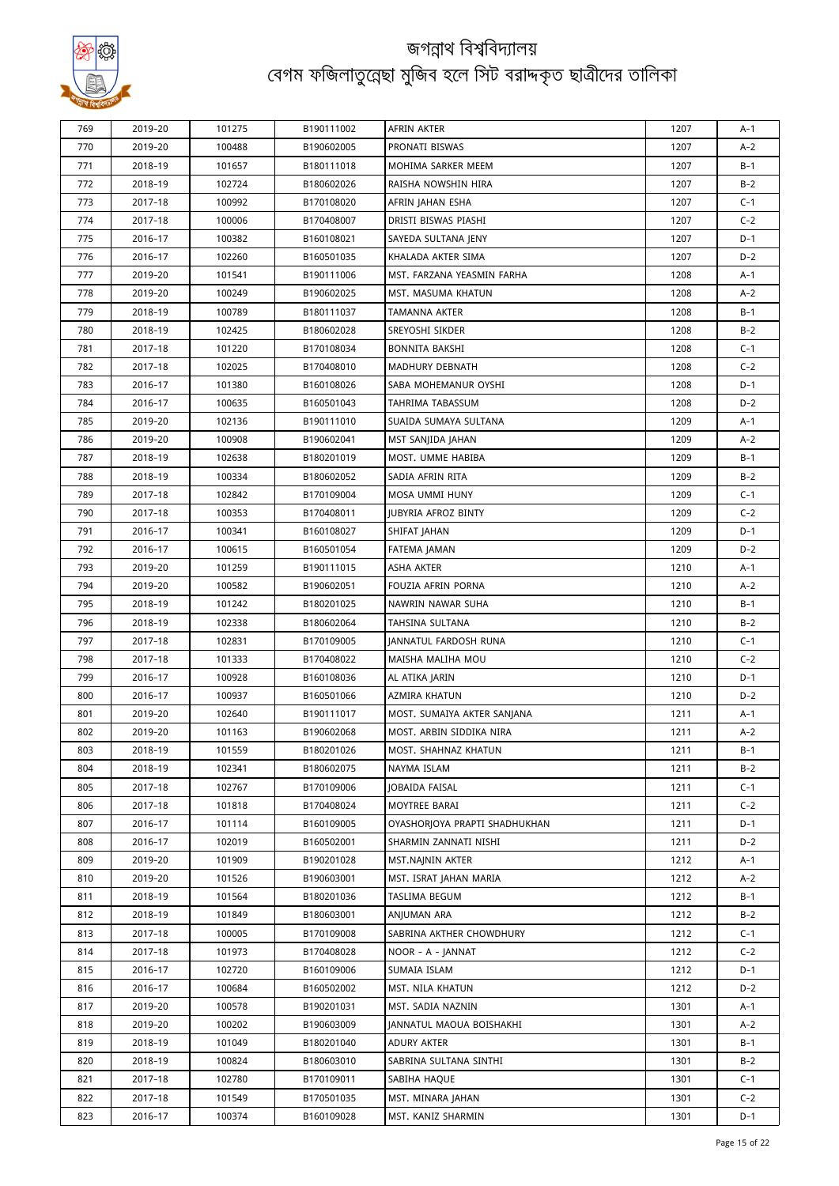

| A-1<br>770<br>2019-20<br>100488<br>B190602005<br>PRONATI BISWAS<br>1207<br>$A-2$<br>$B-1$<br>771<br>2018-19<br>101657<br>B180111018<br><b>MOHIMA SARKER MEEM</b><br>1207<br>$B-2$<br>772<br>2018-19<br>102724<br>RAISHA NOWSHIN HIRA<br>1207<br>B180602026<br>773<br>2017-18<br>100992<br>1207<br>$C-1$<br>B170108020<br>AFRIN JAHAN ESHA<br>774<br>2017-18<br>100006<br>B170408007<br>DRISTI BISWAS PIASHI<br>1207<br>$C-2$<br>$D-1$<br>775<br>2016-17<br>100382<br>B160108021<br>SAYEDA SULTANA JENY<br>1207<br>776<br>$D-2$<br>2016-17<br>102260<br>B160501035<br>KHALADA AKTER SIMA<br>1207<br>777<br>2019-20<br>101541<br>1208<br>$A-1$<br>B190111006<br>MST. FARZANA YEASMIN FARHA<br>778<br>$A-2$<br>2019-20<br>100249<br>B190602025<br>MST. MASUMA KHATUN<br>1208<br>779<br>$B-1$<br>2018-19<br>100789<br>B180111037<br>1208<br>TAMANNA AKTER<br>780<br>2018-19<br>102425<br>B180602028<br>1208<br>$B-2$<br>SREYOSHI SIKDER<br>$C-1$<br>781<br>2017-18<br>101220<br>B170108034<br>BONNITA BAKSHI<br>1208<br>782<br>$C-2$<br>2017-18<br>102025<br>B170408010<br>MADHURY DEBNATH<br>1208<br>783<br>101380<br>1208<br>$D-1$<br>2016-17<br>B160108026<br>SABA MOHEMANUR OYSHI<br>$D-2$<br>784<br>2016-17<br>100635<br>1208<br>B160501043<br>TAHRIMA TABASSUM<br>785<br>2019-20<br>102136<br>B190111010<br>1209<br>$A-1$<br>SUAIDA SUMAYA SULTANA<br>786<br>2019-20<br>100908<br>1209<br>$A-2$<br>B190602041<br>MST SANJIDA JAHAN<br>787<br>$B-1$<br>2018-19<br>102638<br>B180201019<br>MOST. UMME HABIBA<br>1209<br>788<br>SADIA AFRIN RITA<br>$B-2$<br>2018-19<br>100334<br>B180602052<br>1209<br>789<br>2017-18<br>102842<br>B170109004<br>MOSA UMMI HUNY<br>1209<br>$C-1$<br>790<br>$C-2$<br>2017-18<br>100353<br>B170408011<br><b>IUBYRIA AFROZ BINTY</b><br>1209<br>791<br>$D-1$<br>2016-17<br>100341<br>B160108027<br>SHIFAT JAHAN<br>1209<br>792<br>2016-17<br>100615<br>1209<br>$D-2$<br>B160501054<br>FATEMA JAMAN<br>793<br>2019-20<br>101259<br>B190111015<br>ASHA AKTER<br>1210<br>$A-1$<br>794<br>FOUZIA AFRIN PORNA<br>2019-20<br>100582<br>B190602051<br>1210<br>$A-2$<br>795<br>101242<br>1210<br>$B-1$<br>2018-19<br>B180201025<br>NAWRIN NAWAR SUHA<br>$B-2$<br>796<br>2018-19<br>102338<br>1210<br>B180602064<br>TAHSINA SULTANA<br>797<br>$C-1$<br>2017-18<br>102831<br>B170109005<br>JANNATUL FARDOSH RUNA<br>1210<br>798<br>2017-18<br>101333<br>1210<br>$C-2$<br>B170408022<br>MAISHA MALIHA MOU<br>799<br>2016-17<br>100928<br>B160108036<br>1210<br>$D-1$<br>AL ATIKA JARIN<br>$D-2$<br>800<br>2016-17<br>100937<br>B160501066<br>AZMIRA KHATUN<br>1210<br>801<br>2019-20<br>102640<br>B190111017<br>MOST. SUMAIYA AKTER SANJANA<br>1211<br>$A-1$<br>$A-2$<br>802<br>1211<br>2019-20<br>101163<br>B190602068<br>MOST. ARBIN SIDDIKA NIRA<br>MOST. SHAHNAZ KHATUN<br>803<br>2018-19<br>B180201026<br>101559<br>1211<br>B-1<br>804<br>B180602075<br>$B-2$<br>2018-19<br>102341<br>NAYMA ISLAM<br>1211<br>102767<br>805<br>2017-18<br>B170109006<br>JOBAIDA FAISAL<br>1211<br>$C-1$<br>2017-18<br>806<br>101818<br>B170408024<br>MOYTREE BARAI<br>1211<br>$C-2$<br>807<br>2016-17<br>101114<br>B160109005<br>OYASHORJOYA PRAPTI SHADHUKHAN<br>1211<br>$D-1$<br>$D-2$<br>808<br>2016-17<br>102019<br>B160502001<br>SHARMIN ZANNATI NISHI<br>1211<br>809<br>2019-20<br>101909<br>B190201028<br>MST.NAININ AKTER<br>1212<br>$A-1$<br>810<br>2019-20<br>101526<br>B190603001<br>MST. ISRAT JAHAN MARIA<br>1212<br>$A-2$<br>811<br>2018-19<br>101564<br>B180201036<br>TASLIMA BEGUM<br>1212<br>$B-1$<br>812<br>2018-19<br>101849<br>B180603001<br>ANJUMAN ARA<br>1212<br>$B-2$<br>813<br>2017-18<br>100005<br>B170109008<br>SABRINA AKTHER CHOWDHURY<br>$C-1$<br>1212<br>814<br>$C-2$<br>2017-18<br>101973<br>B170408028<br>NOOR - A - JANNAT<br>1212<br>815<br>2016-17<br>102720<br>B160109006<br>SUMAIA ISLAM<br>1212<br>$D-1$<br>816<br>2016-17<br>100684<br>B160502002<br>MST. NILA KHATUN<br>$D-2$<br>1212<br>817<br>2019-20<br>100578<br>B190201031<br>MST. SADIA NAZNIN<br>1301<br>$A-1$<br>818<br>2019-20<br>100202<br>B190603009<br>JANNATUL MAOUA BOISHAKHI<br>1301<br>$A-2$<br>819<br>2018-19<br>101049<br>B180201040<br>ADURY AKTER<br>$B-1$<br>1301<br>820<br>$B-2$<br>2018-19<br>100824<br>B180603010<br>SABRINA SULTANA SINTHI<br>1301<br>821<br>2017-18<br>102780<br>B170109011<br>SABIHA HAQUE<br>1301<br>$C-1$<br>822<br>2017-18<br>101549<br>B170501035<br>MST. MINARA JAHAN<br>1301<br>$C-2$<br>823<br>B160109028<br>2016-17<br>100374<br>MST. KANIZ SHARMIN<br>1301<br>$D-1$ |     |         |        |            |             |      |  |
|------------------------------------------------------------------------------------------------------------------------------------------------------------------------------------------------------------------------------------------------------------------------------------------------------------------------------------------------------------------------------------------------------------------------------------------------------------------------------------------------------------------------------------------------------------------------------------------------------------------------------------------------------------------------------------------------------------------------------------------------------------------------------------------------------------------------------------------------------------------------------------------------------------------------------------------------------------------------------------------------------------------------------------------------------------------------------------------------------------------------------------------------------------------------------------------------------------------------------------------------------------------------------------------------------------------------------------------------------------------------------------------------------------------------------------------------------------------------------------------------------------------------------------------------------------------------------------------------------------------------------------------------------------------------------------------------------------------------------------------------------------------------------------------------------------------------------------------------------------------------------------------------------------------------------------------------------------------------------------------------------------------------------------------------------------------------------------------------------------------------------------------------------------------------------------------------------------------------------------------------------------------------------------------------------------------------------------------------------------------------------------------------------------------------------------------------------------------------------------------------------------------------------------------------------------------------------------------------------------------------------------------------------------------------------------------------------------------------------------------------------------------------------------------------------------------------------------------------------------------------------------------------------------------------------------------------------------------------------------------------------------------------------------------------------------------------------------------------------------------------------------------------------------------------------------------------------------------------------------------------------------------------------------------------------------------------------------------------------------------------------------------------------------------------------------------------------------------------------------------------------------------------------------------------------------------------------------------------------------------------------------------------------------------------------------------------------------------------------------------------------------------------------------------------------------------------------------------------------------------------------------------------------------------------------------------------------------------------------------------------------------------------------------------------------------------------------------------------------------------------------------------------------------------------------------------------------------------------------------------------------------------------------------------------------------------------------------------------------------------------------------------------------------------------------------------------------------------------------------------------------------------------|-----|---------|--------|------------|-------------|------|--|
|                                                                                                                                                                                                                                                                                                                                                                                                                                                                                                                                                                                                                                                                                                                                                                                                                                                                                                                                                                                                                                                                                                                                                                                                                                                                                                                                                                                                                                                                                                                                                                                                                                                                                                                                                                                                                                                                                                                                                                                                                                                                                                                                                                                                                                                                                                                                                                                                                                                                                                                                                                                                                                                                                                                                                                                                                                                                                                                                                                                                                                                                                                                                                                                                                                                                                                                                                                                                                                                                                                                                                                                                                                                                                                                                                                                                                                                                                                                                                                                                                                                                                                                                                                                                                                                                                                                                                                                                                                                                                                                        | 769 | 2019-20 | 101275 | B190111002 | AFRIN AKTER | 1207 |  |
|                                                                                                                                                                                                                                                                                                                                                                                                                                                                                                                                                                                                                                                                                                                                                                                                                                                                                                                                                                                                                                                                                                                                                                                                                                                                                                                                                                                                                                                                                                                                                                                                                                                                                                                                                                                                                                                                                                                                                                                                                                                                                                                                                                                                                                                                                                                                                                                                                                                                                                                                                                                                                                                                                                                                                                                                                                                                                                                                                                                                                                                                                                                                                                                                                                                                                                                                                                                                                                                                                                                                                                                                                                                                                                                                                                                                                                                                                                                                                                                                                                                                                                                                                                                                                                                                                                                                                                                                                                                                                                                        |     |         |        |            |             |      |  |
|                                                                                                                                                                                                                                                                                                                                                                                                                                                                                                                                                                                                                                                                                                                                                                                                                                                                                                                                                                                                                                                                                                                                                                                                                                                                                                                                                                                                                                                                                                                                                                                                                                                                                                                                                                                                                                                                                                                                                                                                                                                                                                                                                                                                                                                                                                                                                                                                                                                                                                                                                                                                                                                                                                                                                                                                                                                                                                                                                                                                                                                                                                                                                                                                                                                                                                                                                                                                                                                                                                                                                                                                                                                                                                                                                                                                                                                                                                                                                                                                                                                                                                                                                                                                                                                                                                                                                                                                                                                                                                                        |     |         |        |            |             |      |  |
|                                                                                                                                                                                                                                                                                                                                                                                                                                                                                                                                                                                                                                                                                                                                                                                                                                                                                                                                                                                                                                                                                                                                                                                                                                                                                                                                                                                                                                                                                                                                                                                                                                                                                                                                                                                                                                                                                                                                                                                                                                                                                                                                                                                                                                                                                                                                                                                                                                                                                                                                                                                                                                                                                                                                                                                                                                                                                                                                                                                                                                                                                                                                                                                                                                                                                                                                                                                                                                                                                                                                                                                                                                                                                                                                                                                                                                                                                                                                                                                                                                                                                                                                                                                                                                                                                                                                                                                                                                                                                                                        |     |         |        |            |             |      |  |
|                                                                                                                                                                                                                                                                                                                                                                                                                                                                                                                                                                                                                                                                                                                                                                                                                                                                                                                                                                                                                                                                                                                                                                                                                                                                                                                                                                                                                                                                                                                                                                                                                                                                                                                                                                                                                                                                                                                                                                                                                                                                                                                                                                                                                                                                                                                                                                                                                                                                                                                                                                                                                                                                                                                                                                                                                                                                                                                                                                                                                                                                                                                                                                                                                                                                                                                                                                                                                                                                                                                                                                                                                                                                                                                                                                                                                                                                                                                                                                                                                                                                                                                                                                                                                                                                                                                                                                                                                                                                                                                        |     |         |        |            |             |      |  |
|                                                                                                                                                                                                                                                                                                                                                                                                                                                                                                                                                                                                                                                                                                                                                                                                                                                                                                                                                                                                                                                                                                                                                                                                                                                                                                                                                                                                                                                                                                                                                                                                                                                                                                                                                                                                                                                                                                                                                                                                                                                                                                                                                                                                                                                                                                                                                                                                                                                                                                                                                                                                                                                                                                                                                                                                                                                                                                                                                                                                                                                                                                                                                                                                                                                                                                                                                                                                                                                                                                                                                                                                                                                                                                                                                                                                                                                                                                                                                                                                                                                                                                                                                                                                                                                                                                                                                                                                                                                                                                                        |     |         |        |            |             |      |  |
|                                                                                                                                                                                                                                                                                                                                                                                                                                                                                                                                                                                                                                                                                                                                                                                                                                                                                                                                                                                                                                                                                                                                                                                                                                                                                                                                                                                                                                                                                                                                                                                                                                                                                                                                                                                                                                                                                                                                                                                                                                                                                                                                                                                                                                                                                                                                                                                                                                                                                                                                                                                                                                                                                                                                                                                                                                                                                                                                                                                                                                                                                                                                                                                                                                                                                                                                                                                                                                                                                                                                                                                                                                                                                                                                                                                                                                                                                                                                                                                                                                                                                                                                                                                                                                                                                                                                                                                                                                                                                                                        |     |         |        |            |             |      |  |
|                                                                                                                                                                                                                                                                                                                                                                                                                                                                                                                                                                                                                                                                                                                                                                                                                                                                                                                                                                                                                                                                                                                                                                                                                                                                                                                                                                                                                                                                                                                                                                                                                                                                                                                                                                                                                                                                                                                                                                                                                                                                                                                                                                                                                                                                                                                                                                                                                                                                                                                                                                                                                                                                                                                                                                                                                                                                                                                                                                                                                                                                                                                                                                                                                                                                                                                                                                                                                                                                                                                                                                                                                                                                                                                                                                                                                                                                                                                                                                                                                                                                                                                                                                                                                                                                                                                                                                                                                                                                                                                        |     |         |        |            |             |      |  |
|                                                                                                                                                                                                                                                                                                                                                                                                                                                                                                                                                                                                                                                                                                                                                                                                                                                                                                                                                                                                                                                                                                                                                                                                                                                                                                                                                                                                                                                                                                                                                                                                                                                                                                                                                                                                                                                                                                                                                                                                                                                                                                                                                                                                                                                                                                                                                                                                                                                                                                                                                                                                                                                                                                                                                                                                                                                                                                                                                                                                                                                                                                                                                                                                                                                                                                                                                                                                                                                                                                                                                                                                                                                                                                                                                                                                                                                                                                                                                                                                                                                                                                                                                                                                                                                                                                                                                                                                                                                                                                                        |     |         |        |            |             |      |  |
|                                                                                                                                                                                                                                                                                                                                                                                                                                                                                                                                                                                                                                                                                                                                                                                                                                                                                                                                                                                                                                                                                                                                                                                                                                                                                                                                                                                                                                                                                                                                                                                                                                                                                                                                                                                                                                                                                                                                                                                                                                                                                                                                                                                                                                                                                                                                                                                                                                                                                                                                                                                                                                                                                                                                                                                                                                                                                                                                                                                                                                                                                                                                                                                                                                                                                                                                                                                                                                                                                                                                                                                                                                                                                                                                                                                                                                                                                                                                                                                                                                                                                                                                                                                                                                                                                                                                                                                                                                                                                                                        |     |         |        |            |             |      |  |
|                                                                                                                                                                                                                                                                                                                                                                                                                                                                                                                                                                                                                                                                                                                                                                                                                                                                                                                                                                                                                                                                                                                                                                                                                                                                                                                                                                                                                                                                                                                                                                                                                                                                                                                                                                                                                                                                                                                                                                                                                                                                                                                                                                                                                                                                                                                                                                                                                                                                                                                                                                                                                                                                                                                                                                                                                                                                                                                                                                                                                                                                                                                                                                                                                                                                                                                                                                                                                                                                                                                                                                                                                                                                                                                                                                                                                                                                                                                                                                                                                                                                                                                                                                                                                                                                                                                                                                                                                                                                                                                        |     |         |        |            |             |      |  |
|                                                                                                                                                                                                                                                                                                                                                                                                                                                                                                                                                                                                                                                                                                                                                                                                                                                                                                                                                                                                                                                                                                                                                                                                                                                                                                                                                                                                                                                                                                                                                                                                                                                                                                                                                                                                                                                                                                                                                                                                                                                                                                                                                                                                                                                                                                                                                                                                                                                                                                                                                                                                                                                                                                                                                                                                                                                                                                                                                                                                                                                                                                                                                                                                                                                                                                                                                                                                                                                                                                                                                                                                                                                                                                                                                                                                                                                                                                                                                                                                                                                                                                                                                                                                                                                                                                                                                                                                                                                                                                                        |     |         |        |            |             |      |  |
|                                                                                                                                                                                                                                                                                                                                                                                                                                                                                                                                                                                                                                                                                                                                                                                                                                                                                                                                                                                                                                                                                                                                                                                                                                                                                                                                                                                                                                                                                                                                                                                                                                                                                                                                                                                                                                                                                                                                                                                                                                                                                                                                                                                                                                                                                                                                                                                                                                                                                                                                                                                                                                                                                                                                                                                                                                                                                                                                                                                                                                                                                                                                                                                                                                                                                                                                                                                                                                                                                                                                                                                                                                                                                                                                                                                                                                                                                                                                                                                                                                                                                                                                                                                                                                                                                                                                                                                                                                                                                                                        |     |         |        |            |             |      |  |
|                                                                                                                                                                                                                                                                                                                                                                                                                                                                                                                                                                                                                                                                                                                                                                                                                                                                                                                                                                                                                                                                                                                                                                                                                                                                                                                                                                                                                                                                                                                                                                                                                                                                                                                                                                                                                                                                                                                                                                                                                                                                                                                                                                                                                                                                                                                                                                                                                                                                                                                                                                                                                                                                                                                                                                                                                                                                                                                                                                                                                                                                                                                                                                                                                                                                                                                                                                                                                                                                                                                                                                                                                                                                                                                                                                                                                                                                                                                                                                                                                                                                                                                                                                                                                                                                                                                                                                                                                                                                                                                        |     |         |        |            |             |      |  |
|                                                                                                                                                                                                                                                                                                                                                                                                                                                                                                                                                                                                                                                                                                                                                                                                                                                                                                                                                                                                                                                                                                                                                                                                                                                                                                                                                                                                                                                                                                                                                                                                                                                                                                                                                                                                                                                                                                                                                                                                                                                                                                                                                                                                                                                                                                                                                                                                                                                                                                                                                                                                                                                                                                                                                                                                                                                                                                                                                                                                                                                                                                                                                                                                                                                                                                                                                                                                                                                                                                                                                                                                                                                                                                                                                                                                                                                                                                                                                                                                                                                                                                                                                                                                                                                                                                                                                                                                                                                                                                                        |     |         |        |            |             |      |  |
|                                                                                                                                                                                                                                                                                                                                                                                                                                                                                                                                                                                                                                                                                                                                                                                                                                                                                                                                                                                                                                                                                                                                                                                                                                                                                                                                                                                                                                                                                                                                                                                                                                                                                                                                                                                                                                                                                                                                                                                                                                                                                                                                                                                                                                                                                                                                                                                                                                                                                                                                                                                                                                                                                                                                                                                                                                                                                                                                                                                                                                                                                                                                                                                                                                                                                                                                                                                                                                                                                                                                                                                                                                                                                                                                                                                                                                                                                                                                                                                                                                                                                                                                                                                                                                                                                                                                                                                                                                                                                                                        |     |         |        |            |             |      |  |
|                                                                                                                                                                                                                                                                                                                                                                                                                                                                                                                                                                                                                                                                                                                                                                                                                                                                                                                                                                                                                                                                                                                                                                                                                                                                                                                                                                                                                                                                                                                                                                                                                                                                                                                                                                                                                                                                                                                                                                                                                                                                                                                                                                                                                                                                                                                                                                                                                                                                                                                                                                                                                                                                                                                                                                                                                                                                                                                                                                                                                                                                                                                                                                                                                                                                                                                                                                                                                                                                                                                                                                                                                                                                                                                                                                                                                                                                                                                                                                                                                                                                                                                                                                                                                                                                                                                                                                                                                                                                                                                        |     |         |        |            |             |      |  |
|                                                                                                                                                                                                                                                                                                                                                                                                                                                                                                                                                                                                                                                                                                                                                                                                                                                                                                                                                                                                                                                                                                                                                                                                                                                                                                                                                                                                                                                                                                                                                                                                                                                                                                                                                                                                                                                                                                                                                                                                                                                                                                                                                                                                                                                                                                                                                                                                                                                                                                                                                                                                                                                                                                                                                                                                                                                                                                                                                                                                                                                                                                                                                                                                                                                                                                                                                                                                                                                                                                                                                                                                                                                                                                                                                                                                                                                                                                                                                                                                                                                                                                                                                                                                                                                                                                                                                                                                                                                                                                                        |     |         |        |            |             |      |  |
|                                                                                                                                                                                                                                                                                                                                                                                                                                                                                                                                                                                                                                                                                                                                                                                                                                                                                                                                                                                                                                                                                                                                                                                                                                                                                                                                                                                                                                                                                                                                                                                                                                                                                                                                                                                                                                                                                                                                                                                                                                                                                                                                                                                                                                                                                                                                                                                                                                                                                                                                                                                                                                                                                                                                                                                                                                                                                                                                                                                                                                                                                                                                                                                                                                                                                                                                                                                                                                                                                                                                                                                                                                                                                                                                                                                                                                                                                                                                                                                                                                                                                                                                                                                                                                                                                                                                                                                                                                                                                                                        |     |         |        |            |             |      |  |
|                                                                                                                                                                                                                                                                                                                                                                                                                                                                                                                                                                                                                                                                                                                                                                                                                                                                                                                                                                                                                                                                                                                                                                                                                                                                                                                                                                                                                                                                                                                                                                                                                                                                                                                                                                                                                                                                                                                                                                                                                                                                                                                                                                                                                                                                                                                                                                                                                                                                                                                                                                                                                                                                                                                                                                                                                                                                                                                                                                                                                                                                                                                                                                                                                                                                                                                                                                                                                                                                                                                                                                                                                                                                                                                                                                                                                                                                                                                                                                                                                                                                                                                                                                                                                                                                                                                                                                                                                                                                                                                        |     |         |        |            |             |      |  |
|                                                                                                                                                                                                                                                                                                                                                                                                                                                                                                                                                                                                                                                                                                                                                                                                                                                                                                                                                                                                                                                                                                                                                                                                                                                                                                                                                                                                                                                                                                                                                                                                                                                                                                                                                                                                                                                                                                                                                                                                                                                                                                                                                                                                                                                                                                                                                                                                                                                                                                                                                                                                                                                                                                                                                                                                                                                                                                                                                                                                                                                                                                                                                                                                                                                                                                                                                                                                                                                                                                                                                                                                                                                                                                                                                                                                                                                                                                                                                                                                                                                                                                                                                                                                                                                                                                                                                                                                                                                                                                                        |     |         |        |            |             |      |  |
|                                                                                                                                                                                                                                                                                                                                                                                                                                                                                                                                                                                                                                                                                                                                                                                                                                                                                                                                                                                                                                                                                                                                                                                                                                                                                                                                                                                                                                                                                                                                                                                                                                                                                                                                                                                                                                                                                                                                                                                                                                                                                                                                                                                                                                                                                                                                                                                                                                                                                                                                                                                                                                                                                                                                                                                                                                                                                                                                                                                                                                                                                                                                                                                                                                                                                                                                                                                                                                                                                                                                                                                                                                                                                                                                                                                                                                                                                                                                                                                                                                                                                                                                                                                                                                                                                                                                                                                                                                                                                                                        |     |         |        |            |             |      |  |
|                                                                                                                                                                                                                                                                                                                                                                                                                                                                                                                                                                                                                                                                                                                                                                                                                                                                                                                                                                                                                                                                                                                                                                                                                                                                                                                                                                                                                                                                                                                                                                                                                                                                                                                                                                                                                                                                                                                                                                                                                                                                                                                                                                                                                                                                                                                                                                                                                                                                                                                                                                                                                                                                                                                                                                                                                                                                                                                                                                                                                                                                                                                                                                                                                                                                                                                                                                                                                                                                                                                                                                                                                                                                                                                                                                                                                                                                                                                                                                                                                                                                                                                                                                                                                                                                                                                                                                                                                                                                                                                        |     |         |        |            |             |      |  |
|                                                                                                                                                                                                                                                                                                                                                                                                                                                                                                                                                                                                                                                                                                                                                                                                                                                                                                                                                                                                                                                                                                                                                                                                                                                                                                                                                                                                                                                                                                                                                                                                                                                                                                                                                                                                                                                                                                                                                                                                                                                                                                                                                                                                                                                                                                                                                                                                                                                                                                                                                                                                                                                                                                                                                                                                                                                                                                                                                                                                                                                                                                                                                                                                                                                                                                                                                                                                                                                                                                                                                                                                                                                                                                                                                                                                                                                                                                                                                                                                                                                                                                                                                                                                                                                                                                                                                                                                                                                                                                                        |     |         |        |            |             |      |  |
|                                                                                                                                                                                                                                                                                                                                                                                                                                                                                                                                                                                                                                                                                                                                                                                                                                                                                                                                                                                                                                                                                                                                                                                                                                                                                                                                                                                                                                                                                                                                                                                                                                                                                                                                                                                                                                                                                                                                                                                                                                                                                                                                                                                                                                                                                                                                                                                                                                                                                                                                                                                                                                                                                                                                                                                                                                                                                                                                                                                                                                                                                                                                                                                                                                                                                                                                                                                                                                                                                                                                                                                                                                                                                                                                                                                                                                                                                                                                                                                                                                                                                                                                                                                                                                                                                                                                                                                                                                                                                                                        |     |         |        |            |             |      |  |
|                                                                                                                                                                                                                                                                                                                                                                                                                                                                                                                                                                                                                                                                                                                                                                                                                                                                                                                                                                                                                                                                                                                                                                                                                                                                                                                                                                                                                                                                                                                                                                                                                                                                                                                                                                                                                                                                                                                                                                                                                                                                                                                                                                                                                                                                                                                                                                                                                                                                                                                                                                                                                                                                                                                                                                                                                                                                                                                                                                                                                                                                                                                                                                                                                                                                                                                                                                                                                                                                                                                                                                                                                                                                                                                                                                                                                                                                                                                                                                                                                                                                                                                                                                                                                                                                                                                                                                                                                                                                                                                        |     |         |        |            |             |      |  |
|                                                                                                                                                                                                                                                                                                                                                                                                                                                                                                                                                                                                                                                                                                                                                                                                                                                                                                                                                                                                                                                                                                                                                                                                                                                                                                                                                                                                                                                                                                                                                                                                                                                                                                                                                                                                                                                                                                                                                                                                                                                                                                                                                                                                                                                                                                                                                                                                                                                                                                                                                                                                                                                                                                                                                                                                                                                                                                                                                                                                                                                                                                                                                                                                                                                                                                                                                                                                                                                                                                                                                                                                                                                                                                                                                                                                                                                                                                                                                                                                                                                                                                                                                                                                                                                                                                                                                                                                                                                                                                                        |     |         |        |            |             |      |  |
|                                                                                                                                                                                                                                                                                                                                                                                                                                                                                                                                                                                                                                                                                                                                                                                                                                                                                                                                                                                                                                                                                                                                                                                                                                                                                                                                                                                                                                                                                                                                                                                                                                                                                                                                                                                                                                                                                                                                                                                                                                                                                                                                                                                                                                                                                                                                                                                                                                                                                                                                                                                                                                                                                                                                                                                                                                                                                                                                                                                                                                                                                                                                                                                                                                                                                                                                                                                                                                                                                                                                                                                                                                                                                                                                                                                                                                                                                                                                                                                                                                                                                                                                                                                                                                                                                                                                                                                                                                                                                                                        |     |         |        |            |             |      |  |
|                                                                                                                                                                                                                                                                                                                                                                                                                                                                                                                                                                                                                                                                                                                                                                                                                                                                                                                                                                                                                                                                                                                                                                                                                                                                                                                                                                                                                                                                                                                                                                                                                                                                                                                                                                                                                                                                                                                                                                                                                                                                                                                                                                                                                                                                                                                                                                                                                                                                                                                                                                                                                                                                                                                                                                                                                                                                                                                                                                                                                                                                                                                                                                                                                                                                                                                                                                                                                                                                                                                                                                                                                                                                                                                                                                                                                                                                                                                                                                                                                                                                                                                                                                                                                                                                                                                                                                                                                                                                                                                        |     |         |        |            |             |      |  |
|                                                                                                                                                                                                                                                                                                                                                                                                                                                                                                                                                                                                                                                                                                                                                                                                                                                                                                                                                                                                                                                                                                                                                                                                                                                                                                                                                                                                                                                                                                                                                                                                                                                                                                                                                                                                                                                                                                                                                                                                                                                                                                                                                                                                                                                                                                                                                                                                                                                                                                                                                                                                                                                                                                                                                                                                                                                                                                                                                                                                                                                                                                                                                                                                                                                                                                                                                                                                                                                                                                                                                                                                                                                                                                                                                                                                                                                                                                                                                                                                                                                                                                                                                                                                                                                                                                                                                                                                                                                                                                                        |     |         |        |            |             |      |  |
|                                                                                                                                                                                                                                                                                                                                                                                                                                                                                                                                                                                                                                                                                                                                                                                                                                                                                                                                                                                                                                                                                                                                                                                                                                                                                                                                                                                                                                                                                                                                                                                                                                                                                                                                                                                                                                                                                                                                                                                                                                                                                                                                                                                                                                                                                                                                                                                                                                                                                                                                                                                                                                                                                                                                                                                                                                                                                                                                                                                                                                                                                                                                                                                                                                                                                                                                                                                                                                                                                                                                                                                                                                                                                                                                                                                                                                                                                                                                                                                                                                                                                                                                                                                                                                                                                                                                                                                                                                                                                                                        |     |         |        |            |             |      |  |
|                                                                                                                                                                                                                                                                                                                                                                                                                                                                                                                                                                                                                                                                                                                                                                                                                                                                                                                                                                                                                                                                                                                                                                                                                                                                                                                                                                                                                                                                                                                                                                                                                                                                                                                                                                                                                                                                                                                                                                                                                                                                                                                                                                                                                                                                                                                                                                                                                                                                                                                                                                                                                                                                                                                                                                                                                                                                                                                                                                                                                                                                                                                                                                                                                                                                                                                                                                                                                                                                                                                                                                                                                                                                                                                                                                                                                                                                                                                                                                                                                                                                                                                                                                                                                                                                                                                                                                                                                                                                                                                        |     |         |        |            |             |      |  |
|                                                                                                                                                                                                                                                                                                                                                                                                                                                                                                                                                                                                                                                                                                                                                                                                                                                                                                                                                                                                                                                                                                                                                                                                                                                                                                                                                                                                                                                                                                                                                                                                                                                                                                                                                                                                                                                                                                                                                                                                                                                                                                                                                                                                                                                                                                                                                                                                                                                                                                                                                                                                                                                                                                                                                                                                                                                                                                                                                                                                                                                                                                                                                                                                                                                                                                                                                                                                                                                                                                                                                                                                                                                                                                                                                                                                                                                                                                                                                                                                                                                                                                                                                                                                                                                                                                                                                                                                                                                                                                                        |     |         |        |            |             |      |  |
|                                                                                                                                                                                                                                                                                                                                                                                                                                                                                                                                                                                                                                                                                                                                                                                                                                                                                                                                                                                                                                                                                                                                                                                                                                                                                                                                                                                                                                                                                                                                                                                                                                                                                                                                                                                                                                                                                                                                                                                                                                                                                                                                                                                                                                                                                                                                                                                                                                                                                                                                                                                                                                                                                                                                                                                                                                                                                                                                                                                                                                                                                                                                                                                                                                                                                                                                                                                                                                                                                                                                                                                                                                                                                                                                                                                                                                                                                                                                                                                                                                                                                                                                                                                                                                                                                                                                                                                                                                                                                                                        |     |         |        |            |             |      |  |
|                                                                                                                                                                                                                                                                                                                                                                                                                                                                                                                                                                                                                                                                                                                                                                                                                                                                                                                                                                                                                                                                                                                                                                                                                                                                                                                                                                                                                                                                                                                                                                                                                                                                                                                                                                                                                                                                                                                                                                                                                                                                                                                                                                                                                                                                                                                                                                                                                                                                                                                                                                                                                                                                                                                                                                                                                                                                                                                                                                                                                                                                                                                                                                                                                                                                                                                                                                                                                                                                                                                                                                                                                                                                                                                                                                                                                                                                                                                                                                                                                                                                                                                                                                                                                                                                                                                                                                                                                                                                                                                        |     |         |        |            |             |      |  |
|                                                                                                                                                                                                                                                                                                                                                                                                                                                                                                                                                                                                                                                                                                                                                                                                                                                                                                                                                                                                                                                                                                                                                                                                                                                                                                                                                                                                                                                                                                                                                                                                                                                                                                                                                                                                                                                                                                                                                                                                                                                                                                                                                                                                                                                                                                                                                                                                                                                                                                                                                                                                                                                                                                                                                                                                                                                                                                                                                                                                                                                                                                                                                                                                                                                                                                                                                                                                                                                                                                                                                                                                                                                                                                                                                                                                                                                                                                                                                                                                                                                                                                                                                                                                                                                                                                                                                                                                                                                                                                                        |     |         |        |            |             |      |  |
|                                                                                                                                                                                                                                                                                                                                                                                                                                                                                                                                                                                                                                                                                                                                                                                                                                                                                                                                                                                                                                                                                                                                                                                                                                                                                                                                                                                                                                                                                                                                                                                                                                                                                                                                                                                                                                                                                                                                                                                                                                                                                                                                                                                                                                                                                                                                                                                                                                                                                                                                                                                                                                                                                                                                                                                                                                                                                                                                                                                                                                                                                                                                                                                                                                                                                                                                                                                                                                                                                                                                                                                                                                                                                                                                                                                                                                                                                                                                                                                                                                                                                                                                                                                                                                                                                                                                                                                                                                                                                                                        |     |         |        |            |             |      |  |
|                                                                                                                                                                                                                                                                                                                                                                                                                                                                                                                                                                                                                                                                                                                                                                                                                                                                                                                                                                                                                                                                                                                                                                                                                                                                                                                                                                                                                                                                                                                                                                                                                                                                                                                                                                                                                                                                                                                                                                                                                                                                                                                                                                                                                                                                                                                                                                                                                                                                                                                                                                                                                                                                                                                                                                                                                                                                                                                                                                                                                                                                                                                                                                                                                                                                                                                                                                                                                                                                                                                                                                                                                                                                                                                                                                                                                                                                                                                                                                                                                                                                                                                                                                                                                                                                                                                                                                                                                                                                                                                        |     |         |        |            |             |      |  |
|                                                                                                                                                                                                                                                                                                                                                                                                                                                                                                                                                                                                                                                                                                                                                                                                                                                                                                                                                                                                                                                                                                                                                                                                                                                                                                                                                                                                                                                                                                                                                                                                                                                                                                                                                                                                                                                                                                                                                                                                                                                                                                                                                                                                                                                                                                                                                                                                                                                                                                                                                                                                                                                                                                                                                                                                                                                                                                                                                                                                                                                                                                                                                                                                                                                                                                                                                                                                                                                                                                                                                                                                                                                                                                                                                                                                                                                                                                                                                                                                                                                                                                                                                                                                                                                                                                                                                                                                                                                                                                                        |     |         |        |            |             |      |  |
|                                                                                                                                                                                                                                                                                                                                                                                                                                                                                                                                                                                                                                                                                                                                                                                                                                                                                                                                                                                                                                                                                                                                                                                                                                                                                                                                                                                                                                                                                                                                                                                                                                                                                                                                                                                                                                                                                                                                                                                                                                                                                                                                                                                                                                                                                                                                                                                                                                                                                                                                                                                                                                                                                                                                                                                                                                                                                                                                                                                                                                                                                                                                                                                                                                                                                                                                                                                                                                                                                                                                                                                                                                                                                                                                                                                                                                                                                                                                                                                                                                                                                                                                                                                                                                                                                                                                                                                                                                                                                                                        |     |         |        |            |             |      |  |
|                                                                                                                                                                                                                                                                                                                                                                                                                                                                                                                                                                                                                                                                                                                                                                                                                                                                                                                                                                                                                                                                                                                                                                                                                                                                                                                                                                                                                                                                                                                                                                                                                                                                                                                                                                                                                                                                                                                                                                                                                                                                                                                                                                                                                                                                                                                                                                                                                                                                                                                                                                                                                                                                                                                                                                                                                                                                                                                                                                                                                                                                                                                                                                                                                                                                                                                                                                                                                                                                                                                                                                                                                                                                                                                                                                                                                                                                                                                                                                                                                                                                                                                                                                                                                                                                                                                                                                                                                                                                                                                        |     |         |        |            |             |      |  |
|                                                                                                                                                                                                                                                                                                                                                                                                                                                                                                                                                                                                                                                                                                                                                                                                                                                                                                                                                                                                                                                                                                                                                                                                                                                                                                                                                                                                                                                                                                                                                                                                                                                                                                                                                                                                                                                                                                                                                                                                                                                                                                                                                                                                                                                                                                                                                                                                                                                                                                                                                                                                                                                                                                                                                                                                                                                                                                                                                                                                                                                                                                                                                                                                                                                                                                                                                                                                                                                                                                                                                                                                                                                                                                                                                                                                                                                                                                                                                                                                                                                                                                                                                                                                                                                                                                                                                                                                                                                                                                                        |     |         |        |            |             |      |  |
|                                                                                                                                                                                                                                                                                                                                                                                                                                                                                                                                                                                                                                                                                                                                                                                                                                                                                                                                                                                                                                                                                                                                                                                                                                                                                                                                                                                                                                                                                                                                                                                                                                                                                                                                                                                                                                                                                                                                                                                                                                                                                                                                                                                                                                                                                                                                                                                                                                                                                                                                                                                                                                                                                                                                                                                                                                                                                                                                                                                                                                                                                                                                                                                                                                                                                                                                                                                                                                                                                                                                                                                                                                                                                                                                                                                                                                                                                                                                                                                                                                                                                                                                                                                                                                                                                                                                                                                                                                                                                                                        |     |         |        |            |             |      |  |
|                                                                                                                                                                                                                                                                                                                                                                                                                                                                                                                                                                                                                                                                                                                                                                                                                                                                                                                                                                                                                                                                                                                                                                                                                                                                                                                                                                                                                                                                                                                                                                                                                                                                                                                                                                                                                                                                                                                                                                                                                                                                                                                                                                                                                                                                                                                                                                                                                                                                                                                                                                                                                                                                                                                                                                                                                                                                                                                                                                                                                                                                                                                                                                                                                                                                                                                                                                                                                                                                                                                                                                                                                                                                                                                                                                                                                                                                                                                                                                                                                                                                                                                                                                                                                                                                                                                                                                                                                                                                                                                        |     |         |        |            |             |      |  |
|                                                                                                                                                                                                                                                                                                                                                                                                                                                                                                                                                                                                                                                                                                                                                                                                                                                                                                                                                                                                                                                                                                                                                                                                                                                                                                                                                                                                                                                                                                                                                                                                                                                                                                                                                                                                                                                                                                                                                                                                                                                                                                                                                                                                                                                                                                                                                                                                                                                                                                                                                                                                                                                                                                                                                                                                                                                                                                                                                                                                                                                                                                                                                                                                                                                                                                                                                                                                                                                                                                                                                                                                                                                                                                                                                                                                                                                                                                                                                                                                                                                                                                                                                                                                                                                                                                                                                                                                                                                                                                                        |     |         |        |            |             |      |  |
|                                                                                                                                                                                                                                                                                                                                                                                                                                                                                                                                                                                                                                                                                                                                                                                                                                                                                                                                                                                                                                                                                                                                                                                                                                                                                                                                                                                                                                                                                                                                                                                                                                                                                                                                                                                                                                                                                                                                                                                                                                                                                                                                                                                                                                                                                                                                                                                                                                                                                                                                                                                                                                                                                                                                                                                                                                                                                                                                                                                                                                                                                                                                                                                                                                                                                                                                                                                                                                                                                                                                                                                                                                                                                                                                                                                                                                                                                                                                                                                                                                                                                                                                                                                                                                                                                                                                                                                                                                                                                                                        |     |         |        |            |             |      |  |
|                                                                                                                                                                                                                                                                                                                                                                                                                                                                                                                                                                                                                                                                                                                                                                                                                                                                                                                                                                                                                                                                                                                                                                                                                                                                                                                                                                                                                                                                                                                                                                                                                                                                                                                                                                                                                                                                                                                                                                                                                                                                                                                                                                                                                                                                                                                                                                                                                                                                                                                                                                                                                                                                                                                                                                                                                                                                                                                                                                                                                                                                                                                                                                                                                                                                                                                                                                                                                                                                                                                                                                                                                                                                                                                                                                                                                                                                                                                                                                                                                                                                                                                                                                                                                                                                                                                                                                                                                                                                                                                        |     |         |        |            |             |      |  |
|                                                                                                                                                                                                                                                                                                                                                                                                                                                                                                                                                                                                                                                                                                                                                                                                                                                                                                                                                                                                                                                                                                                                                                                                                                                                                                                                                                                                                                                                                                                                                                                                                                                                                                                                                                                                                                                                                                                                                                                                                                                                                                                                                                                                                                                                                                                                                                                                                                                                                                                                                                                                                                                                                                                                                                                                                                                                                                                                                                                                                                                                                                                                                                                                                                                                                                                                                                                                                                                                                                                                                                                                                                                                                                                                                                                                                                                                                                                                                                                                                                                                                                                                                                                                                                                                                                                                                                                                                                                                                                                        |     |         |        |            |             |      |  |
|                                                                                                                                                                                                                                                                                                                                                                                                                                                                                                                                                                                                                                                                                                                                                                                                                                                                                                                                                                                                                                                                                                                                                                                                                                                                                                                                                                                                                                                                                                                                                                                                                                                                                                                                                                                                                                                                                                                                                                                                                                                                                                                                                                                                                                                                                                                                                                                                                                                                                                                                                                                                                                                                                                                                                                                                                                                                                                                                                                                                                                                                                                                                                                                                                                                                                                                                                                                                                                                                                                                                                                                                                                                                                                                                                                                                                                                                                                                                                                                                                                                                                                                                                                                                                                                                                                                                                                                                                                                                                                                        |     |         |        |            |             |      |  |
|                                                                                                                                                                                                                                                                                                                                                                                                                                                                                                                                                                                                                                                                                                                                                                                                                                                                                                                                                                                                                                                                                                                                                                                                                                                                                                                                                                                                                                                                                                                                                                                                                                                                                                                                                                                                                                                                                                                                                                                                                                                                                                                                                                                                                                                                                                                                                                                                                                                                                                                                                                                                                                                                                                                                                                                                                                                                                                                                                                                                                                                                                                                                                                                                                                                                                                                                                                                                                                                                                                                                                                                                                                                                                                                                                                                                                                                                                                                                                                                                                                                                                                                                                                                                                                                                                                                                                                                                                                                                                                                        |     |         |        |            |             |      |  |
|                                                                                                                                                                                                                                                                                                                                                                                                                                                                                                                                                                                                                                                                                                                                                                                                                                                                                                                                                                                                                                                                                                                                                                                                                                                                                                                                                                                                                                                                                                                                                                                                                                                                                                                                                                                                                                                                                                                                                                                                                                                                                                                                                                                                                                                                                                                                                                                                                                                                                                                                                                                                                                                                                                                                                                                                                                                                                                                                                                                                                                                                                                                                                                                                                                                                                                                                                                                                                                                                                                                                                                                                                                                                                                                                                                                                                                                                                                                                                                                                                                                                                                                                                                                                                                                                                                                                                                                                                                                                                                                        |     |         |        |            |             |      |  |
|                                                                                                                                                                                                                                                                                                                                                                                                                                                                                                                                                                                                                                                                                                                                                                                                                                                                                                                                                                                                                                                                                                                                                                                                                                                                                                                                                                                                                                                                                                                                                                                                                                                                                                                                                                                                                                                                                                                                                                                                                                                                                                                                                                                                                                                                                                                                                                                                                                                                                                                                                                                                                                                                                                                                                                                                                                                                                                                                                                                                                                                                                                                                                                                                                                                                                                                                                                                                                                                                                                                                                                                                                                                                                                                                                                                                                                                                                                                                                                                                                                                                                                                                                                                                                                                                                                                                                                                                                                                                                                                        |     |         |        |            |             |      |  |
|                                                                                                                                                                                                                                                                                                                                                                                                                                                                                                                                                                                                                                                                                                                                                                                                                                                                                                                                                                                                                                                                                                                                                                                                                                                                                                                                                                                                                                                                                                                                                                                                                                                                                                                                                                                                                                                                                                                                                                                                                                                                                                                                                                                                                                                                                                                                                                                                                                                                                                                                                                                                                                                                                                                                                                                                                                                                                                                                                                                                                                                                                                                                                                                                                                                                                                                                                                                                                                                                                                                                                                                                                                                                                                                                                                                                                                                                                                                                                                                                                                                                                                                                                                                                                                                                                                                                                                                                                                                                                                                        |     |         |        |            |             |      |  |
|                                                                                                                                                                                                                                                                                                                                                                                                                                                                                                                                                                                                                                                                                                                                                                                                                                                                                                                                                                                                                                                                                                                                                                                                                                                                                                                                                                                                                                                                                                                                                                                                                                                                                                                                                                                                                                                                                                                                                                                                                                                                                                                                                                                                                                                                                                                                                                                                                                                                                                                                                                                                                                                                                                                                                                                                                                                                                                                                                                                                                                                                                                                                                                                                                                                                                                                                                                                                                                                                                                                                                                                                                                                                                                                                                                                                                                                                                                                                                                                                                                                                                                                                                                                                                                                                                                                                                                                                                                                                                                                        |     |         |        |            |             |      |  |
|                                                                                                                                                                                                                                                                                                                                                                                                                                                                                                                                                                                                                                                                                                                                                                                                                                                                                                                                                                                                                                                                                                                                                                                                                                                                                                                                                                                                                                                                                                                                                                                                                                                                                                                                                                                                                                                                                                                                                                                                                                                                                                                                                                                                                                                                                                                                                                                                                                                                                                                                                                                                                                                                                                                                                                                                                                                                                                                                                                                                                                                                                                                                                                                                                                                                                                                                                                                                                                                                                                                                                                                                                                                                                                                                                                                                                                                                                                                                                                                                                                                                                                                                                                                                                                                                                                                                                                                                                                                                                                                        |     |         |        |            |             |      |  |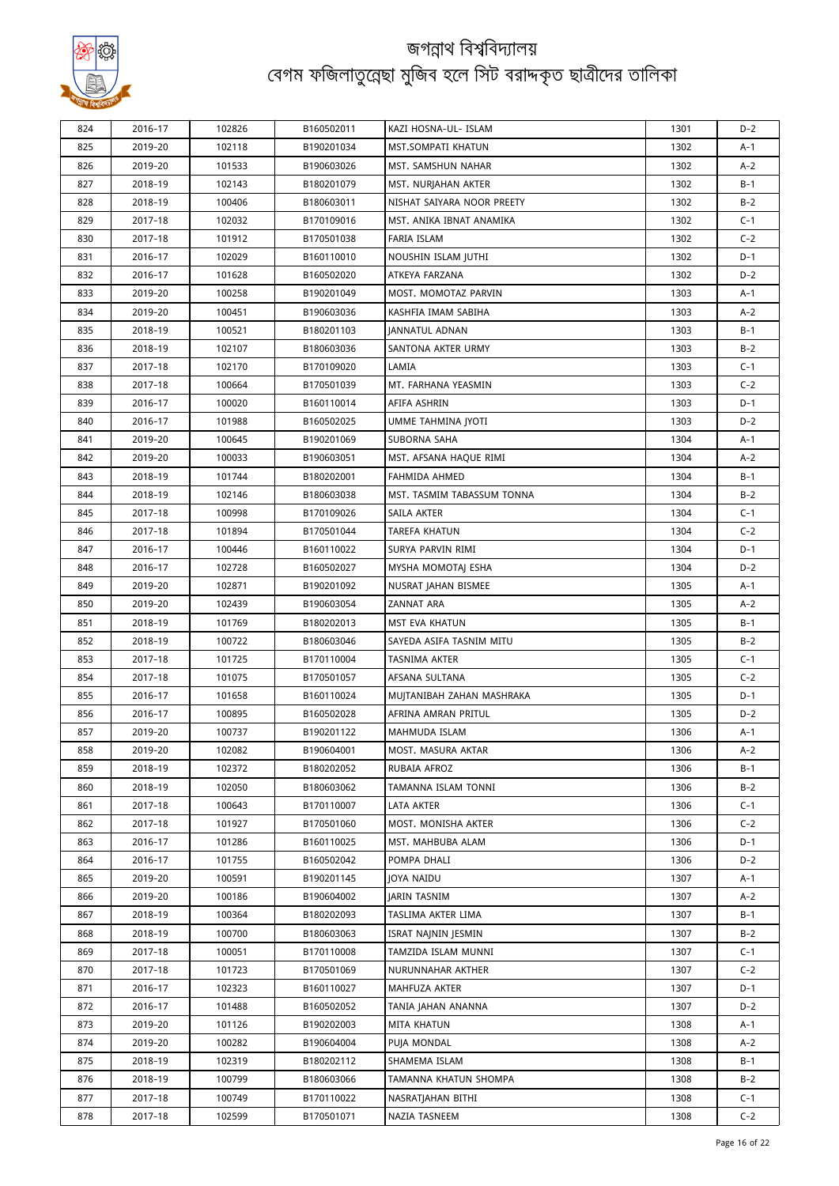

| 824 | 2016-17 | 102826 | B160502011 | KAZI HOSNA-UL- ISLAM                        | 1301 | $D-2$          |
|-----|---------|--------|------------|---------------------------------------------|------|----------------|
| 825 | 2019-20 | 102118 | B190201034 | MST.SOMPATI KHATUN                          | 1302 | $A-1$          |
| 826 | 2019-20 | 101533 | B190603026 | MST. SAMSHUN NAHAR                          | 1302 | $A-2$          |
| 827 | 2018-19 | 102143 | B180201079 | MST. NURJAHAN AKTER                         | 1302 | $B-1$          |
| 828 | 2018-19 | 100406 | B180603011 | NISHAT SAIYARA NOOR PREETY                  | 1302 | $B-2$          |
| 829 | 2017-18 | 102032 | B170109016 | MST. ANIKA IBNAT ANAMIKA                    | 1302 | $C-1$          |
| 830 | 2017-18 | 101912 | B170501038 | FARIA ISLAM                                 | 1302 | $C-2$          |
| 831 | 2016-17 | 102029 | B160110010 | NOUSHIN ISLAM JUTHI                         | 1302 | $D-1$          |
| 832 | 2016-17 | 101628 | B160502020 | ATKEYA FARZANA                              | 1302 | $D-2$          |
| 833 | 2019-20 | 100258 | B190201049 | MOST. MOMOTAZ PARVIN                        | 1303 | $A-1$          |
| 834 | 2019-20 | 100451 | B190603036 | KASHFIA IMAM SABIHA                         | 1303 | $A-2$          |
| 835 | 2018-19 | 100521 | B180201103 | JANNATUL ADNAN                              | 1303 | $B-1$          |
| 836 | 2018-19 | 102107 | B180603036 | SANTONA AKTER URMY                          | 1303 | $B-2$          |
| 837 | 2017-18 | 102170 | B170109020 | LAMIA                                       | 1303 | $C-1$          |
| 838 | 2017-18 | 100664 | B170501039 | MT. FARHANA YEASMIN                         | 1303 | $C-2$          |
| 839 | 2016-17 | 100020 | B160110014 | AFIFA ASHRIN                                | 1303 | $D-1$          |
| 840 | 2016-17 | 101988 | B160502025 | UMME TAHMINA JYOTI                          | 1303 | $D-2$          |
| 841 | 2019-20 | 100645 | B190201069 | SUBORNA SAHA                                | 1304 | $A-1$          |
| 842 | 2019-20 | 100033 | B190603051 | MST. AFSANA HAQUE RIMI                      | 1304 | $A-2$          |
| 843 | 2018-19 | 101744 | B180202001 | FAHMIDA AHMED                               | 1304 | $B-1$          |
| 844 | 2018-19 | 102146 | B180603038 | MST. TASMIM TABASSUM TONNA                  | 1304 | $B-2$          |
| 845 | 2017-18 | 100998 | B170109026 | SAILA AKTER                                 | 1304 | $C-1$          |
| 846 | 2017-18 | 101894 | B170501044 | <b>TAREFA KHATUN</b>                        | 1304 | $C-2$          |
| 847 | 2016-17 | 100446 | B160110022 | SURYA PARVIN RIMI                           | 1304 | $D-1$          |
| 848 | 2016-17 | 102728 | B160502027 | MYSHA MOMOTAJ ESHA                          | 1304 | $D-2$          |
| 849 |         | 102871 | B190201092 |                                             | 1305 | $A-1$          |
| 850 | 2019-20 |        |            | NUSRAT JAHAN BISMEE<br>ZANNAT ARA           | 1305 | $A-2$          |
|     | 2019-20 | 102439 | B190603054 |                                             |      | $B-1$          |
| 851 | 2018-19 | 101769 | B180202013 | MST EVA KHATUN                              | 1305 |                |
| 852 | 2018-19 | 100722 | B180603046 | SAYEDA ASIFA TASNIM MITU                    | 1305 | $B-2$<br>$C-1$ |
| 853 | 2017-18 | 101725 | B170110004 | TASNIMA AKTER                               | 1305 |                |
| 854 | 2017-18 | 101075 | B170501057 | AFSANA SULTANA<br>MUJTANIBAH ZAHAN MASHRAKA | 1305 | $C-2$<br>$D-1$ |
| 855 | 2016-17 | 101658 | B160110024 |                                             | 1305 |                |
| 856 | 2016-17 | 100895 | B160502028 | AFRINA AMRAN PRITUL                         | 1305 | $D-2$          |
| 857 | 2019-20 | 100737 | B190201122 | MAHMUDA ISLAM<br>MOST. MASURA AKTAR         | 1306 | $A-1$          |
| 858 | 2019-20 | 102082 | B190604001 |                                             | 1306 | $A-2$          |
| 859 | 2018-19 | 102372 | B180202052 | RUBAIA AFROZ                                | 1306 | $B-1$          |
| 860 | 2018-19 | 102050 | B180603062 | TAMANNA ISLAM TONNI                         | 1306 | $B-2$          |
| 861 | 2017-18 | 100643 | B170110007 | LATA AKTER                                  | 1306 | $C-1$          |
| 862 | 2017-18 | 101927 | B170501060 | MOST. MONISHA AKTER                         | 1306 | $C-2$          |
| 863 | 2016-17 | 101286 | B160110025 | MST. MAHBUBA ALAM                           | 1306 | $D-1$          |
| 864 | 2016-17 | 101755 | B160502042 | POMPA DHALI                                 | 1306 | $D-2$          |
| 865 | 2019-20 | 100591 | B190201145 | JOYA NAIDU                                  | 1307 | $A-1$          |
| 866 | 2019-20 | 100186 | B190604002 | JARIN TASNIM                                | 1307 | $A-2$          |
| 867 | 2018-19 | 100364 | B180202093 | TASLIMA AKTER LIMA                          | 1307 | $B-1$          |
| 868 | 2018-19 | 100700 | B180603063 | ISRAT NAJNIN JESMIN                         | 1307 | $B-2$          |
| 869 | 2017-18 | 100051 | B170110008 | TAMZIDA ISLAM MUNNI                         | 1307 | $C-1$          |
| 870 | 2017-18 | 101723 | B170501069 | NURUNNAHAR AKTHER                           | 1307 | $C-2$          |
| 871 | 2016-17 | 102323 | B160110027 | MAHFUZA AKTER                               | 1307 | $D-1$          |
| 872 | 2016-17 | 101488 | B160502052 | TANIA JAHAN ANANNA                          | 1307 | $D-2$          |
| 873 | 2019-20 | 101126 | B190202003 | MITA KHATUN                                 | 1308 | $A-1$          |
| 874 | 2019-20 | 100282 | B190604004 | PUJA MONDAL                                 | 1308 | $A-2$          |
| 875 | 2018-19 | 102319 | B180202112 | SHAMEMA ISLAM                               | 1308 | $B-1$          |
| 876 | 2018-19 | 100799 | B180603066 | TAMANNA KHATUN SHOMPA                       | 1308 | $B-2$          |
| 877 | 2017-18 | 100749 | B170110022 | NASRATJAHAN BITHI                           | 1308 | $C-1$          |
| 878 | 2017-18 | 102599 | B170501071 | NAZIA TASNEEM                               | 1308 | $C-2$          |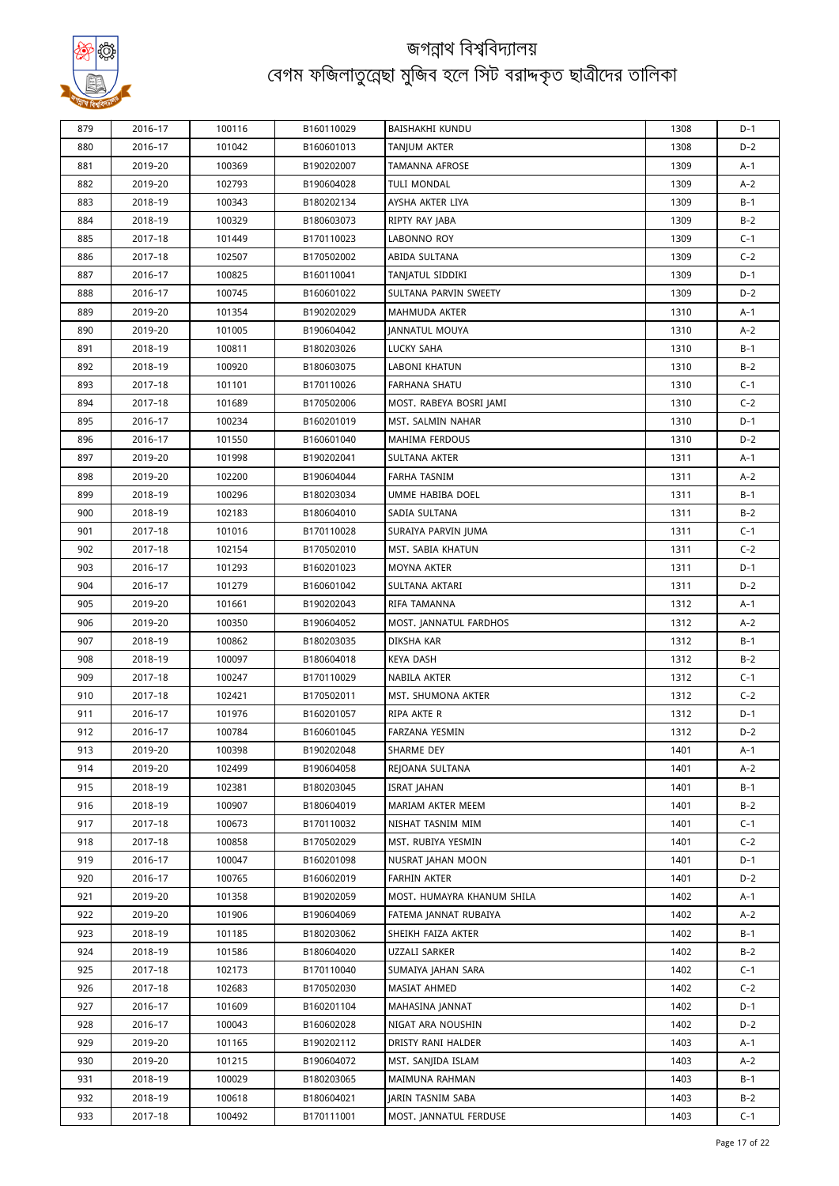

| 879        | 2016-17            | 100116 | B160110029 | BAISHAKHI KUNDU                   | 1308 | D-1          |
|------------|--------------------|--------|------------|-----------------------------------|------|--------------|
| 880        | 2016-17            | 101042 | B160601013 | TANJUM AKTER                      | 1308 | $D-2$        |
| 881        | 2019-20            | 100369 | B190202007 | <b>TAMANNA AFROSE</b>             | 1309 | A-1          |
| 882        | 2019-20            | 102793 | B190604028 | <b>TULI MONDAL</b>                | 1309 | $A-2$        |
| 883        | 2018-19            | 100343 | B180202134 | AYSHA AKTER LIYA                  | 1309 | B-1          |
| 884        | 2018-19            | 100329 | B180603073 | RIPTY RAY JABA                    | 1309 | $B-2$        |
| 885        | 2017-18            | 101449 | B170110023 | LABONNO ROY                       | 1309 | $C-1$        |
| 886        | 2017-18            | 102507 | B170502002 | ABIDA SULTANA                     | 1309 | $C-2$        |
| 887        | 2016-17            | 100825 | B160110041 | TANJATUL SIDDIKI                  | 1309 | $D-1$        |
| 888        | 2016-17            | 100745 | B160601022 | SULTANA PARVIN SWEETY             | 1309 | $D-2$        |
| 889        | 2019-20            | 101354 | B190202029 | <b>MAHMUDA AKTER</b>              | 1310 | A-1          |
| 890        | 2019-20            | 101005 | B190604042 | JANNATUL MOUYA                    | 1310 | A-2          |
| 891        | 2018-19            | 100811 | B180203026 | LUCKY SAHA                        | 1310 | $B-1$        |
| 892        | 2018-19            | 100920 | B180603075 | LABONI KHATUN                     | 1310 | $B-2$        |
| 893        | 2017-18            | 101101 | B170110026 | FARHANA SHATU                     | 1310 | $C-1$        |
| 894        | 2017-18            | 101689 | B170502006 | MOST. RABEYA BOSRI JAMI           | 1310 | $C-2$        |
| 895        | 2016-17            | 100234 | B160201019 | MST. SALMIN NAHAR                 | 1310 | $D-1$        |
| 896        | 2016-17            | 101550 | B160601040 | MAHIMA FERDOUS                    | 1310 | D-2          |
| 897        | 2019-20            | 101998 | B190202041 | SULTANA AKTER                     | 1311 | A-1          |
| 898        | 2019-20            | 102200 | B190604044 | <b>FARHA TASNIM</b>               | 1311 | $A-2$        |
|            |                    |        |            |                                   |      |              |
| 899<br>900 | 2018-19<br>2018-19 | 100296 | B180203034 | UMME HABIBA DOEL<br>SADIA SULTANA | 1311 | B-1<br>$B-2$ |
|            |                    | 102183 | B180604010 |                                   | 1311 |              |
| 901        | 2017-18            | 101016 | B170110028 | SURAIYA PARVIN JUMA               | 1311 | $C-1$        |
| 902        | 2017-18            | 102154 | B170502010 | MST. SABIA KHATUN                 | 1311 | $C-2$        |
| 903        | 2016-17            | 101293 | B160201023 | MOYNA AKTER                       | 1311 | $D-1$        |
| 904        | 2016-17            | 101279 | B160601042 | SULTANA AKTARI                    | 1311 | $D-2$        |
| 905        | 2019-20            | 101661 | B190202043 | RIFA TAMANNA                      | 1312 | A-1          |
| 906        | 2019-20            | 100350 | B190604052 | MOST. JANNATUL FARDHOS            | 1312 | $A-2$        |
| 907        | 2018-19            | 100862 | B180203035 | DIKSHA KAR                        | 1312 | B-1          |
| 908        | 2018-19            | 100097 | B180604018 | KEYA DASH                         | 1312 | $B-2$        |
| 909        | 2017-18            | 100247 | B170110029 | NABILA AKTER                      | 1312 | $C-1$        |
| 910        | 2017-18            | 102421 | B170502011 | MST. SHUMONA AKTER                | 1312 | $C-2$        |
| 911        | 2016-17            | 101976 | B160201057 | RIPA AKTE R                       | 1312 | D-1          |
| 912        | 2016-17            | 100784 | B160601045 | FARZANA YESMIN                    | 1312 | $D-2$        |
| 913        | 2019-20            | 100398 | B190202048 | SHARME DEY                        | 1401 | A-1          |
| 914        | 2019-20            | 102499 | B190604058 | REJOANA SULTANA                   | 1401 | A-2          |
| 915        | 2018-19            | 102381 | B180203045 | <b>ISRAT JAHAN</b>                | 1401 | B-1          |
| 916        | 2018-19            | 100907 | B180604019 | MARIAM AKTER MEEM                 | 1401 | $B-2$        |
| 917        | 2017-18            | 100673 | B170110032 | NISHAT TASNIM MIM                 | 1401 | $C-1$        |
| 918        | 2017-18            | 100858 | B170502029 | MST. RUBIYA YESMIN                | 1401 | $C-2$        |
| 919        | 2016-17            | 100047 | B160201098 | NUSRAT JAHAN MOON                 | 1401 | D-1          |
| 920        | 2016-17            | 100765 | B160602019 | <b>FARHIN AKTER</b>               | 1401 | D-2          |
| 921        | 2019-20            | 101358 | B190202059 | MOST. HUMAYRA KHANUM SHILA        | 1402 | A-1          |
| 922        | 2019-20            | 101906 | B190604069 | FATEMA JANNAT RUBAIYA             | 1402 | A-2          |
| 923        | 2018-19            | 101185 | B180203062 | SHEIKH FAIZA AKTER                | 1402 | B-1          |
| 924        | 2018-19            | 101586 | B180604020 | UZZALI SARKER                     | 1402 | $B-2$        |
| 925        | 2017-18            | 102173 | B170110040 | SUMAIYA JAHAN SARA                | 1402 | $C-1$        |
| 926        | 2017-18            | 102683 | B170502030 | MASIAT AHMED                      | 1402 | $C-2$        |
| 927        | 2016-17            | 101609 | B160201104 | MAHASINA JANNAT                   | 1402 | D-1          |
| 928        | 2016-17            | 100043 | B160602028 | NIGAT ARA NOUSHIN                 | 1402 | $D-2$        |
| 929        | 2019-20            | 101165 | B190202112 | DRISTY RANI HALDER                | 1403 | A-1          |
| 930        | 2019-20            | 101215 | B190604072 | MST. SANJIDA ISLAM                | 1403 | A-2          |
| 931        | 2018-19            | 100029 | B180203065 | MAIMUNA RAHMAN                    | 1403 | $B-1$        |
| 932        | 2018-19            | 100618 | B180604021 | JARIN TASNIM SABA                 | 1403 | $B-2$        |
| 933        | 2017-18            | 100492 | B170111001 | MOST. JANNATUL FERDUSE            | 1403 | $C-1$        |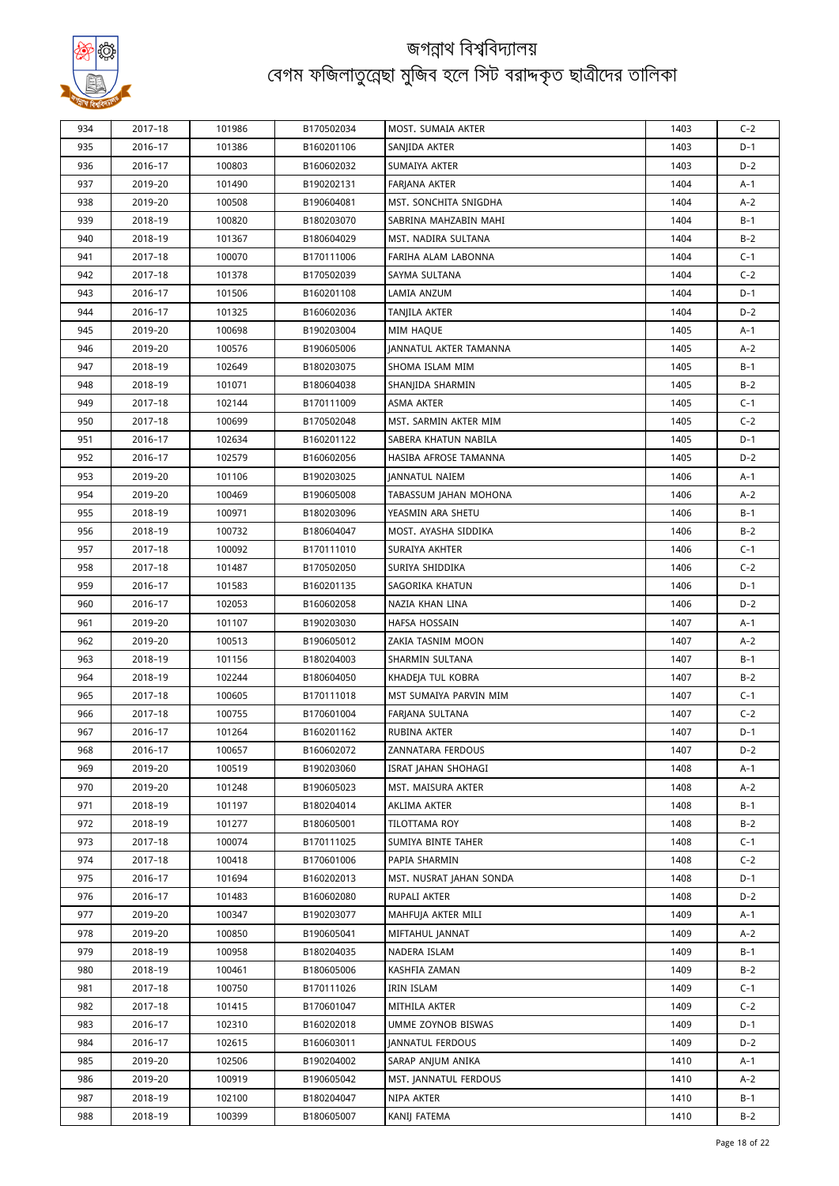

| 934        | 2017-18 | 101986 | B170502034 | MOST. SUMAIA AKTER      | 1403 | $C-2$          |
|------------|---------|--------|------------|-------------------------|------|----------------|
| 935        | 2016-17 | 101386 | B160201106 | SANJIDA AKTER           | 1403 | $D-1$          |
| 936        | 2016-17 | 100803 | B160602032 | SUMAIYA AKTER           | 1403 | $D-2$          |
| 937        | 2019-20 | 101490 | B190202131 | FARJANA AKTER           | 1404 | A-1            |
| 938        | 2019-20 | 100508 | B190604081 | MST. SONCHITA SNIGDHA   | 1404 | $A-2$          |
| 939        | 2018-19 | 100820 | B180203070 | SABRINA MAHZABIN MAHI   | 1404 | B-1            |
| 940        | 2018-19 | 101367 | B180604029 | MST. NADIRA SULTANA     | 1404 | $B-2$          |
| 941        | 2017-18 | 100070 | B170111006 | FARIHA ALAM LABONNA     | 1404 | $C-1$          |
| 942        | 2017-18 | 101378 | B170502039 | SAYMA SULTANA           | 1404 | $C-2$          |
| 943        | 2016-17 | 101506 | B160201108 | LAMIA ANZUM             | 1404 | $D-1$          |
| 944        | 2016-17 | 101325 | B160602036 | TANJILA AKTER           | 1404 | $D-2$          |
| 945        | 2019-20 | 100698 | B190203004 | <b>MIM HAQUE</b>        | 1405 | A-1            |
| 946        | 2019-20 | 100576 | B190605006 | JANNATUL AKTER TAMANNA  | 1405 | $A-2$          |
| 947        | 2018-19 | 102649 | B180203075 | SHOMA ISLAM MIM         | 1405 | $B-1$          |
| 948        | 2018-19 | 101071 | B180604038 | SHANJIDA SHARMIN        | 1405 | $B-2$          |
| 949        | 2017-18 | 102144 | B170111009 | ASMA AKTER              | 1405 | $C-1$          |
| 950        | 2017-18 | 100699 | B170502048 | MST. SARMIN AKTER MIM   | 1405 | $C-2$          |
| 951        | 2016-17 | 102634 | B160201122 | SABERA KHATUN NABILA    | 1405 | D-1            |
| 952        | 2016-17 | 102579 | B160602056 | HASIBA AFROSE TAMANNA   | 1405 | $D-2$          |
| 953        | 2019-20 | 101106 | B190203025 | <b>JANNATUL NAIEM</b>   | 1406 | A-1            |
|            |         |        |            |                         | 1406 |                |
| 954<br>955 | 2019-20 | 100469 | B190605008 | TABASSUM JAHAN MOHONA   |      | $A-2$<br>$B-1$ |
|            | 2018-19 | 100971 | B180203096 | YEASMIN ARA SHETU       | 1406 |                |
| 956        | 2018-19 | 100732 | B180604047 | MOST. AYASHA SIDDIKA    | 1406 | $B-2$          |
| 957        | 2017-18 | 100092 | B170111010 | SURAIYA AKHTER          | 1406 | $C-1$          |
| 958        | 2017-18 | 101487 | B170502050 | SURIYA SHIDDIKA         | 1406 | $C-2$          |
| 959        | 2016-17 | 101583 | B160201135 | SAGORIKA KHATUN         | 1406 | D-1            |
| 960        | 2016-17 | 102053 | B160602058 | NAZIA KHAN LINA         | 1406 | $D-2$          |
| 961        | 2019-20 | 101107 | B190203030 | HAFSA HOSSAIN           | 1407 | A-1            |
| 962        | 2019-20 | 100513 | B190605012 | ZAKIA TASNIM MOON       | 1407 | $A-2$          |
| 963        | 2018-19 | 101156 | B180204003 | SHARMIN SULTANA         | 1407 | B-1            |
| 964        | 2018-19 | 102244 | B180604050 | KHADEJA TUL KOBRA       | 1407 | $B-2$          |
| 965        | 2017-18 | 100605 | B170111018 | MST SUMAIYA PARVIN MIM  | 1407 | $C-1$          |
| 966        | 2017-18 | 100755 | B170601004 | FARJANA SULTANA         | 1407 | $C-2$          |
| 967        | 2016-17 | 101264 | B160201162 | RUBINA AKTER            | 1407 | D-1            |
| 968        | 2016-17 | 100657 | B160602072 | ZANNATARA FERDOUS       | 1407 | D-2            |
| 969        | 2019-20 | 100519 | B190203060 | ISRAT JAHAN SHOHAGI     | 1408 | A-1            |
| 970        | 2019-20 | 101248 | B190605023 | MST. MAISURA AKTER      | 1408 | A-2            |
| 971        | 2018-19 | 101197 | B180204014 | AKLIMA AKTER            | 1408 | B-1            |
| 972        | 2018-19 | 101277 | B180605001 | TILOTTAMA ROY           | 1408 | $B-2$          |
| 973        | 2017-18 | 100074 | B170111025 | SUMIYA BINTE TAHER      | 1408 | $C-1$          |
| 974        | 2017-18 | 100418 | B170601006 | PAPIA SHARMIN           | 1408 | $C-2$          |
| 975        | 2016-17 | 101694 | B160202013 | MST. NUSRAT JAHAN SONDA | 1408 | D-1            |
| 976        | 2016-17 | 101483 | B160602080 | RUPALI AKTER            | 1408 | $D-2$          |
| 977        | 2019-20 | 100347 | B190203077 | MAHFUJA AKTER MILI      | 1409 | A-1            |
| 978        | 2019-20 | 100850 | B190605041 | MIFTAHUL JANNAT         | 1409 | A-2            |
| 979        | 2018-19 | 100958 | B180204035 | NADERA ISLAM            | 1409 | B-1            |
| 980        | 2018-19 | 100461 | B180605006 | KASHFIA ZAMAN           | 1409 | $B-2$          |
| 981        | 2017-18 | 100750 | B170111026 | IRIN ISLAM              | 1409 | $C-1$          |
| 982        | 2017-18 | 101415 | B170601047 | MITHILA AKTER           | 1409 | $C-2$          |
| 983        | 2016-17 | 102310 | B160202018 | UMME ZOYNOB BISWAS      | 1409 | D-1            |
| 984        | 2016-17 | 102615 | B160603011 | <b>JANNATUL FERDOUS</b> | 1409 | D-2            |
| 985        | 2019-20 | 102506 | B190204002 | SARAP ANJUM ANIKA       | 1410 | A-1            |
| 986        | 2019-20 | 100919 | B190605042 | MST. JANNATUL FERDOUS   | 1410 | A-2            |
| 987        | 2018-19 | 102100 | B180204047 | NIPA AKTER              | 1410 | B-1            |
| 988        | 2018-19 | 100399 | B180605007 | KANIJ FATEMA            | 1410 | $B-2$          |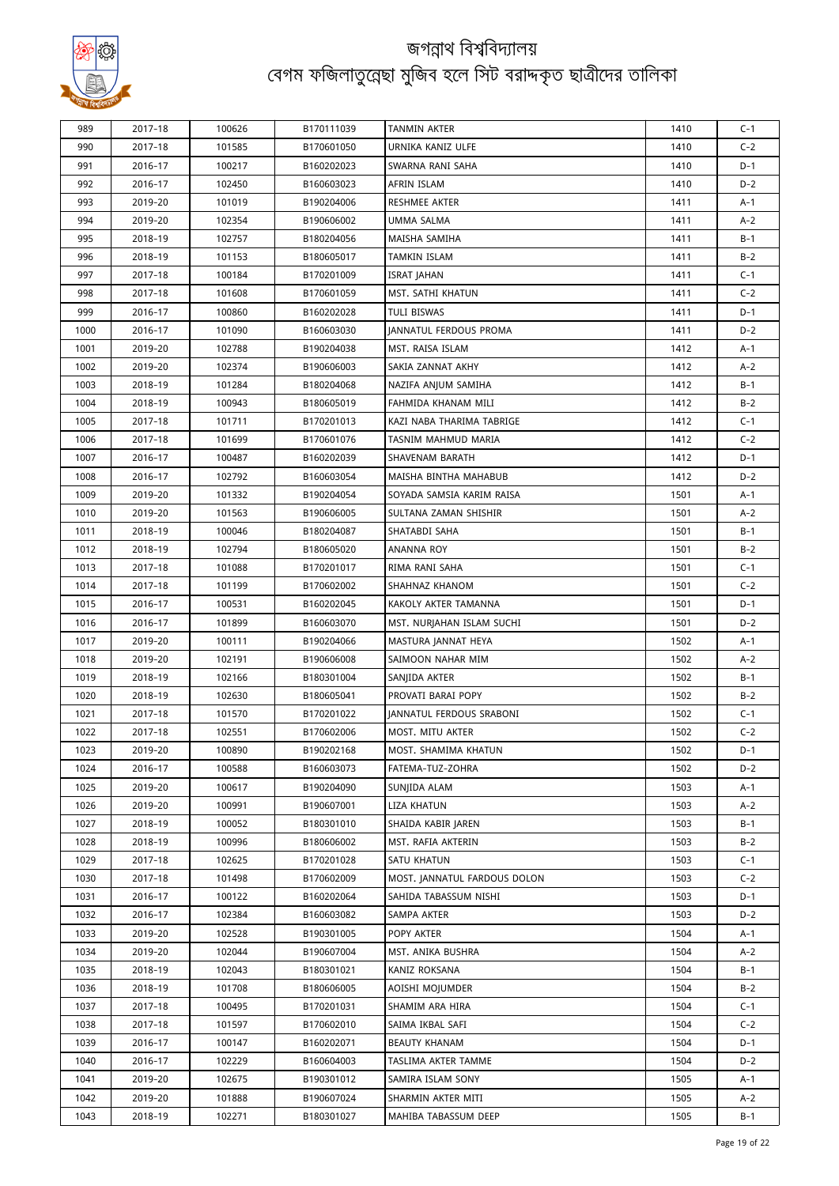

| 989  | 2017-18            | 100626           | B170111039               | TANMIN AKTER                        | 1410         | $C-1$        |
|------|--------------------|------------------|--------------------------|-------------------------------------|--------------|--------------|
| 990  | 2017-18            | 101585           | B170601050               | URNIKA KANIZ ULFE                   | 1410         | $C-2$        |
| 991  | 2016-17            | 100217           | B160202023               | SWARNA RANI SAHA                    | 1410         | $D-1$        |
| 992  | 2016-17            | 102450           | B160603023               | AFRIN ISLAM                         | 1410         | $D-2$        |
| 993  | 2019-20            | 101019           | B190204006               | RESHMEE AKTER                       | 1411         | A-1          |
| 994  | 2019-20            | 102354           | B190606002               | UMMA SALMA                          | 1411         | A-2          |
| 995  | 2018-19            | 102757           | B180204056               | MAISHA SAMIHA                       | 1411         | B-1          |
| 996  | 2018-19            | 101153           | B180605017               | TAMKIN ISLAM                        | 1411         | $B-2$        |
| 997  | 2017-18            | 100184           | B170201009               | <b>ISRAT JAHAN</b>                  | 1411         | $C-1$        |
| 998  | 2017-18            | 101608           | B170601059               | MST. SATHI KHATUN                   | 1411         | $C-2$        |
| 999  | 2016-17            | 100860           | B160202028               | TULI BISWAS                         | 1411         | D-1          |
| 1000 | 2016-17            | 101090           | B160603030               | <b>JANNATUL FERDOUS PROMA</b>       | 1411         | $D-2$        |
| 1001 | 2019-20            | 102788           | B190204038               | MST. RAISA ISLAM                    | 1412         | A-1          |
| 1002 | 2019-20            | 102374           | B190606003               | SAKIA ZANNAT AKHY                   | 1412         | $A-2$        |
| 1003 | 2018-19            | 101284           | B180204068               | NAZIFA ANJUM SAMIHA                 | 1412         | B-1          |
| 1004 | 2018-19            | 100943           | B180605019               | FAHMIDA KHANAM MILI                 | 1412         | $B-2$        |
| 1005 | 2017-18            | 101711           | B170201013               | KAZI NABA THARIMA TABRIGE           | 1412         | $C-1$        |
| 1006 | 2017-18            | 101699           | B170601076               | TASNIM MAHMUD MARIA                 | 1412         | $C-2$        |
| 1007 | 2016-17            | 100487           | B160202039               | SHAVENAM BARATH                     | 1412         | D-1          |
| 1008 | 2016-17            | 102792           | B160603054               | MAISHA BINTHA MAHABUB               | 1412         | $D-2$        |
| 1009 | 2019-20            | 101332           | B190204054               | SOYADA SAMSIA KARIM RAISA           | 1501         | A-1          |
| 1010 | 2019-20            | 101563           | B190606005               | SULTANA ZAMAN SHISHIR               | 1501         | $A-2$        |
| 1011 | 2018-19            | 100046           | B180204087               | SHATABDI SAHA                       | 1501         | B-1          |
| 1012 | 2018-19            | 102794           | B180605020               | ANANNA ROY                          | 1501         | $B-2$        |
| 1013 | 2017-18            | 101088           | B170201017               | RIMA RANI SAHA                      | 1501         | $C-1$        |
| 1014 | 2017-18            | 101199           | B170602002               | SHAHNAZ KHANOM                      | 1501         | $C-2$        |
| 1015 | 2016-17            | 100531           | B160202045               | KAKOLY AKTER TAMANNA                | 1501         | $D-1$        |
| 1016 | 2016-17            | 101899           | B160603070               | MST. NURJAHAN ISLAM SUCHI           | 1501         | $D-2$        |
| 1017 | 2019-20            | 100111           | B190204066               | MASTURA JANNAT HEYA                 | 1502         | A-1          |
| 1018 | 2019-20            | 102191           | B190606008               | SAIMOON NAHAR MIM                   | 1502         | $A-2$        |
|      |                    |                  |                          |                                     |              |              |
| 1019 | 2018-19<br>2018-19 | 102166<br>102630 | B180301004<br>B180605041 | SANJIDA AKTER<br>PROVATI BARAI POPY | 1502<br>1502 | B-1<br>$B-2$ |
| 1020 |                    |                  |                          |                                     |              |              |
| 1021 | 2017-18            | 101570           | B170201022               | JANNATUL FERDOUS SRABONI            | 1502         | $C-1$        |
| 1022 | 2017-18            | 102551           | B170602006               | MOST. MITU AKTER                    | 1502         | $C-2$        |
| 1023 | 2019-20            | 100890           | B190202168               | MOST. SHAMIMA KHATUN                | 1502         | D-1          |
| 1024 | 2016–17            | 100588           | B160603073               | FATEMA-TUZ-ZOHRA                    | 1502         | $D-2$        |
| 1025 | 2019-20            | 100617           | B190204090               | SUNJIDA ALAM                        | 1503         | A-1          |
| 1026 | 2019-20            | 100991           | B190607001               | LIZA KHATUN                         | 1503         | A-2          |
| 1027 | 2018-19            | 100052           | B180301010               | SHAIDA KABIR JAREN                  | 1503         | B-1          |
| 1028 | 2018-19            | 100996           | B180606002               | MST. RAFIA AKTERIN                  | 1503         | $B-2$        |
| 1029 | 2017-18            | 102625           | B170201028               | SATU KHATUN                         | 1503         | $C-1$        |
| 1030 | 2017-18            | 101498           | B170602009               | MOST. JANNATUL FARDOUS DOLON        | 1503         | $C-2$        |
| 1031 | 2016-17            | 100122           | B160202064               | SAHIDA TABASSUM NISHI               | 1503         | $D-1$        |
| 1032 | 2016-17            | 102384           | B160603082               | SAMPA AKTER                         | 1503         | $D-2$        |
| 1033 | 2019-20            | 102528           | B190301005               | POPY AKTER                          | 1504         | A-1          |
| 1034 | 2019-20            | 102044           | B190607004               | MST. ANIKA BUSHRA                   | 1504         | A-2          |
| 1035 | 2018-19            | 102043           | B180301021               | KANIZ ROKSANA                       | 1504         | B-1          |
| 1036 | 2018–19            | 101708           | B180606005               | AOISHI MOJUMDER                     | 1504         | B-2          |
| 1037 | 2017-18            | 100495           | B170201031               | SHAMIM ARA HIRA                     | 1504         | $C-1$        |
| 1038 | 2017-18            | 101597           | B170602010               | SAIMA IKBAL SAFI                    | 1504         | $C-2$        |
| 1039 | 2016-17            | 100147           | B160202071               | <b>BEAUTY KHANAM</b>                | 1504         | D-1          |
| 1040 | 2016-17            | 102229           | B160604003               | TASLIMA AKTER TAMME                 | 1504         | $D-2$        |
| 1041 | 2019-20            | 102675           | B190301012               | SAMIRA ISLAM SONY                   | 1505         | A-1          |
| 1042 | 2019-20            | 101888           | B190607024               | SHARMIN AKTER MITI                  | 1505         | A-2          |
| 1043 | 2018-19            | 102271           | B180301027               | MAHIBA TABASSUM DEEP                | 1505         | B-1          |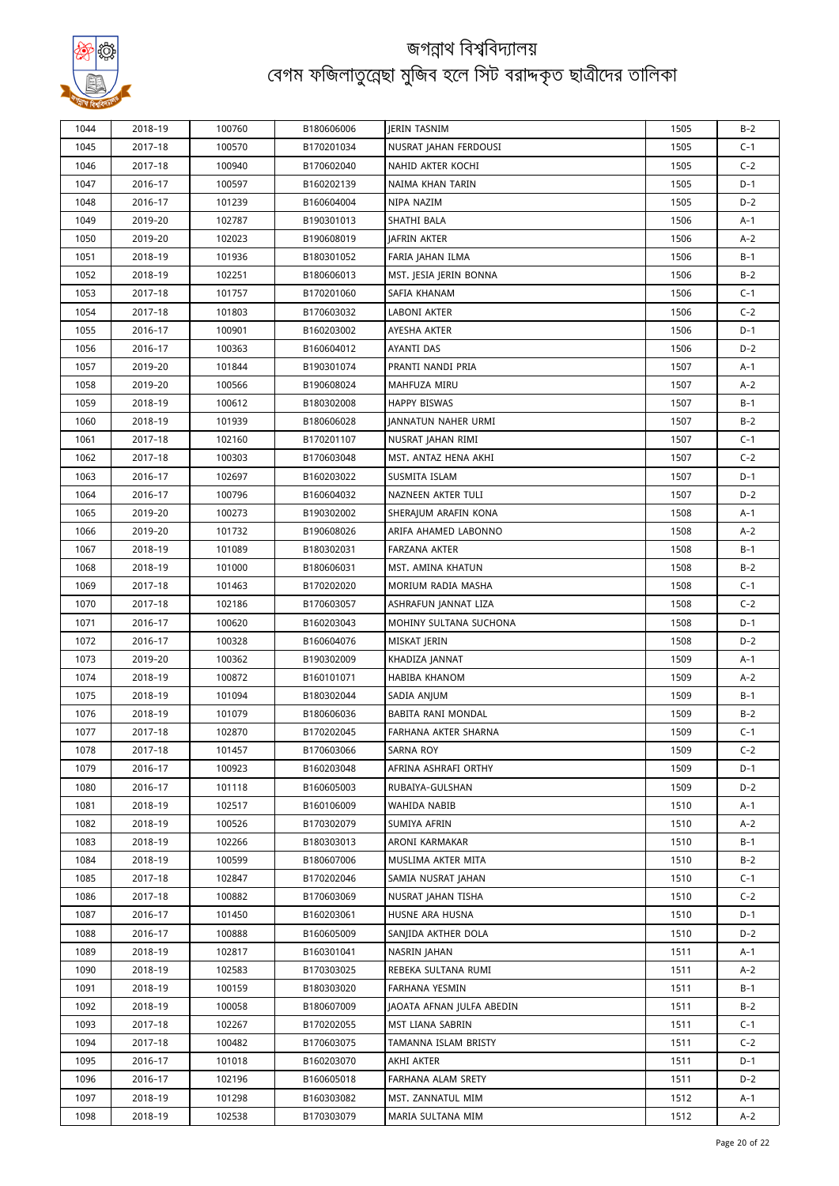

| 1044 | 2018-19 | 100760 | B180606006 | <b>IERIN TASNIM</b>        | 1505 | $B-2$ |
|------|---------|--------|------------|----------------------------|------|-------|
| 1045 | 2017-18 | 100570 | B170201034 | NUSRAT JAHAN FERDOUSI      | 1505 | $C-1$ |
| 1046 | 2017-18 | 100940 | B170602040 | NAHID AKTER KOCHI          | 1505 | $C-2$ |
| 1047 | 2016-17 | 100597 | B160202139 | NAIMA KHAN TARIN           | 1505 | D-1   |
| 1048 | 2016-17 | 101239 | B160604004 | NIPA NAZIM                 | 1505 | D-2   |
| 1049 | 2019-20 | 102787 | B190301013 | SHATHI BALA                | 1506 | A-1   |
| 1050 | 2019-20 | 102023 | B190608019 | JAFRIN AKTER               | 1506 | $A-2$ |
| 1051 | 2018-19 | 101936 | B180301052 | FARIA JAHAN ILMA           | 1506 | $B-1$ |
| 1052 | 2018-19 | 102251 | B180606013 | MST. JESIA JERIN BONNA     | 1506 | $B-2$ |
| 1053 | 2017-18 | 101757 | B170201060 | SAFIA KHANAM               | 1506 | $C-1$ |
| 1054 | 2017-18 | 101803 | B170603032 | LABONI AKTER               | 1506 | $C-2$ |
| 1055 | 2016-17 | 100901 | B160203002 | AYESHA AKTER               | 1506 | $D-1$ |
| 1056 | 2016-17 | 100363 | B160604012 | AYANTI DAS                 | 1506 | $D-2$ |
| 1057 | 2019-20 | 101844 | B190301074 | PRANTI NANDI PRIA          | 1507 | A-1   |
| 1058 | 2019-20 | 100566 | B190608024 | MAHFUZA MIRU               | 1507 | A-2   |
| 1059 | 2018-19 | 100612 | B180302008 | <b>HAPPY BISWAS</b>        | 1507 | $B-1$ |
| 1060 | 2018-19 | 101939 | B180606028 | <b>JANNATUN NAHER URMI</b> | 1507 | $B-2$ |
| 1061 | 2017-18 | 102160 | B170201107 | NUSRAT JAHAN RIMI          | 1507 | $C-1$ |
| 1062 | 2017-18 | 100303 | B170603048 | MST. ANTAZ HENA AKHI       | 1507 | $C-2$ |
| 1063 | 2016-17 | 102697 | B160203022 | SUSMITA ISLAM              | 1507 | $D-1$ |
| 1064 | 2016-17 | 100796 | B160604032 | NAZNEEN AKTER TULI         | 1507 | $D-2$ |
| 1065 | 2019-20 | 100273 | B190302002 | SHERAJUM ARAFIN KONA       | 1508 | A-1   |
| 1066 | 2019-20 | 101732 | B190608026 | ARIFA AHAMED LABONNO       | 1508 | A-2   |
| 1067 | 2018-19 | 101089 | B180302031 | FARZANA AKTER              | 1508 | $B-1$ |
| 1068 | 2018-19 | 101000 | B180606031 | MST. AMINA KHATUN          | 1508 | $B-2$ |
| 1069 | 2017-18 | 101463 | B170202020 | MORIUM RADIA MASHA         | 1508 | $C-1$ |
| 1070 | 2017-18 | 102186 | B170603057 | ASHRAFUN JANNAT LIZA       | 1508 | $C-2$ |
| 1071 | 2016-17 | 100620 | B160203043 | MOHINY SULTANA SUCHONA     | 1508 | $D-1$ |
| 1072 | 2016-17 | 100328 | B160604076 | MISKAT JERIN               | 1508 | $D-2$ |
| 1073 | 2019-20 | 100362 | B190302009 | KHADIZA JANNAT             | 1509 | A-1   |
| 1074 | 2018-19 | 100872 | B160101071 | <b>HABIBA KHANOM</b>       | 1509 | $A-2$ |
| 1075 | 2018-19 | 101094 | B180302044 | SADIA ANJUM                | 1509 | B-1   |
| 1076 | 2018-19 | 101079 | B180606036 | BABITA RANI MONDAL         | 1509 | $B-2$ |
| 1077 | 2017-18 | 102870 | B170202045 | FARHANA AKTER SHARNA       | 1509 | $C-1$ |
| 1078 | 2017-18 | 101457 | B170603066 | SARNA ROY                  | 1509 | $C-2$ |
| 1079 | 2016-17 | 100923 | B160203048 | AFRINA ASHRAFI ORTHY       | 1509 | D-1   |
| 1080 | 2016-17 | 101118 | B160605003 | RUBAIYA-GULSHAN            | 1509 | $D-2$ |
| 1081 | 2018-19 | 102517 | B160106009 | WAHIDA NABIB               | 1510 | A-1   |
| 1082 | 2018-19 | 100526 | B170302079 | SUMIYA AFRIN               | 1510 | A-2   |
| 1083 | 2018-19 | 102266 | B180303013 | ARONI KARMAKAR             | 1510 | B-1   |
| 1084 | 2018-19 | 100599 | B180607006 | MUSLIMA AKTER MITA         | 1510 | $B-2$ |
| 1085 | 2017-18 | 102847 | B170202046 | SAMIA NUSRAT JAHAN         | 1510 | $C-1$ |
| 1086 | 2017-18 | 100882 | B170603069 | NUSRAT JAHAN TISHA         | 1510 | $C-2$ |
| 1087 | 2016-17 | 101450 | B160203061 | HUSNE ARA HUSNA            | 1510 | D-1   |
| 1088 | 2016-17 | 100888 | B160605009 | SANJIDA AKTHER DOLA        | 1510 | $D-2$ |
| 1089 | 2018-19 | 102817 | B160301041 | NASRIN JAHAN               | 1511 | A-1   |
| 1090 | 2018-19 | 102583 | B170303025 | REBEKA SULTANA RUMI        | 1511 | A-2   |
| 1091 | 2018-19 | 100159 | B180303020 | FARHANA YESMIN             | 1511 | B-1   |
| 1092 | 2018-19 | 100058 | B180607009 | JAOATA AFNAN JULFA ABEDIN  | 1511 | $B-2$ |
| 1093 | 2017-18 | 102267 | B170202055 | MST LIANA SABRIN           | 1511 | $C-1$ |
| 1094 | 2017-18 | 100482 | B170603075 | TAMANNA ISLAM BRISTY       | 1511 | $C-2$ |
| 1095 | 2016-17 | 101018 | B160203070 | AKHI AKTER                 | 1511 | $D-1$ |
| 1096 | 2016-17 | 102196 | B160605018 | FARHANA ALAM SRETY         | 1511 | D-2   |
| 1097 | 2018-19 | 101298 | B160303082 | MST. ZANNATUL MIM          | 1512 | A-1   |
| 1098 | 2018-19 | 102538 | B170303079 | MARIA SULTANA MIM          | 1512 | $A-2$ |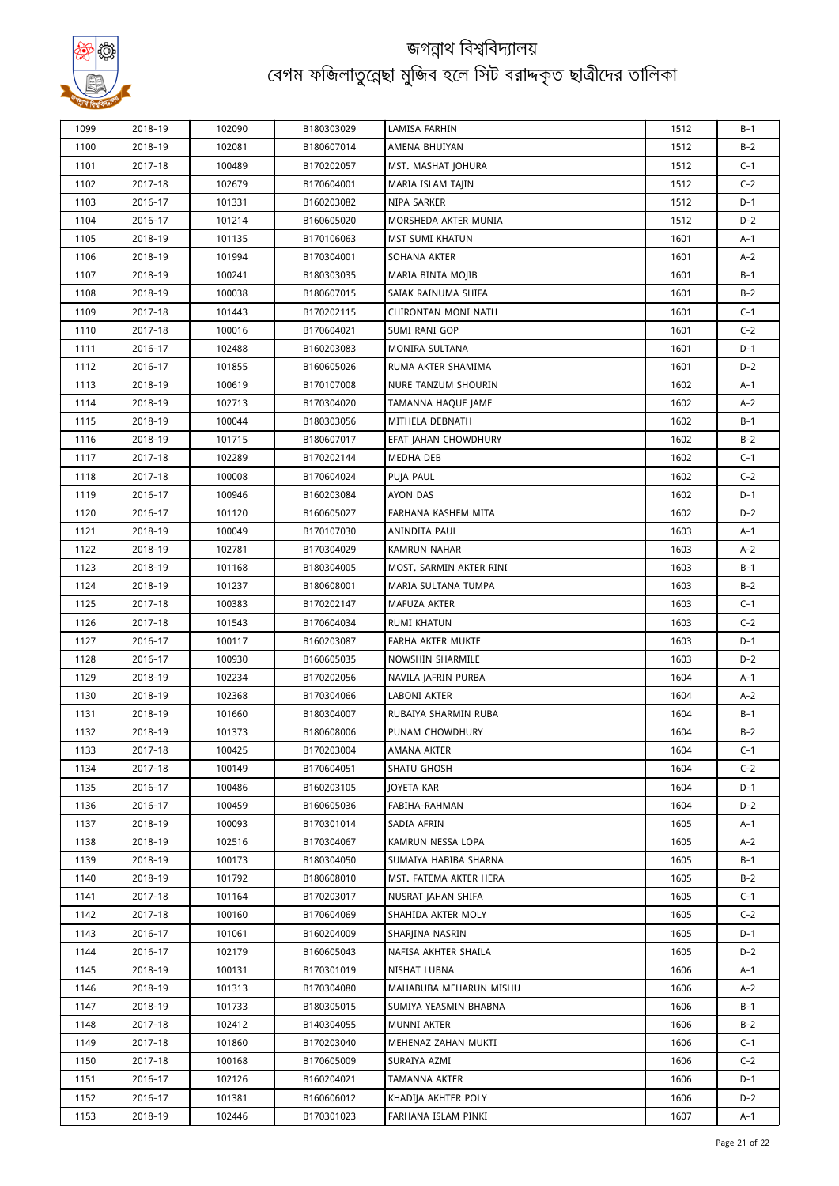

| 1099 | 2018-19 | 102090 | B180303029 | LAMISA FARHIN           | 1512 | $B-1$          |
|------|---------|--------|------------|-------------------------|------|----------------|
|      |         |        |            |                         |      |                |
| 1100 | 2018-19 | 102081 | B180607014 | AMENA BHUIYAN           | 1512 | $B-2$          |
| 1101 | 2017-18 | 100489 | B170202057 | MST. MASHAT JOHURA      | 1512 | $C-1$<br>$C-2$ |
| 1102 | 2017-18 | 102679 | B170604001 | MARIA ISLAM TAJIN       | 1512 |                |
| 1103 | 2016-17 | 101331 | B160203082 | NIPA SARKER             | 1512 | $D-1$          |
| 1104 | 2016-17 | 101214 | B160605020 | MORSHEDA AKTER MUNIA    | 1512 | $D-2$          |
| 1105 | 2018-19 | 101135 | B170106063 | <b>MST SUMI KHATUN</b>  | 1601 | $A-1$          |
| 1106 | 2018-19 | 101994 | B170304001 | SOHANA AKTER            | 1601 | $A-2$          |
| 1107 | 2018-19 | 100241 | B180303035 | MARIA BINTA MOJIB       | 1601 | $B-1$          |
| 1108 | 2018-19 | 100038 | B180607015 | SAIAK RAINUMA SHIFA     | 1601 | $B-2$          |
| 1109 | 2017-18 | 101443 | B170202115 | CHIRONTAN MONI NATH     | 1601 | $C-1$          |
| 1110 | 2017-18 | 100016 | B170604021 | SUMI RANI GOP           | 1601 | $C-2$          |
| 1111 | 2016-17 | 102488 | B160203083 | MONIRA SULTANA          | 1601 | $D-1$          |
| 1112 | 2016-17 | 101855 | B160605026 | RUMA AKTER SHAMIMA      | 1601 | $D-2$          |
| 1113 | 2018-19 | 100619 | B170107008 | NURE TANZUM SHOURIN     | 1602 | $A-1$          |
| 1114 | 2018-19 | 102713 | B170304020 | TAMANNA HAQUE JAME      | 1602 | $A-2$          |
| 1115 | 2018-19 | 100044 | B180303056 | MITHELA DEBNATH         | 1602 | $B-1$          |
| 1116 | 2018-19 | 101715 | B180607017 | EFAT JAHAN CHOWDHURY    | 1602 | $B-2$          |
| 1117 | 2017-18 | 102289 | B170202144 | MEDHA DEB               | 1602 | $C-1$          |
| 1118 | 2017-18 | 100008 | B170604024 | PUJA PAUL               | 1602 | $C-2$          |
| 1119 | 2016-17 | 100946 | B160203084 | AYON DAS                | 1602 | $D-1$          |
| 1120 | 2016-17 | 101120 | B160605027 | FARHANA KASHEM MITA     | 1602 | $D-2$          |
| 1121 | 2018-19 | 100049 | B170107030 | ANINDITA PAUL           | 1603 | $A-1$          |
| 1122 | 2018-19 | 102781 | B170304029 | <b>KAMRUN NAHAR</b>     | 1603 | $A-2$          |
| 1123 | 2018-19 | 101168 | B180304005 | MOST. SARMIN AKTER RINI | 1603 | $B-1$          |
| 1124 | 2018-19 | 101237 | B180608001 | MARIA SULTANA TUMPA     | 1603 | $B-2$          |
| 1125 | 2017-18 | 100383 | B170202147 | MAFUZA AKTER            | 1603 | $C-1$          |
| 1126 | 2017-18 | 101543 | B170604034 | RUMI KHATUN             | 1603 | $C-2$          |
| 1127 | 2016-17 | 100117 | B160203087 | FARHA AKTER MUKTE       | 1603 | $D-1$          |
| 1128 | 2016-17 | 100930 | B160605035 | NOWSHIN SHARMILE        | 1603 | $D-2$          |
| 1129 | 2018-19 | 102234 | B170202056 | NAVILA JAFRIN PURBA     | 1604 | $A-1$          |
| 1130 | 2018-19 | 102368 | B170304066 | LABONI AKTER            | 1604 | $A-2$          |
| 1131 | 2018-19 | 101660 | B180304007 | RUBAIYA SHARMIN RUBA    | 1604 | $B-1$          |
| 1132 | 2018-19 | 101373 | B180608006 | PUNAM CHOWDHURY         | 1604 | $B-2$          |
| 1133 | 2017-18 | 100425 | B170203004 | AMANA AKTER             | 1604 | $C-1$          |
| 1134 | 2017-18 | 100149 | B170604051 | SHATU GHOSH             | 1604 | $C-2$          |
| 1135 | 2016-17 | 100486 | B160203105 | <b>JOYETA KAR</b>       | 1604 | $D-1$          |
| 1136 | 2016-17 | 100459 | B160605036 | FABIHA-RAHMAN           | 1604 | $D-2$          |
| 1137 | 2018-19 | 100093 | B170301014 | SADIA AFRIN             | 1605 | A-1            |
| 1138 | 2018-19 | 102516 | B170304067 | KAMRUN NESSA LOPA       | 1605 | $A-2$          |
| 1139 | 2018-19 | 100173 | B180304050 | SUMAIYA HABIBA SHARNA   | 1605 | $B-1$          |
| 1140 | 2018-19 | 101792 | B180608010 | MST. FATEMA AKTER HERA  | 1605 | $B-2$          |
| 1141 | 2017-18 | 101164 | B170203017 | NUSRAT JAHAN SHIFA      | 1605 | $C-1$          |
| 1142 | 2017-18 | 100160 | B170604069 | SHAHIDA AKTER MOLY      | 1605 | $C-2$          |
| 1143 | 2016-17 | 101061 | B160204009 | SHARJINA NASRIN         | 1605 | $D-1$          |
| 1144 | 2016-17 | 102179 | B160605043 | NAFISA AKHTER SHAILA    | 1605 | $D-2$          |
|      |         |        |            |                         |      |                |
| 1145 | 2018-19 | 100131 | B170301019 | NISHAT LUBNA            | 1606 | A-1            |
| 1146 | 2018-19 | 101313 | B170304080 | MAHABUBA MEHARUN MISHU  | 1606 | $A-2$          |
| 1147 | 2018-19 | 101733 | B180305015 | SUMIYA YEASMIN BHABNA   | 1606 | $B-1$          |
| 1148 | 2017-18 | 102412 | B140304055 | MUNNI AKTER             | 1606 | $B-2$          |
| 1149 | 2017-18 | 101860 | B170203040 | MEHENAZ ZAHAN MUKTI     | 1606 | $C-1$          |
| 1150 | 2017-18 | 100168 | B170605009 | SURAIYA AZMI            | 1606 | $C-2$          |
| 1151 | 2016-17 | 102126 | B160204021 | TAMANNA AKTER           | 1606 | $D-1$          |
| 1152 | 2016-17 | 101381 | B160606012 | KHADIJA AKHTER POLY     | 1606 | $D-2$          |
| 1153 | 2018-19 | 102446 | B170301023 | FARHANA ISLAM PINKI     | 1607 | $A-1$          |